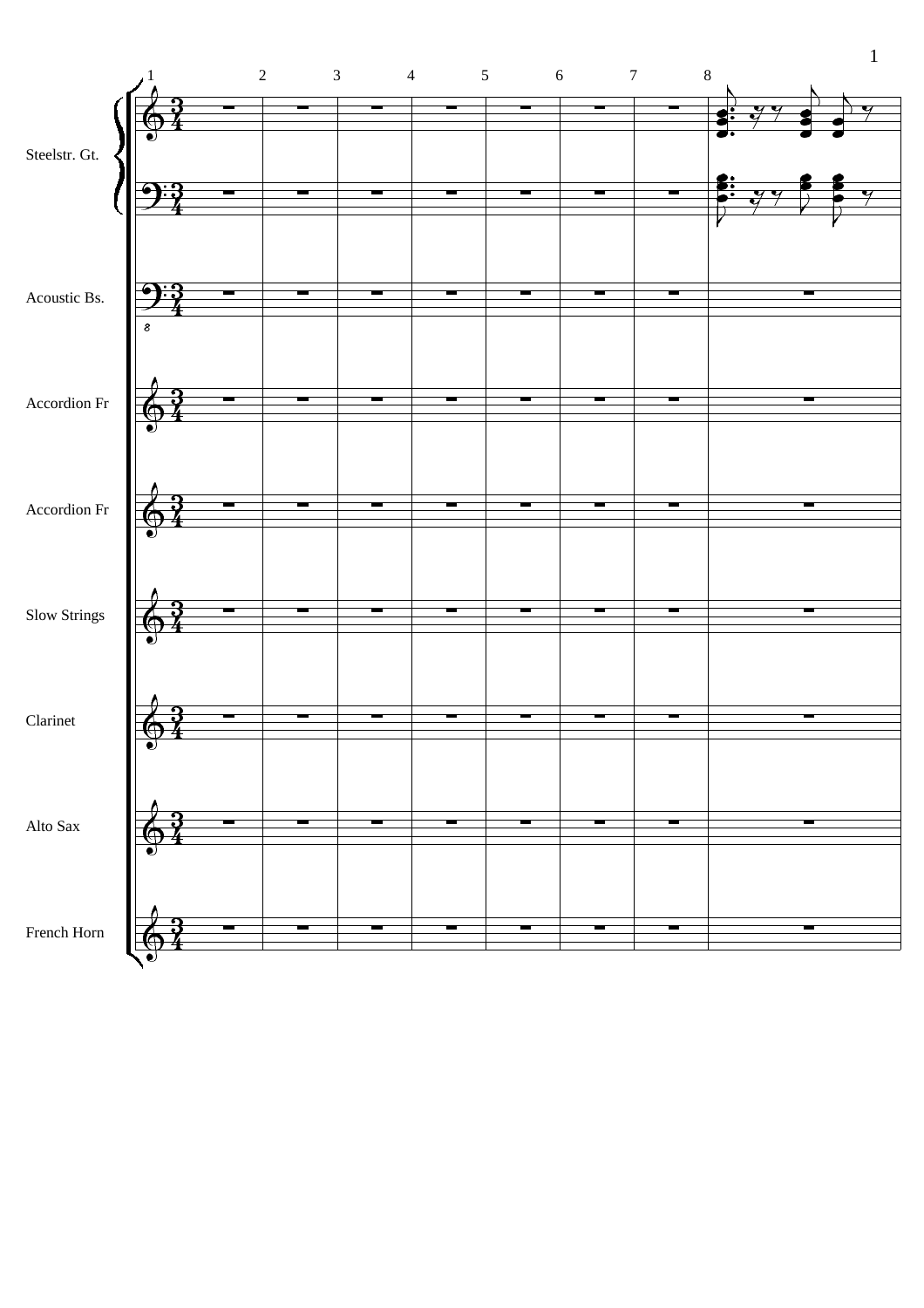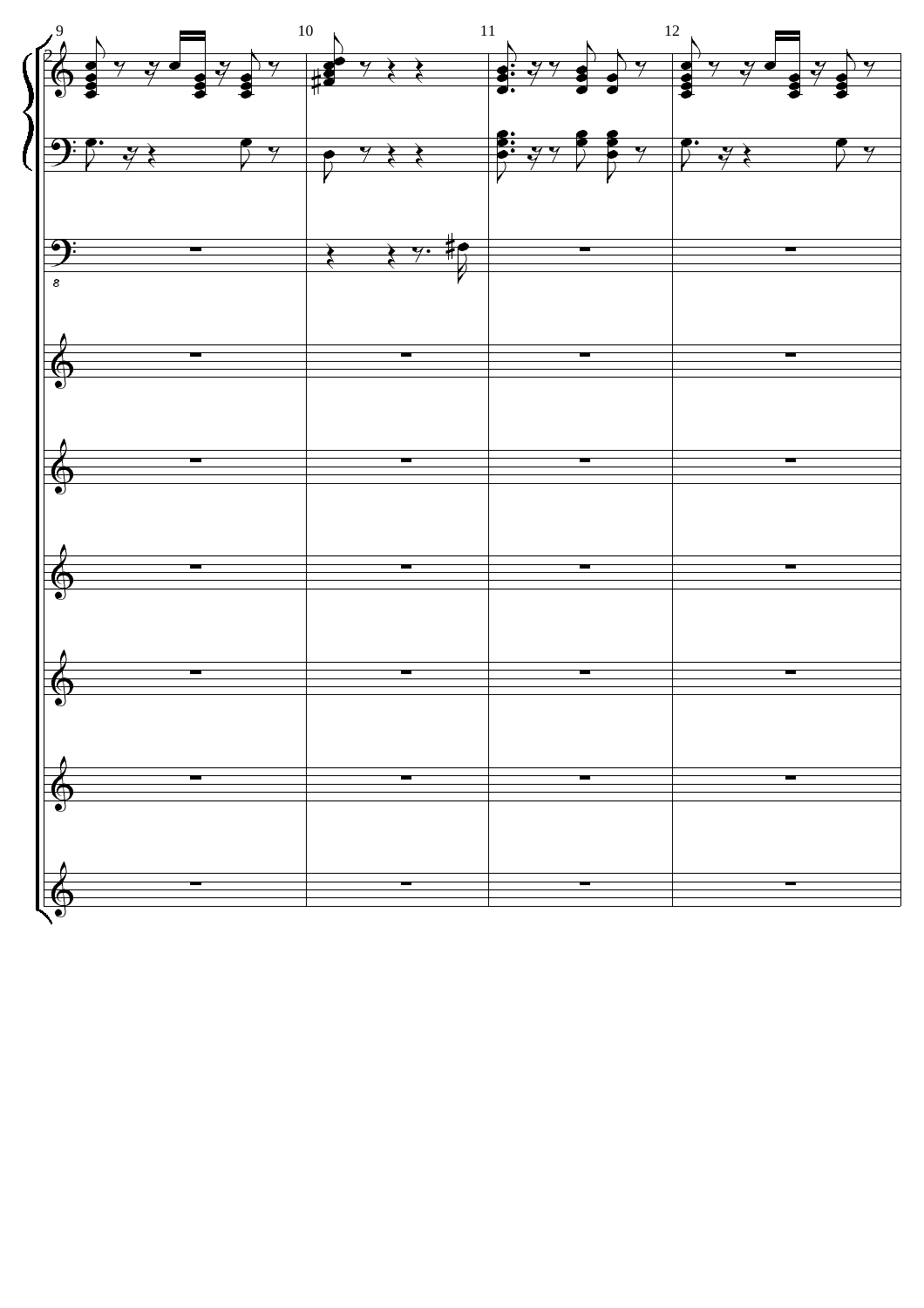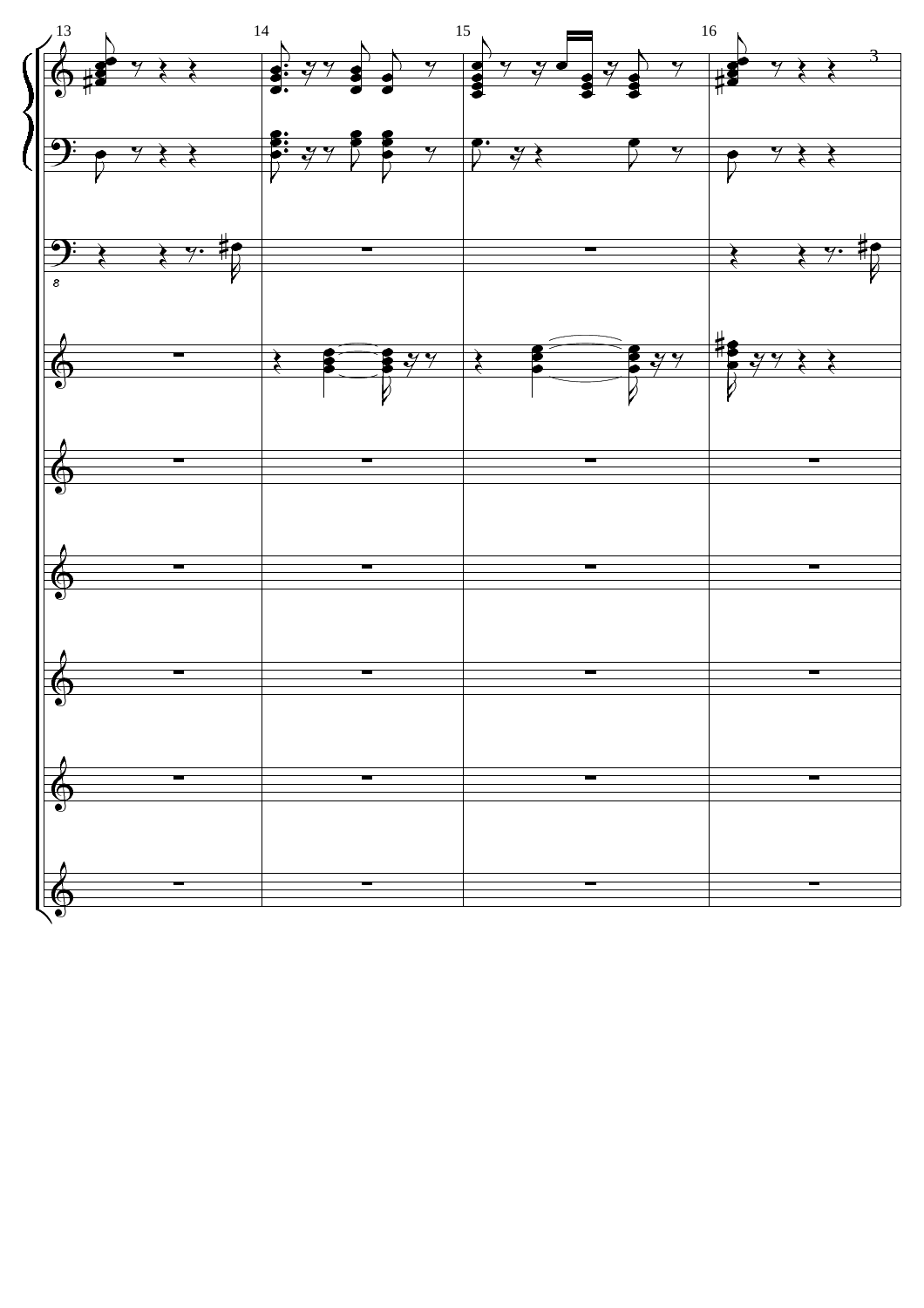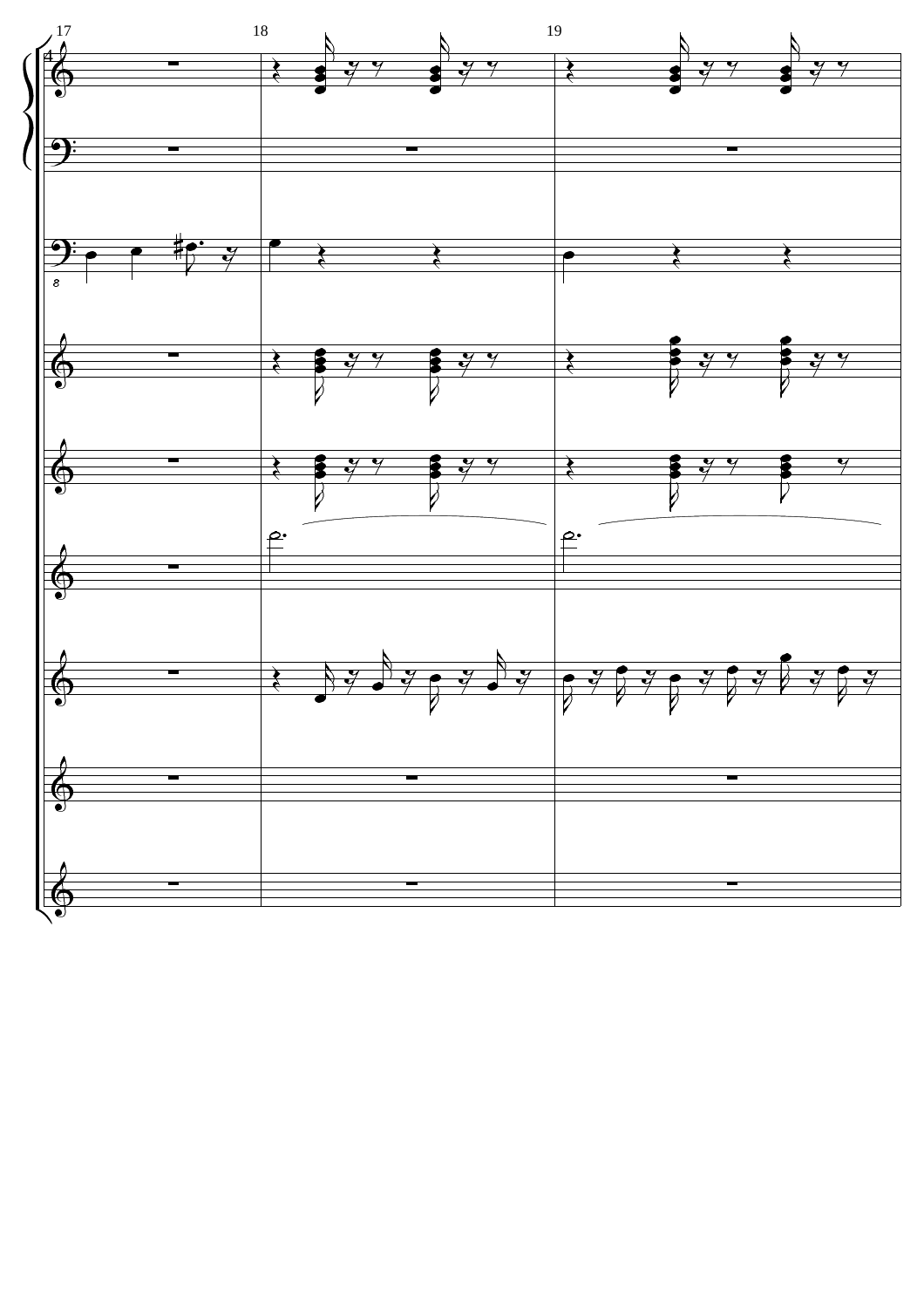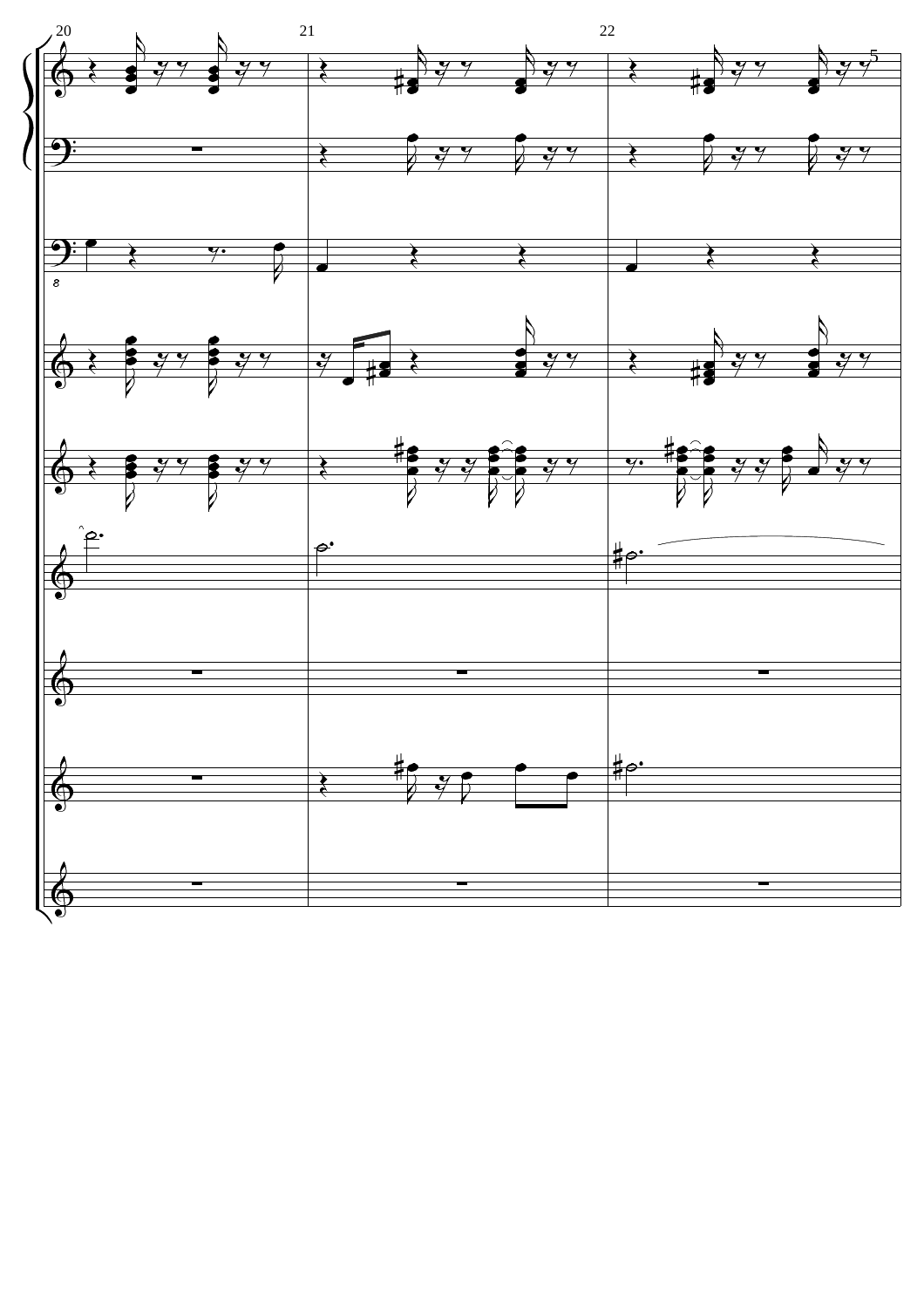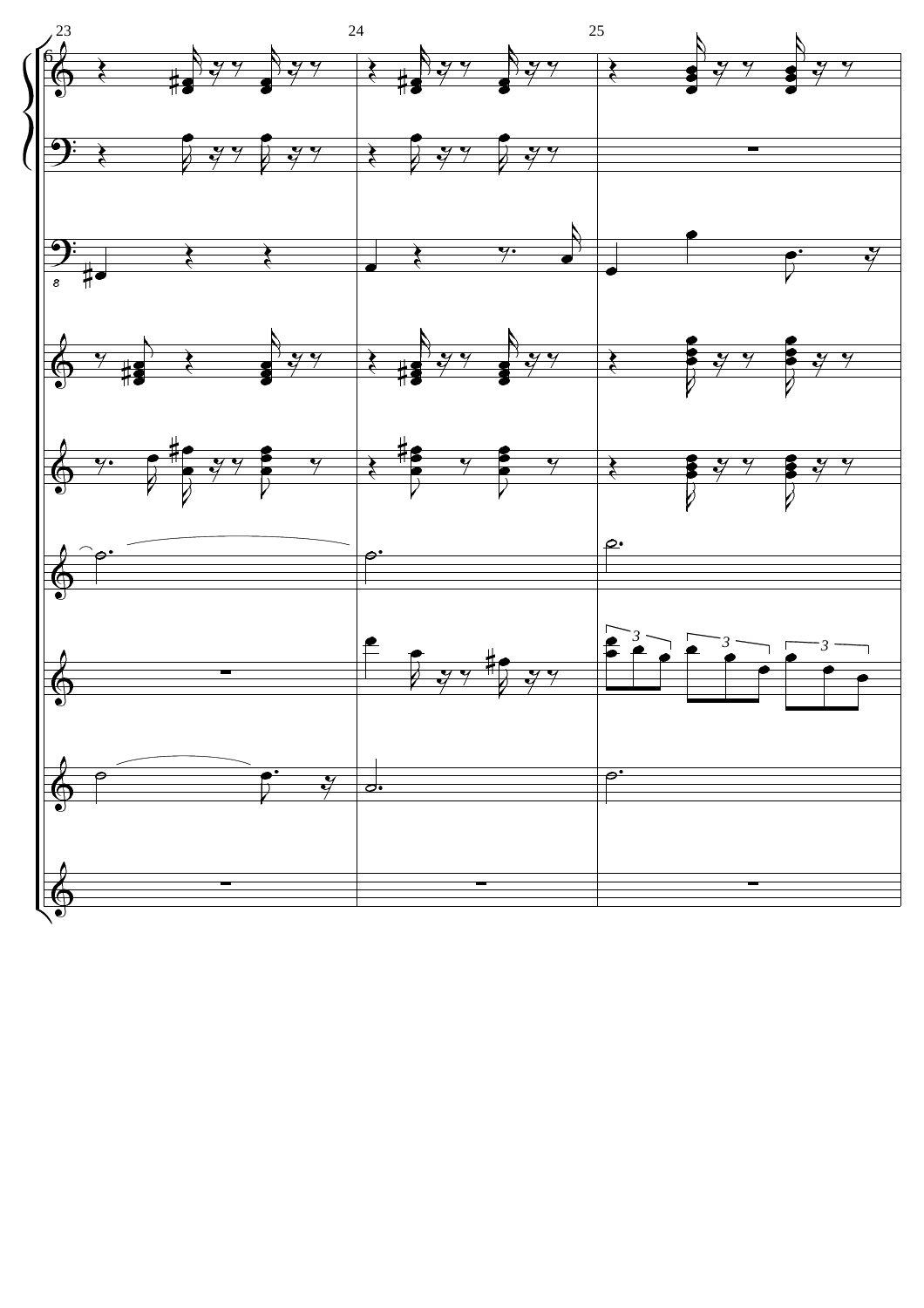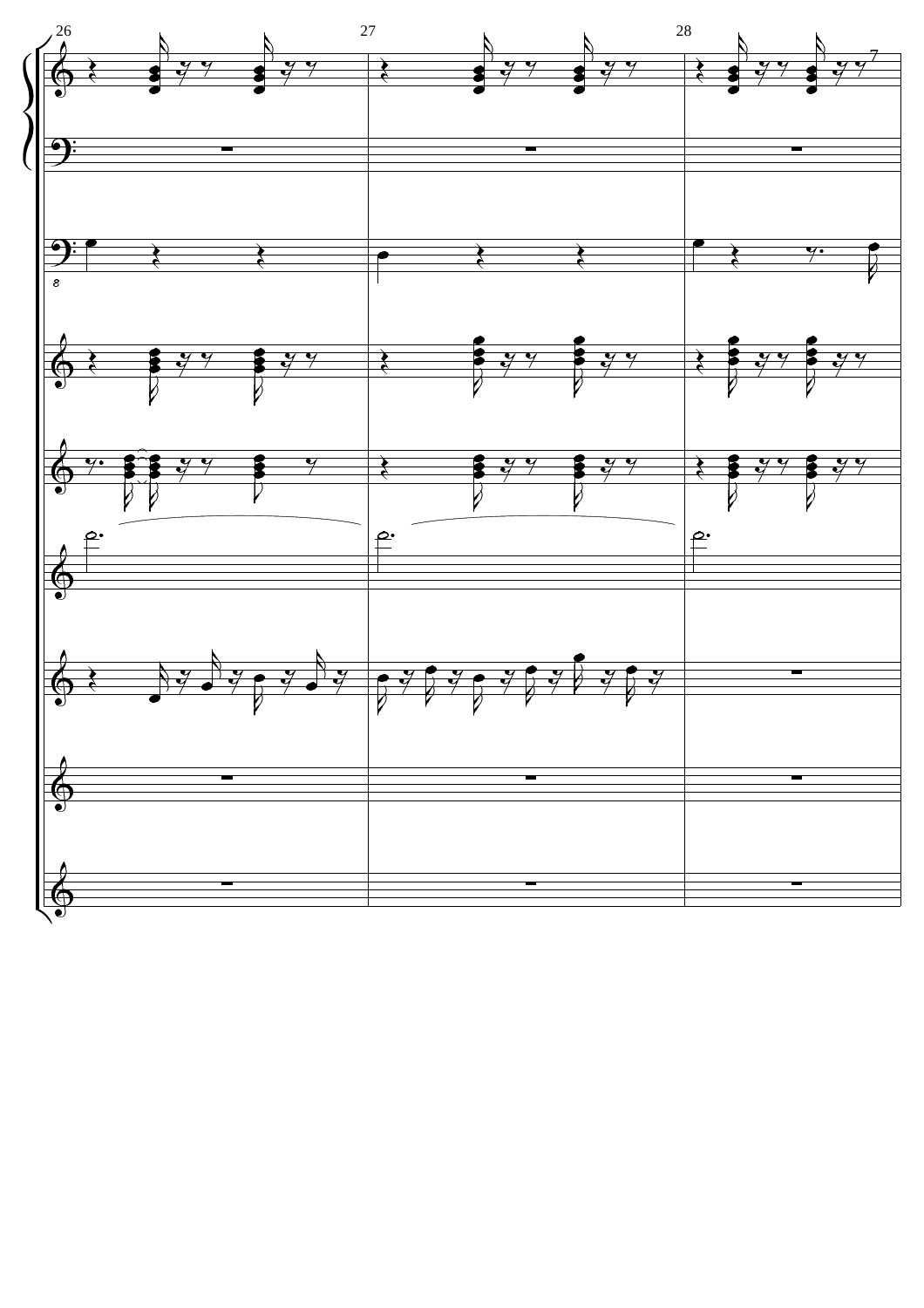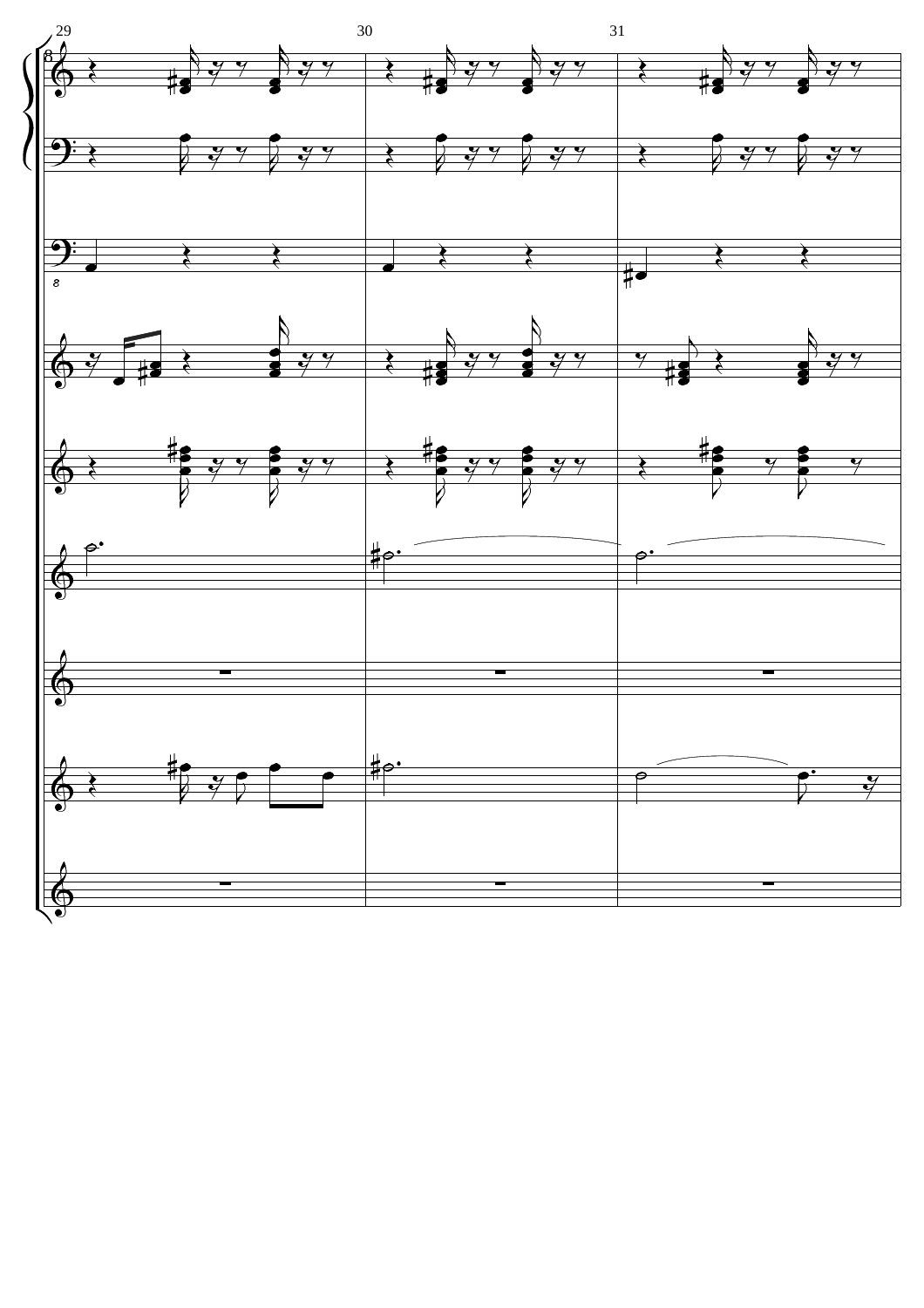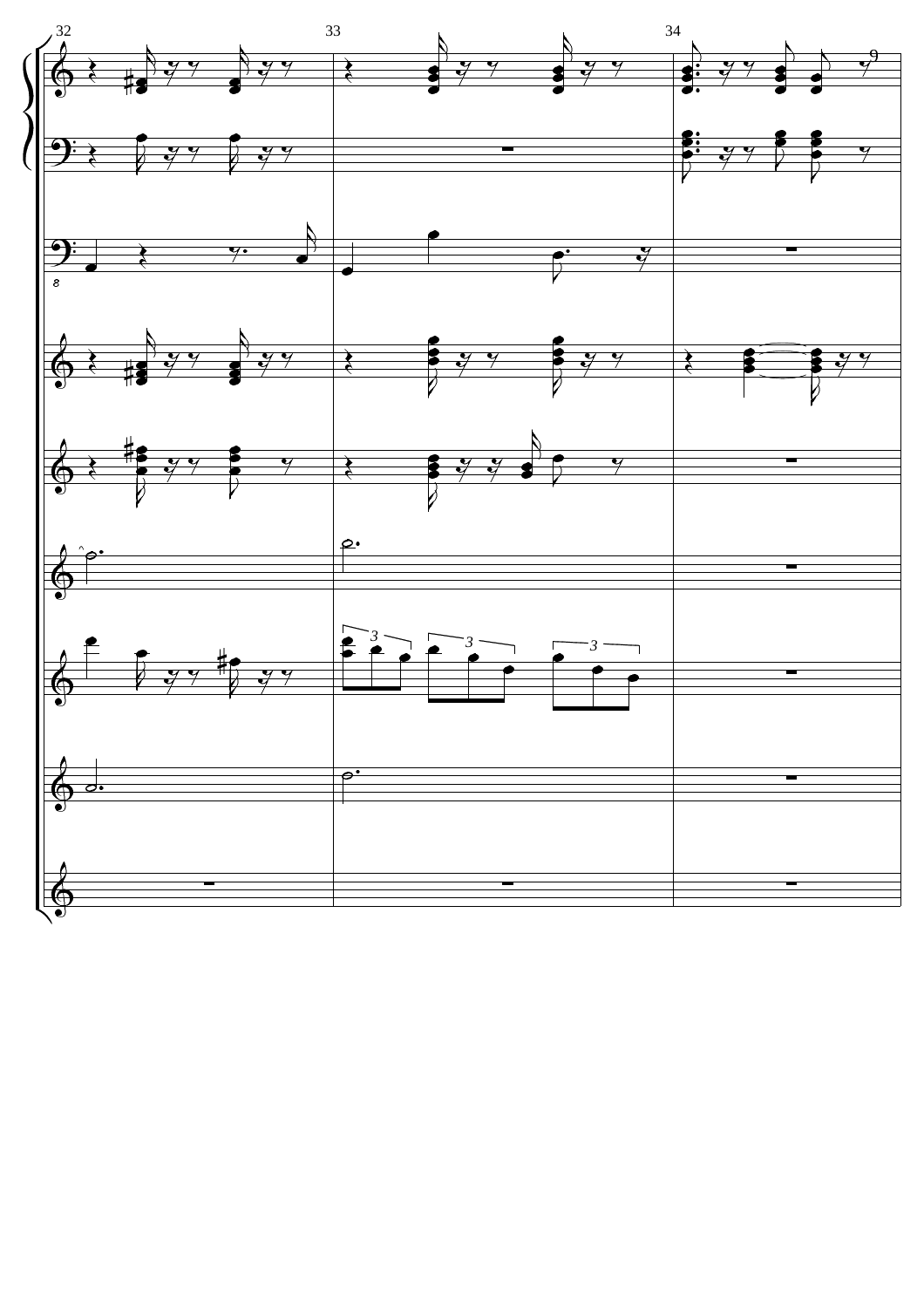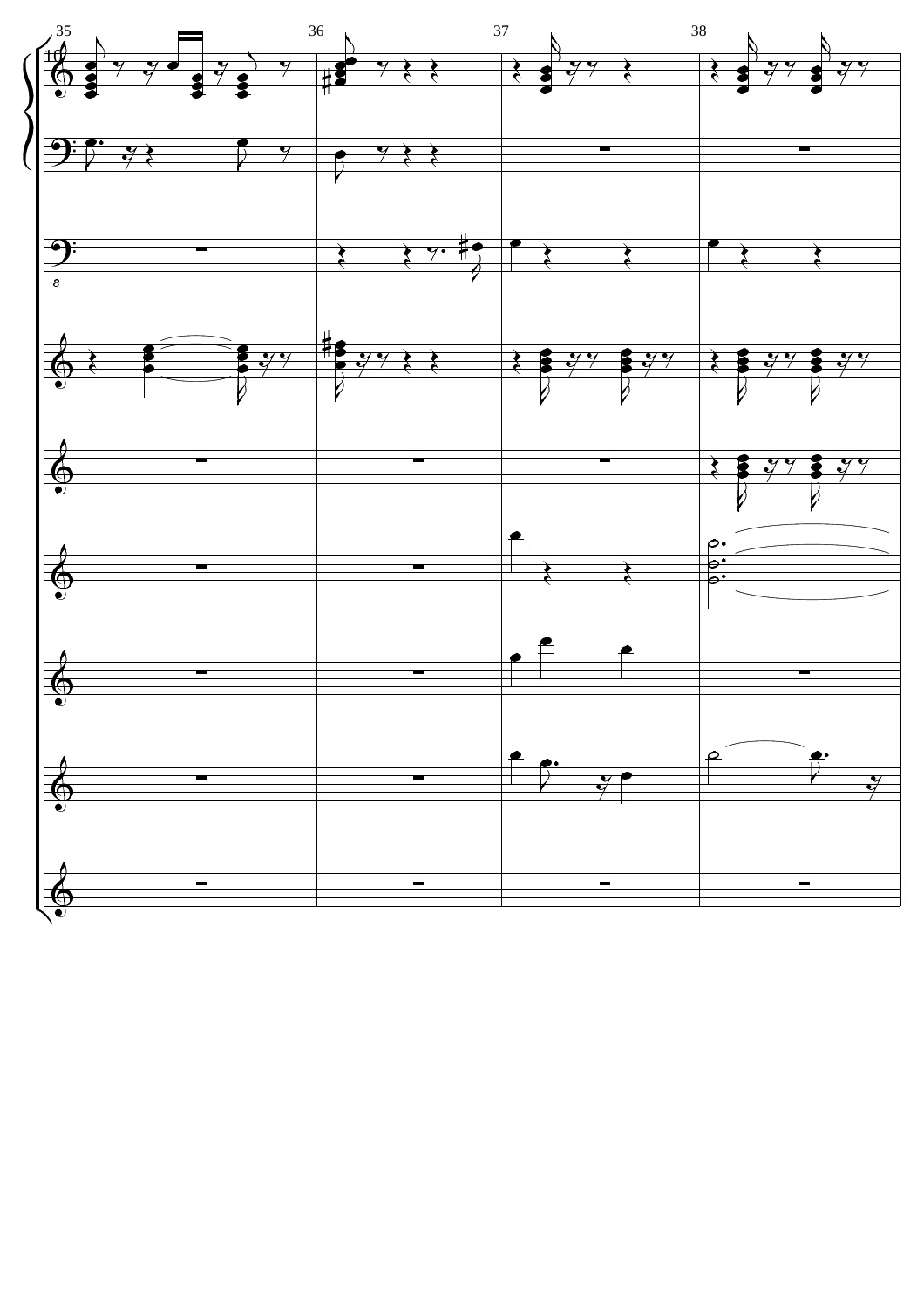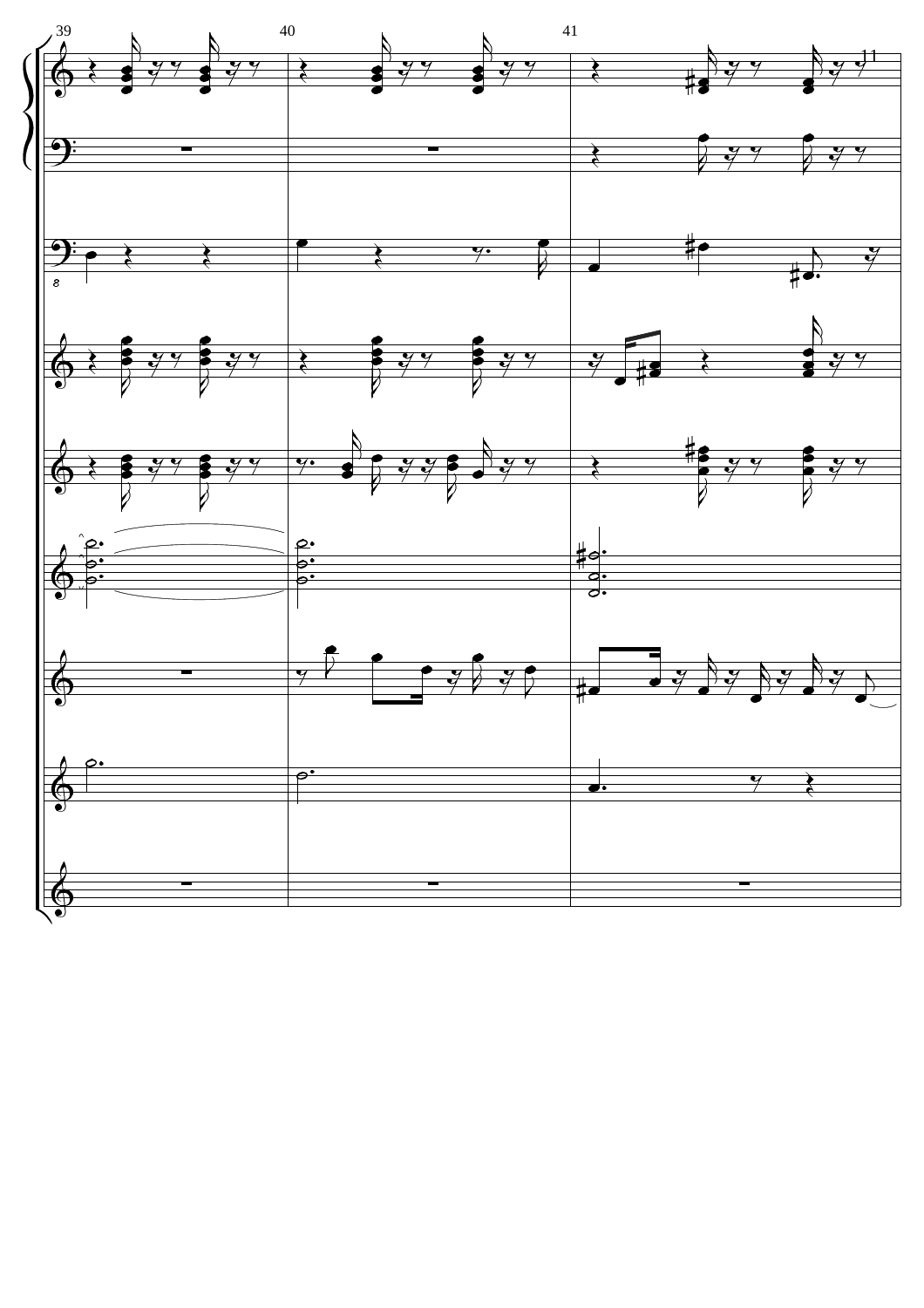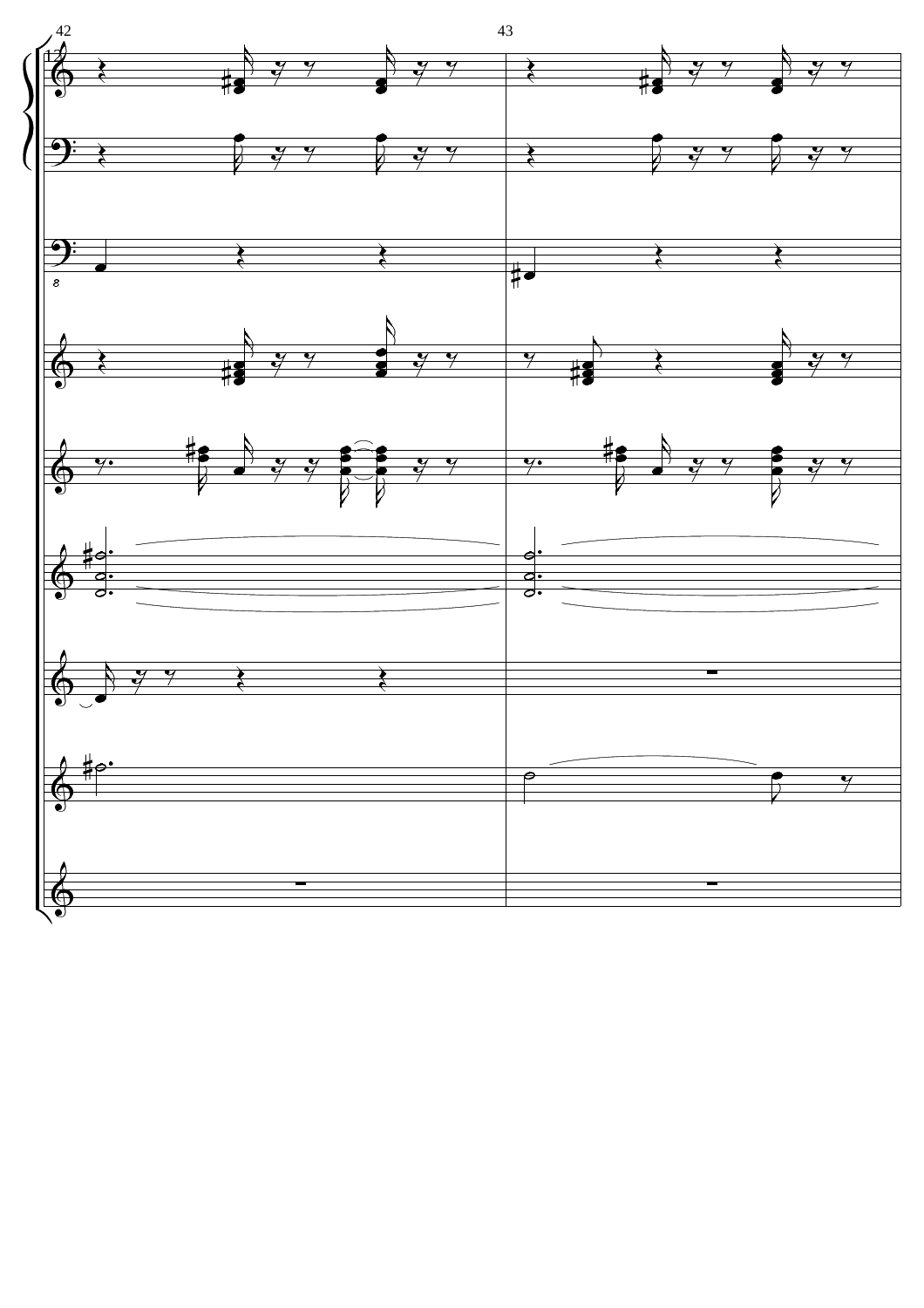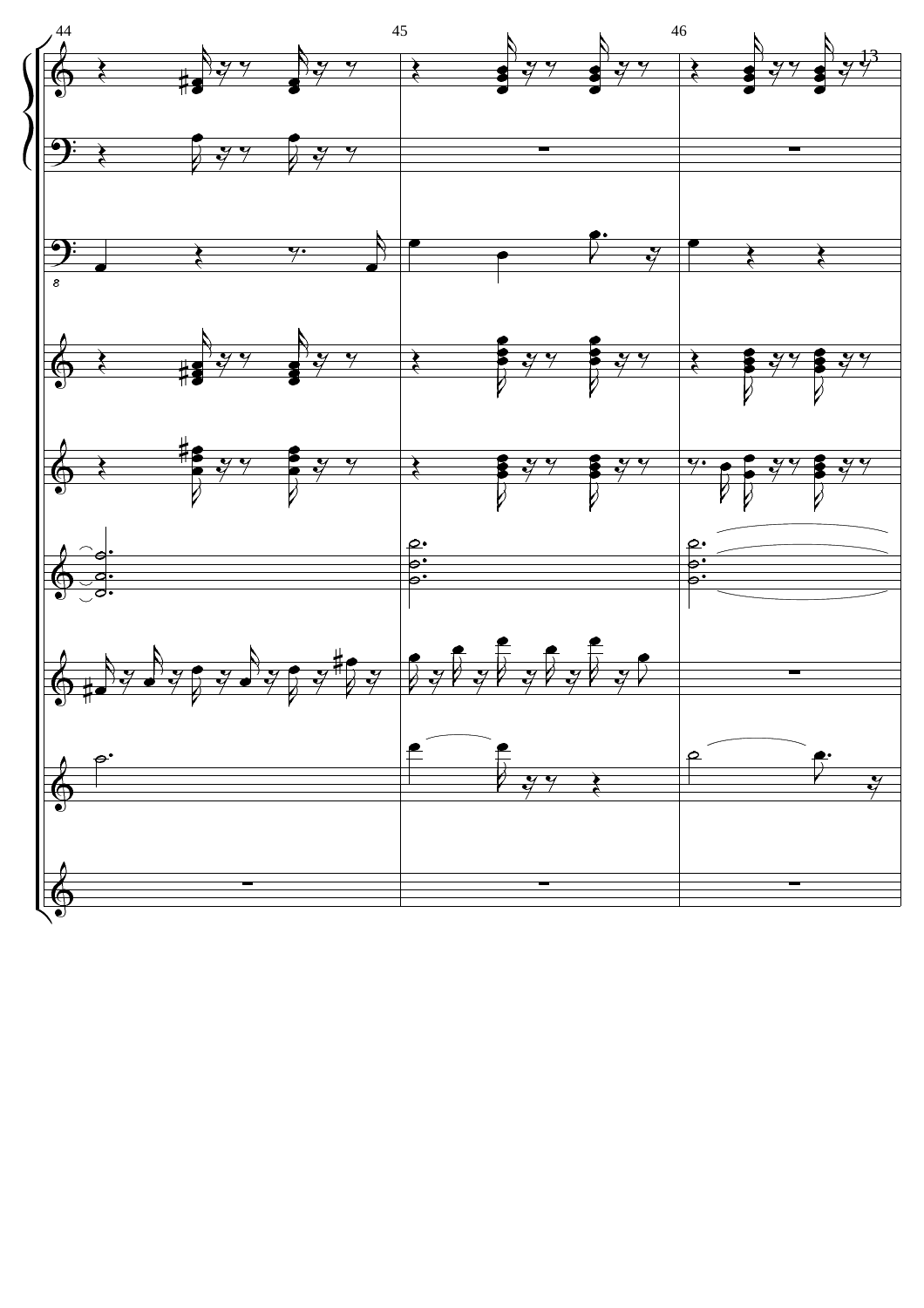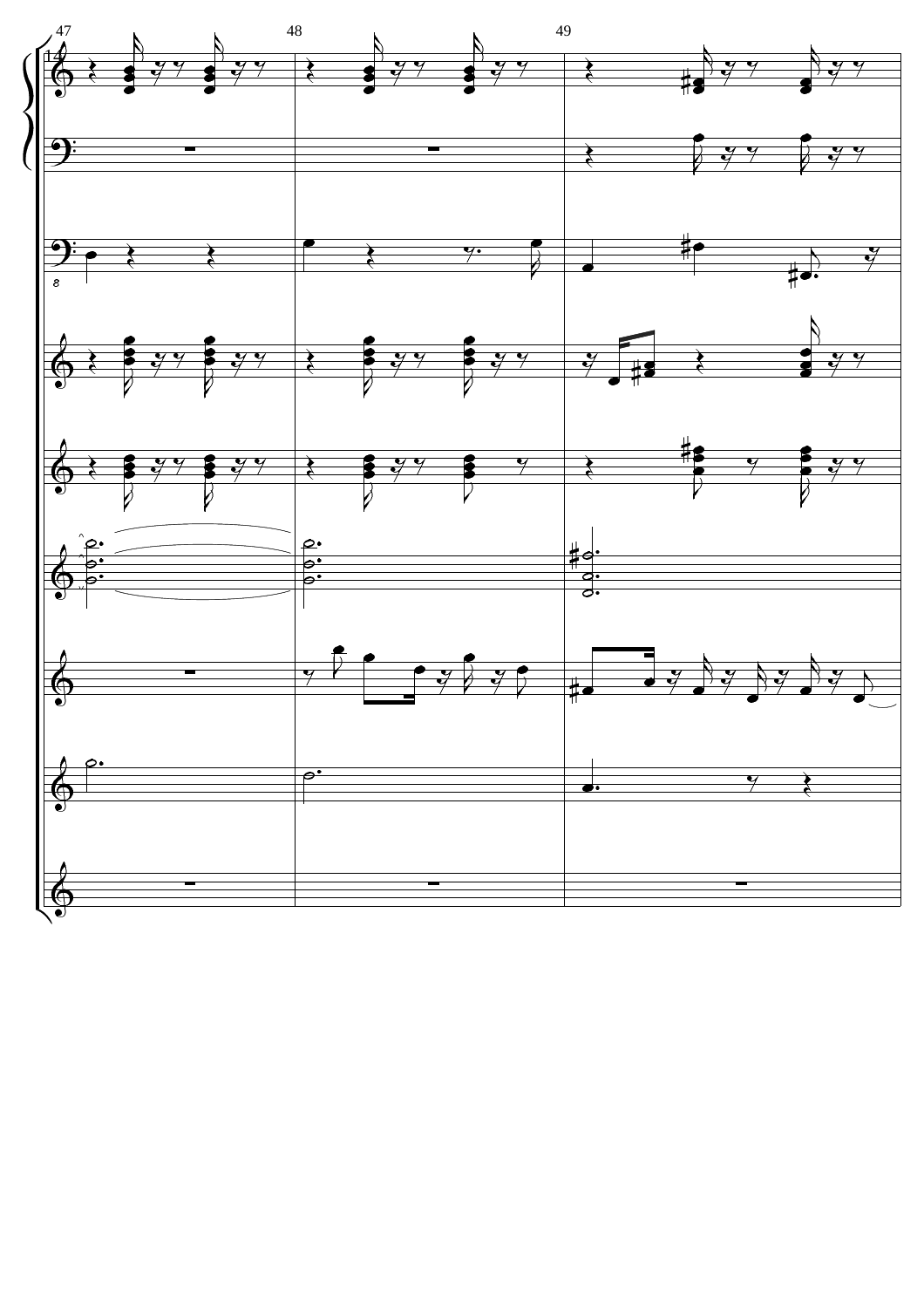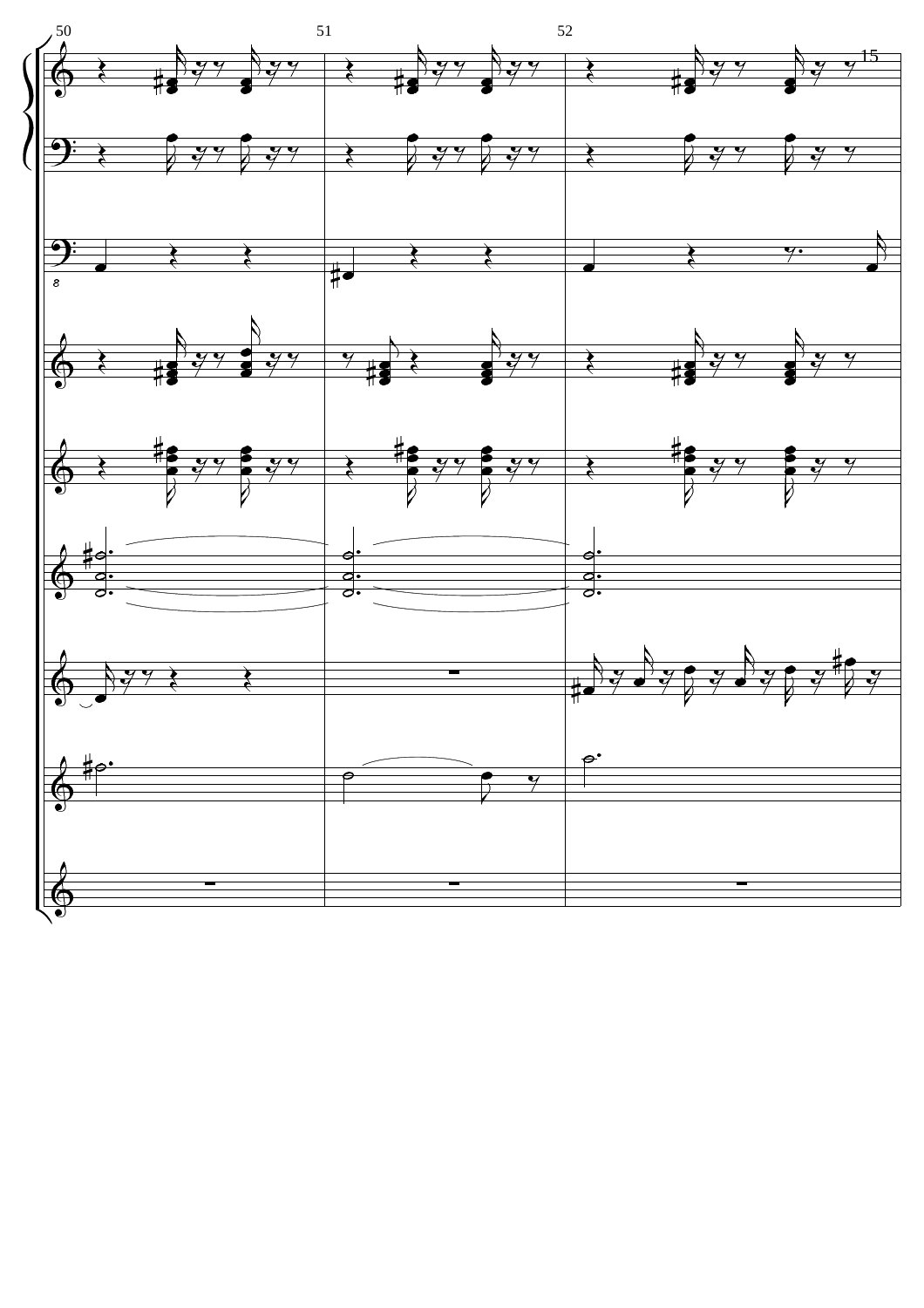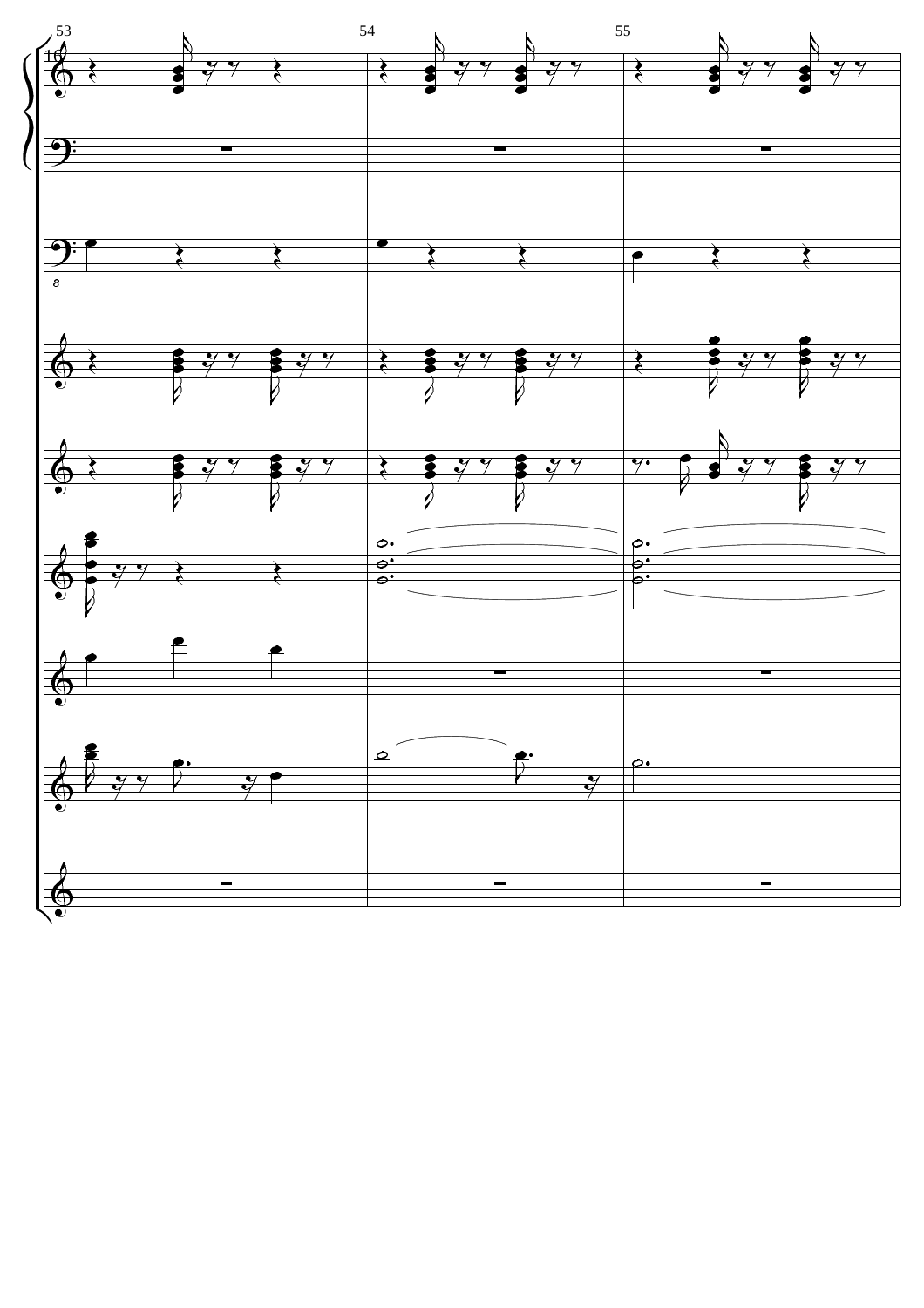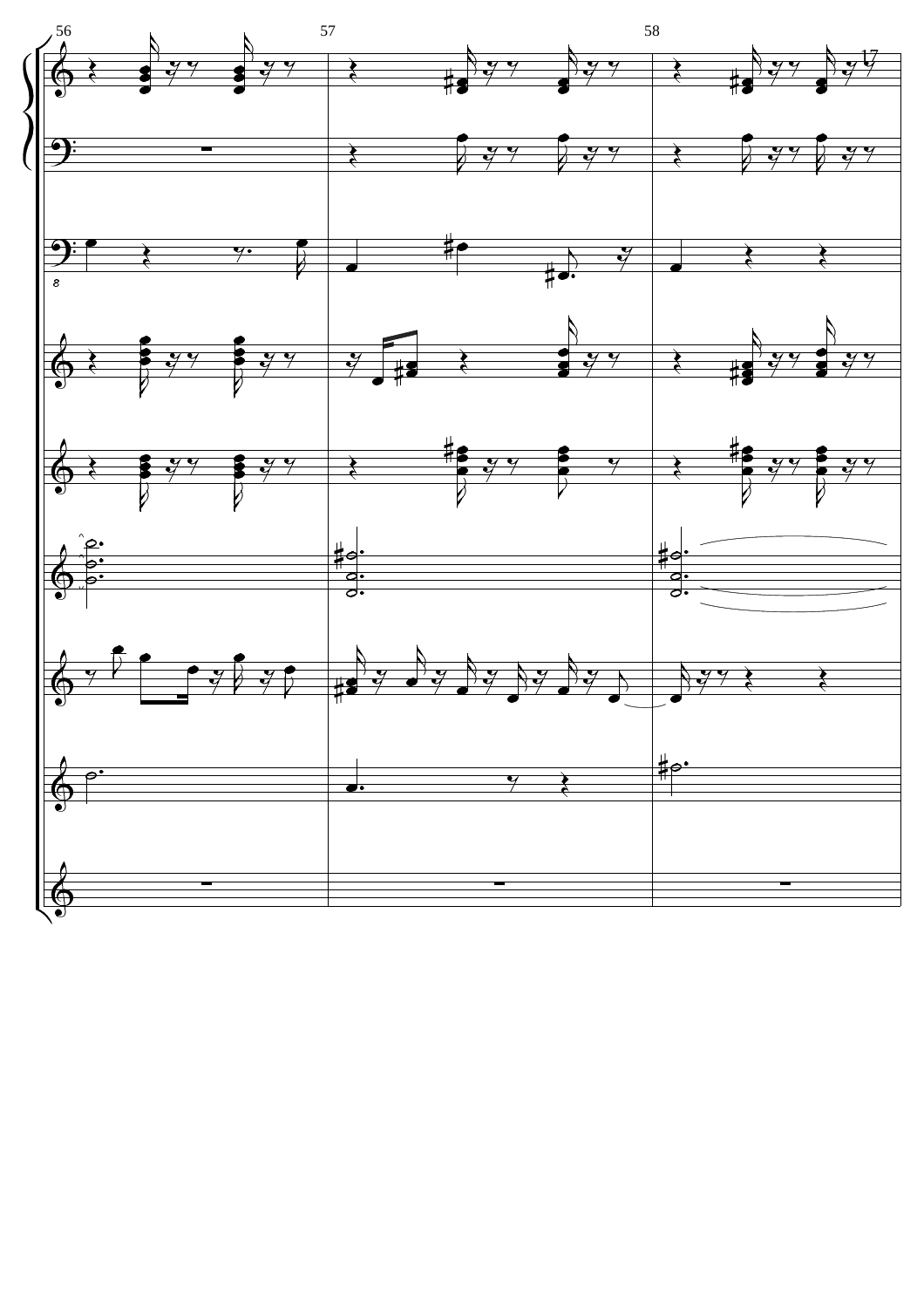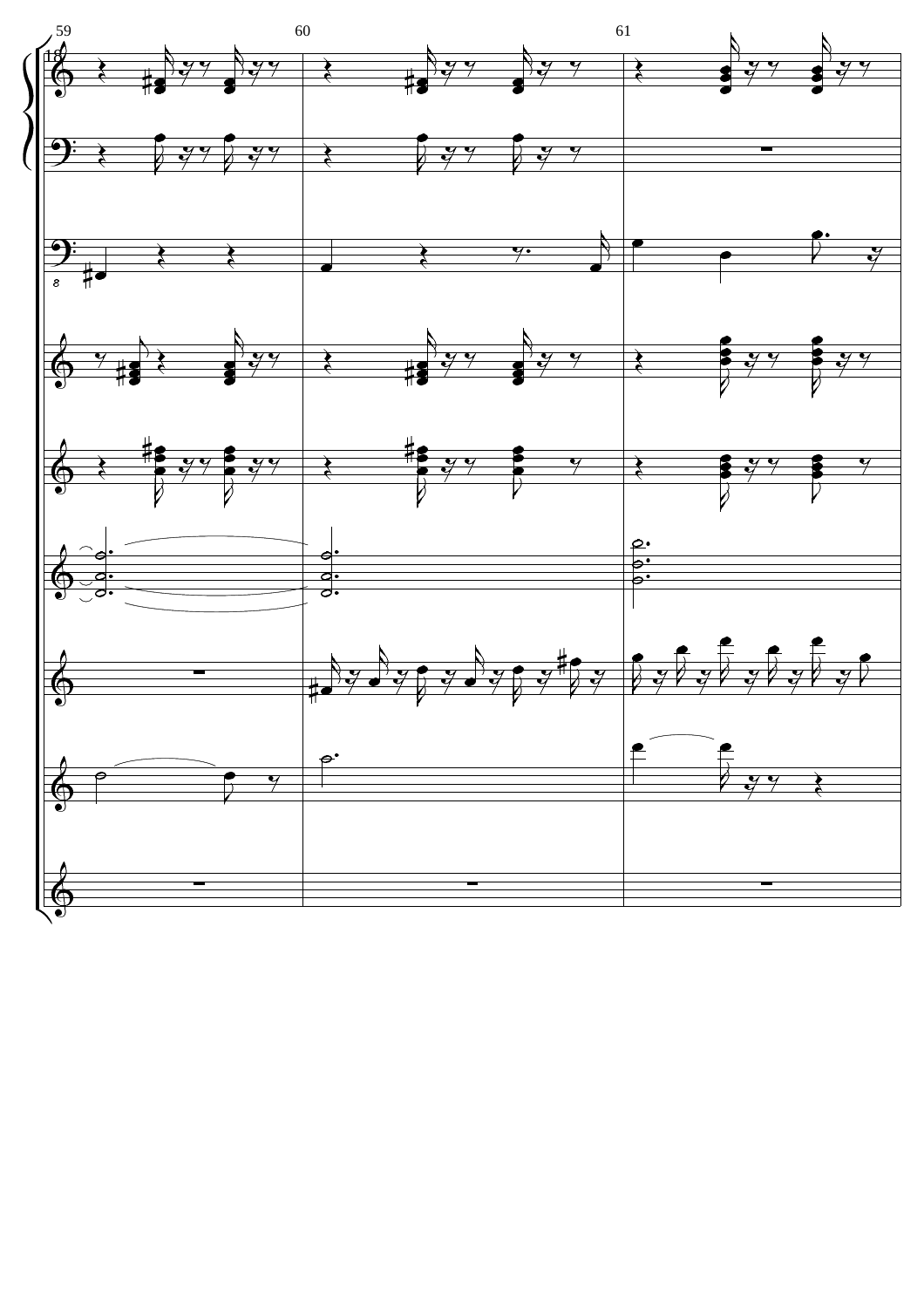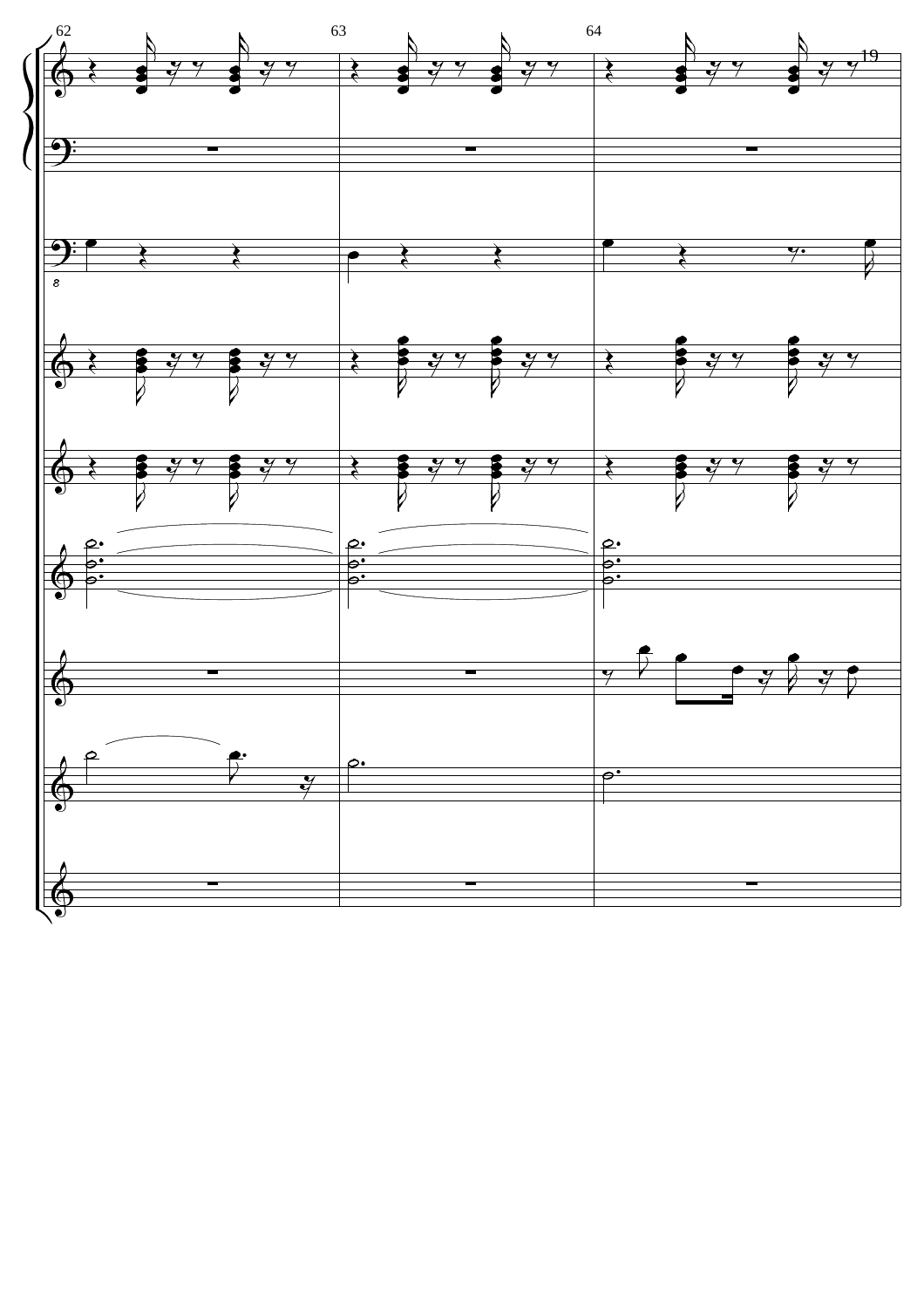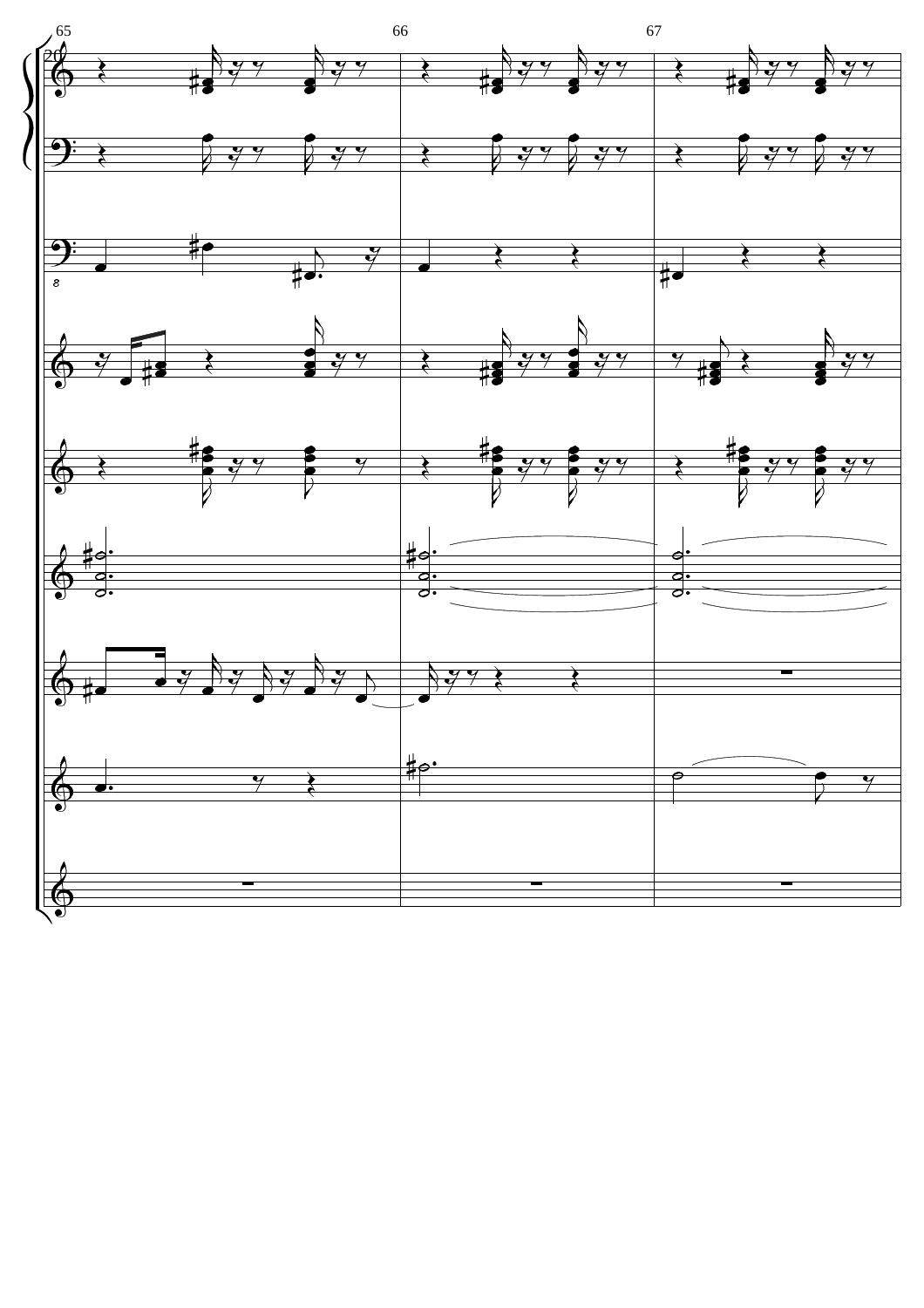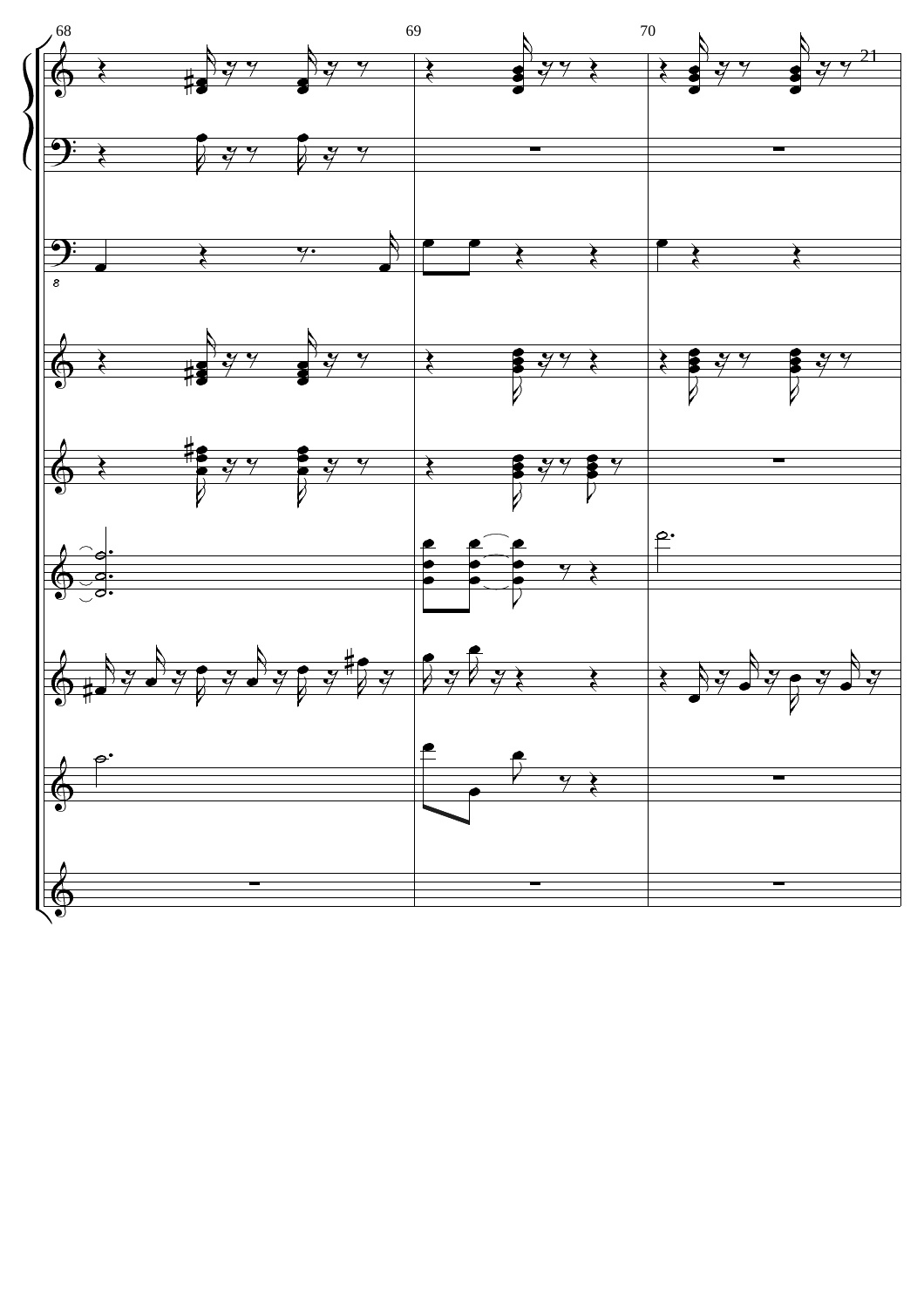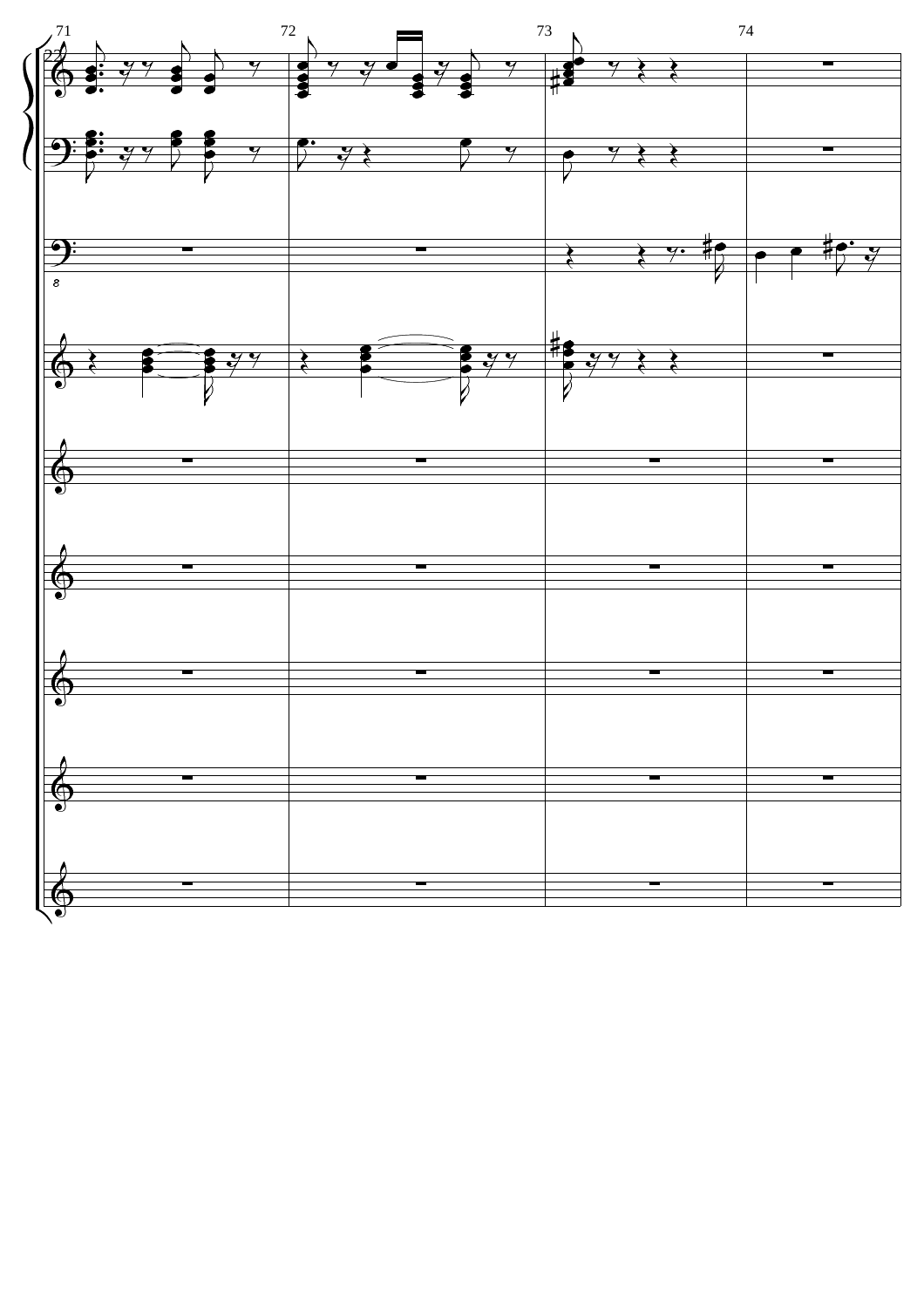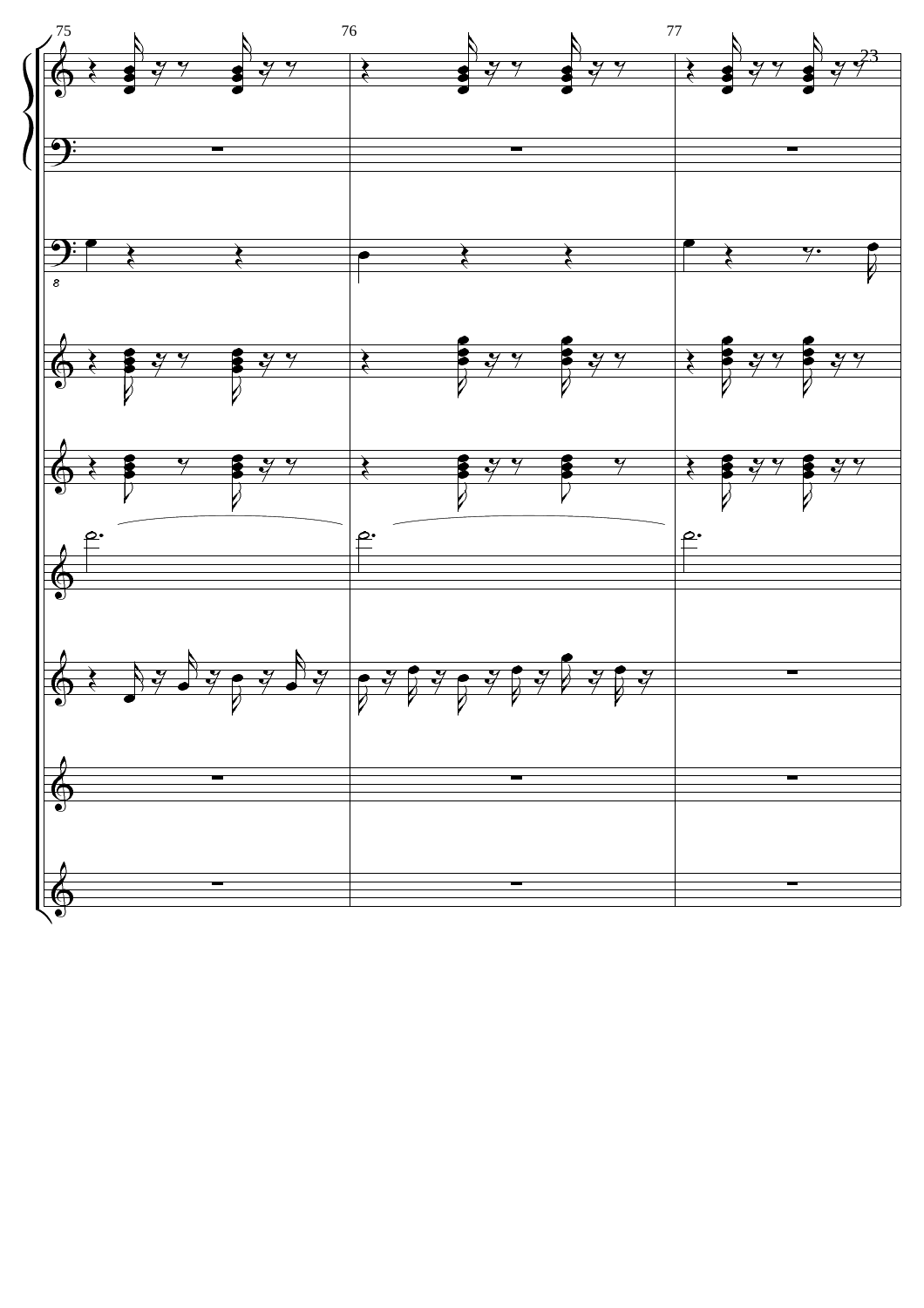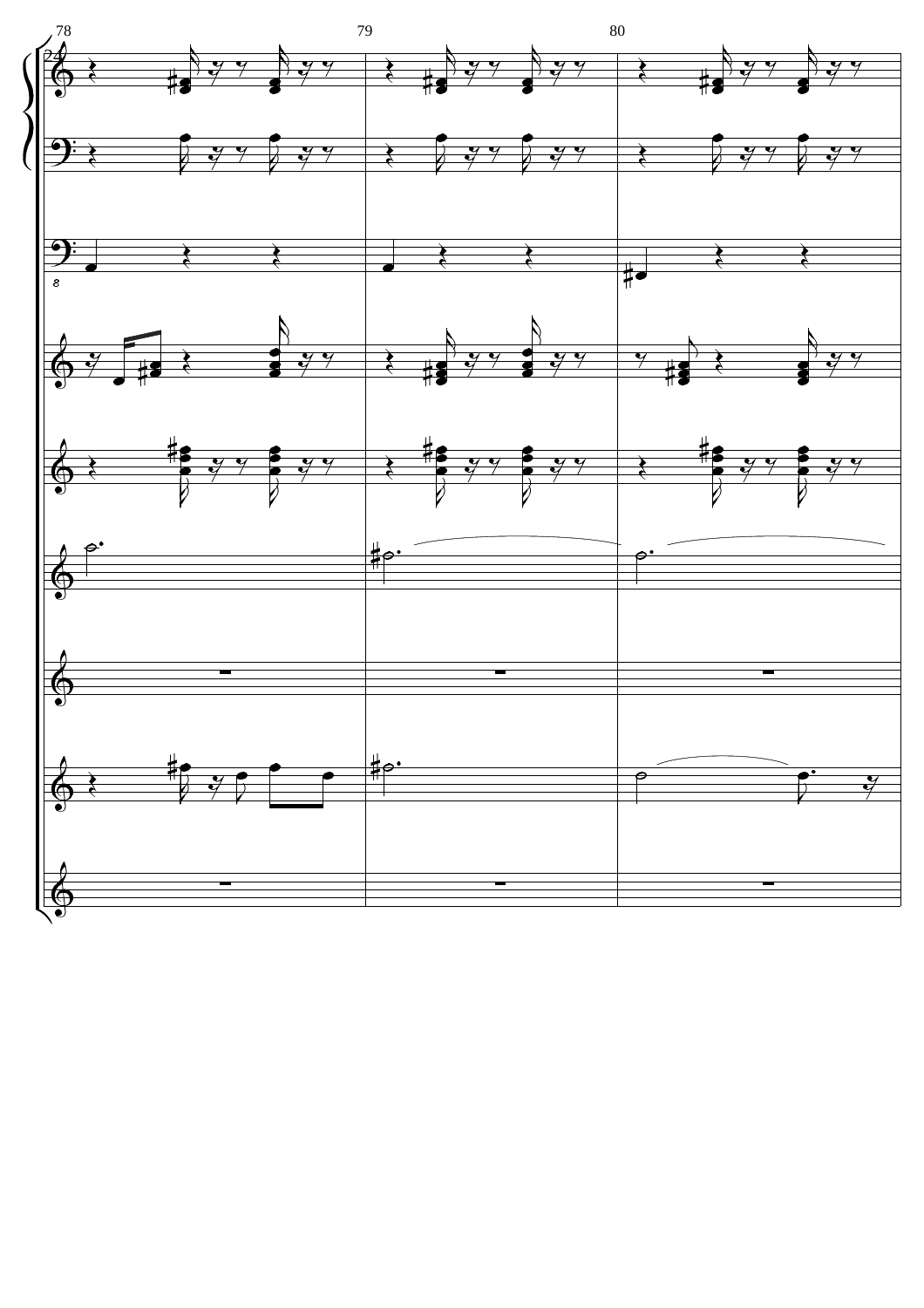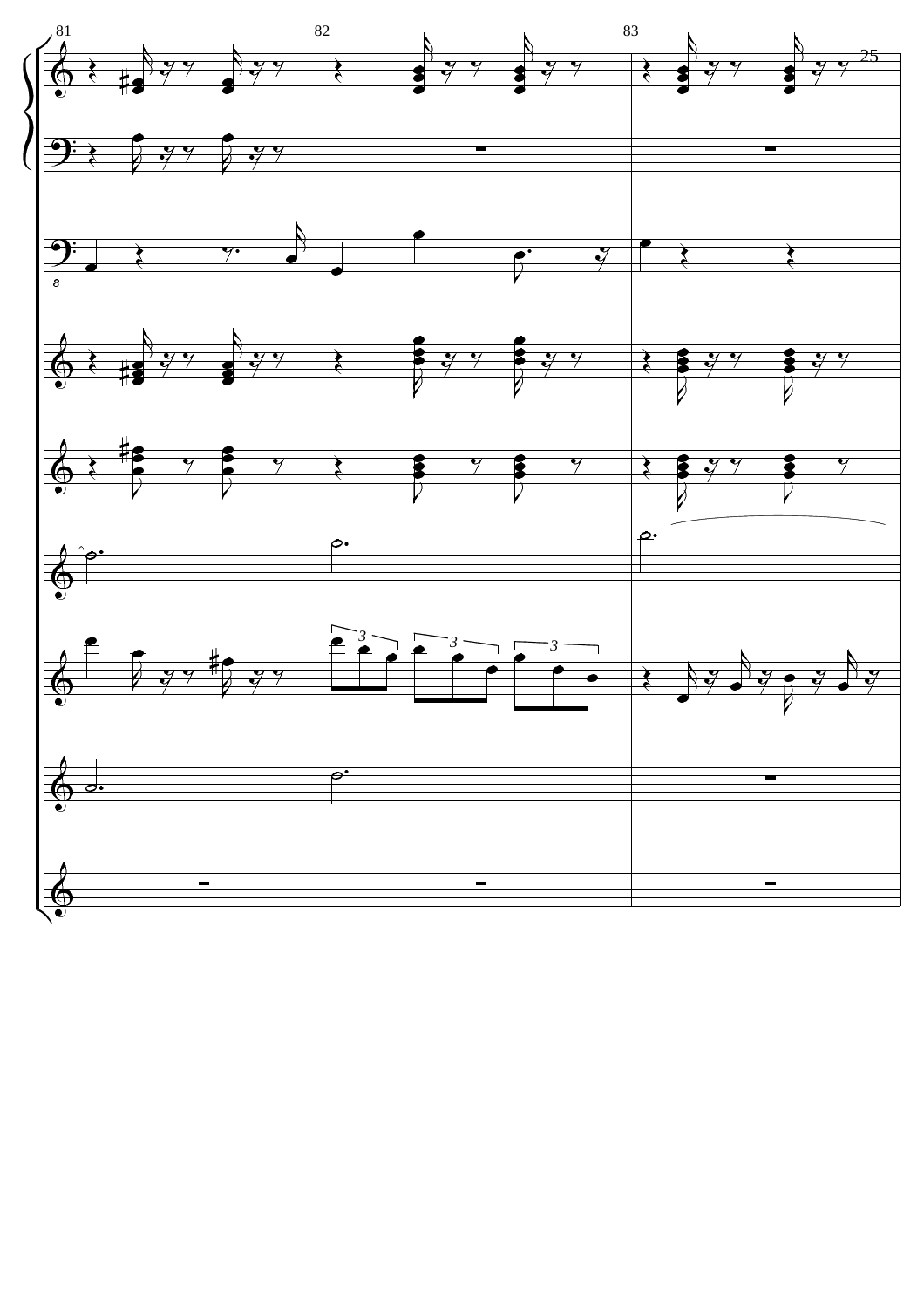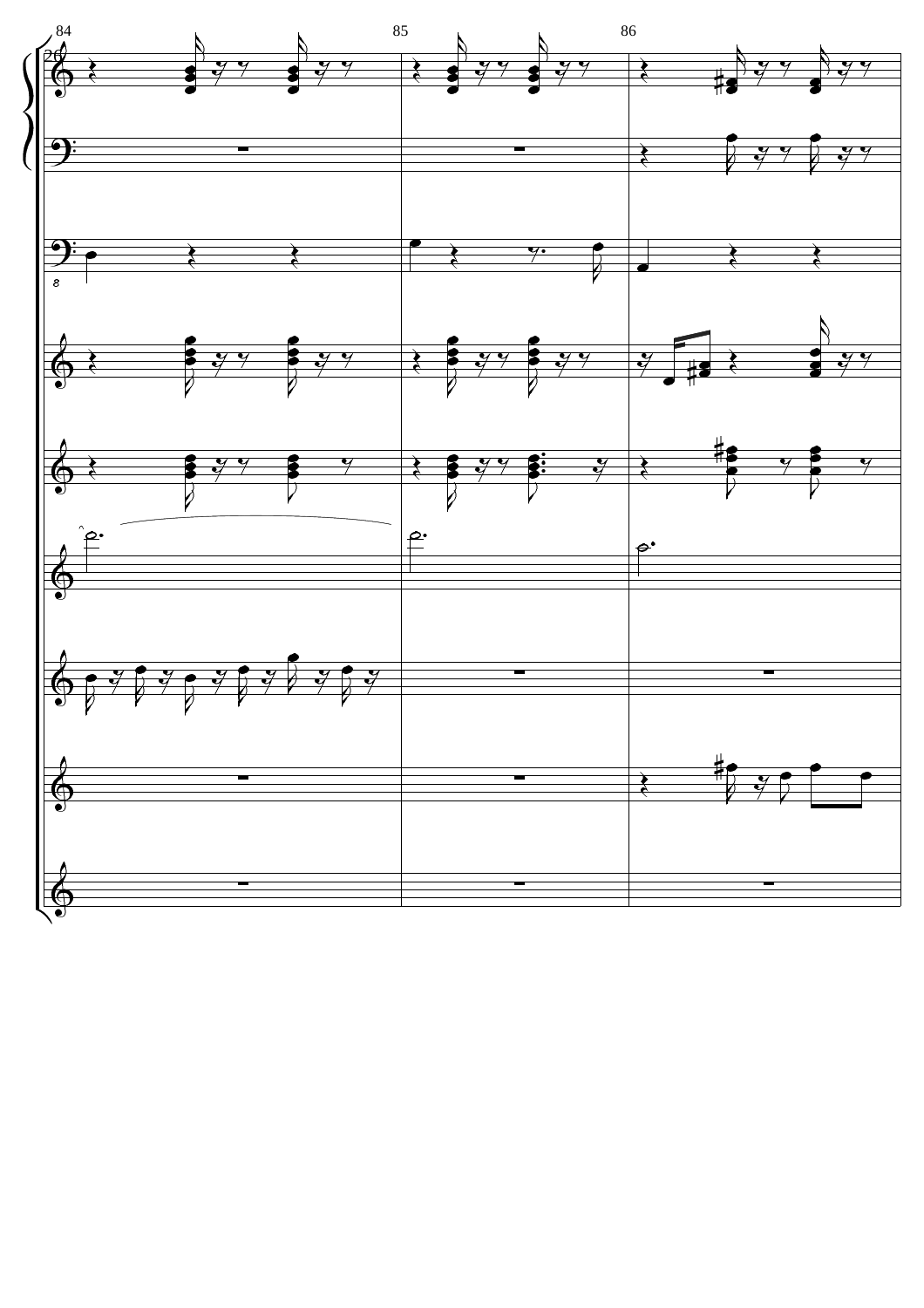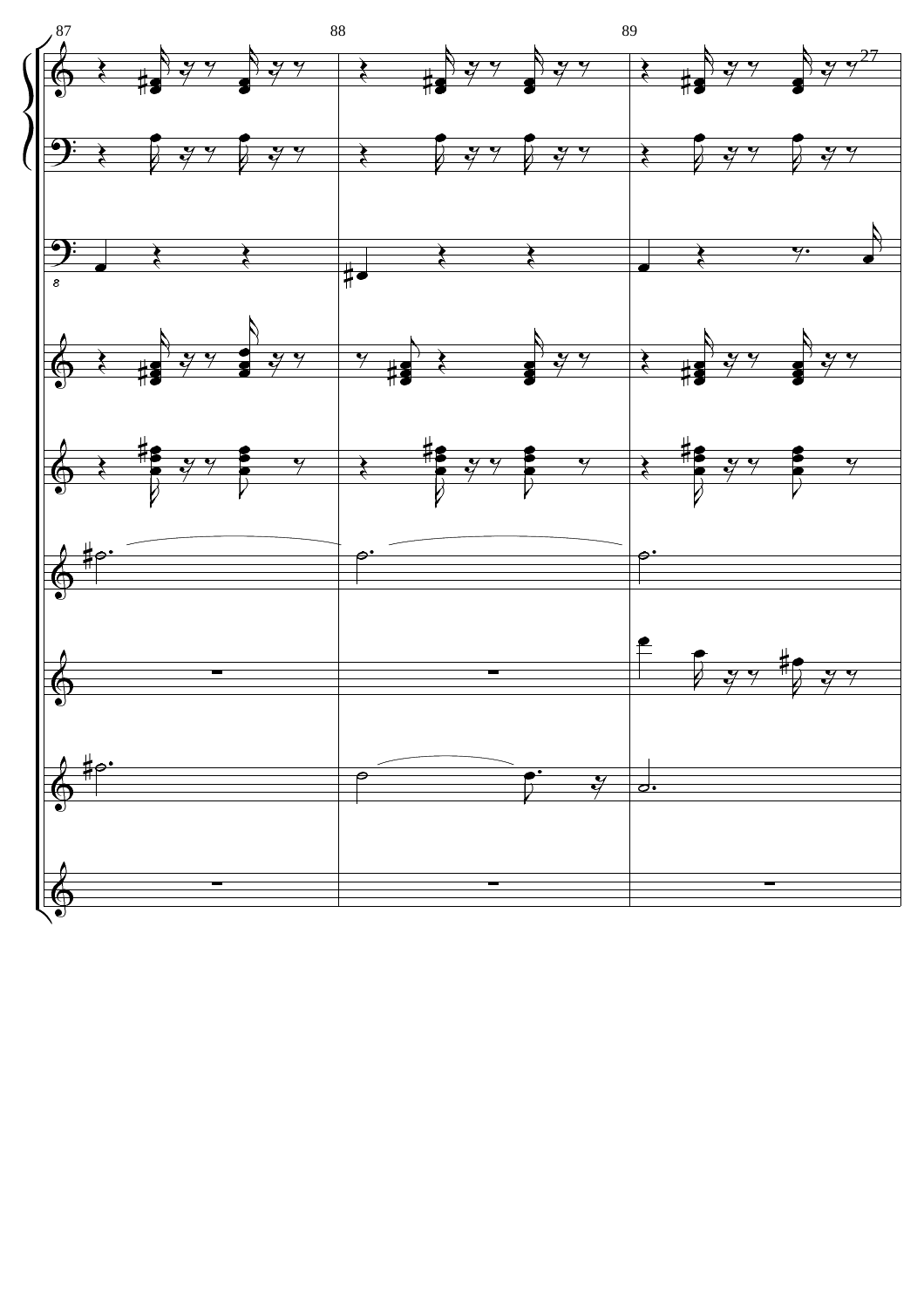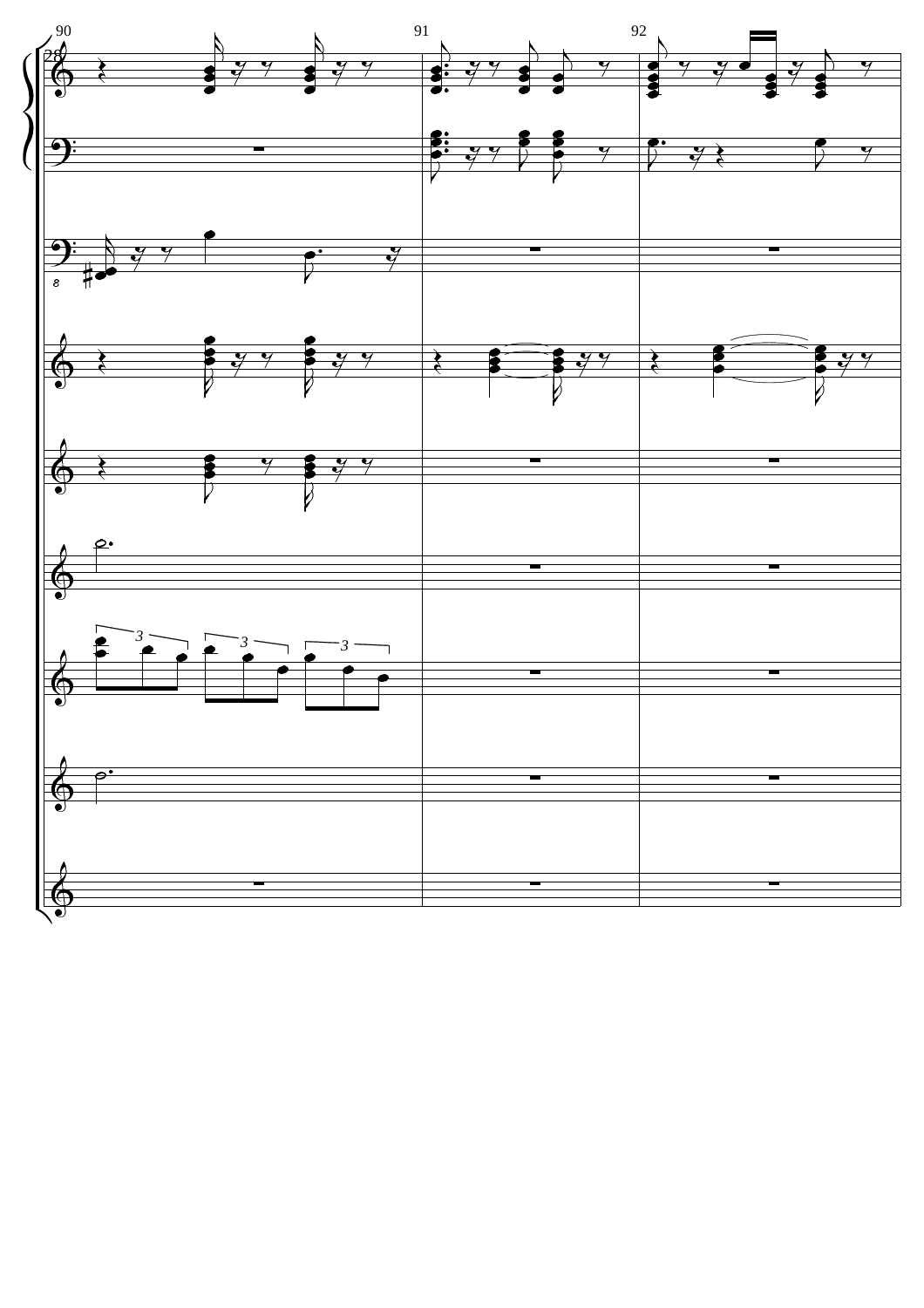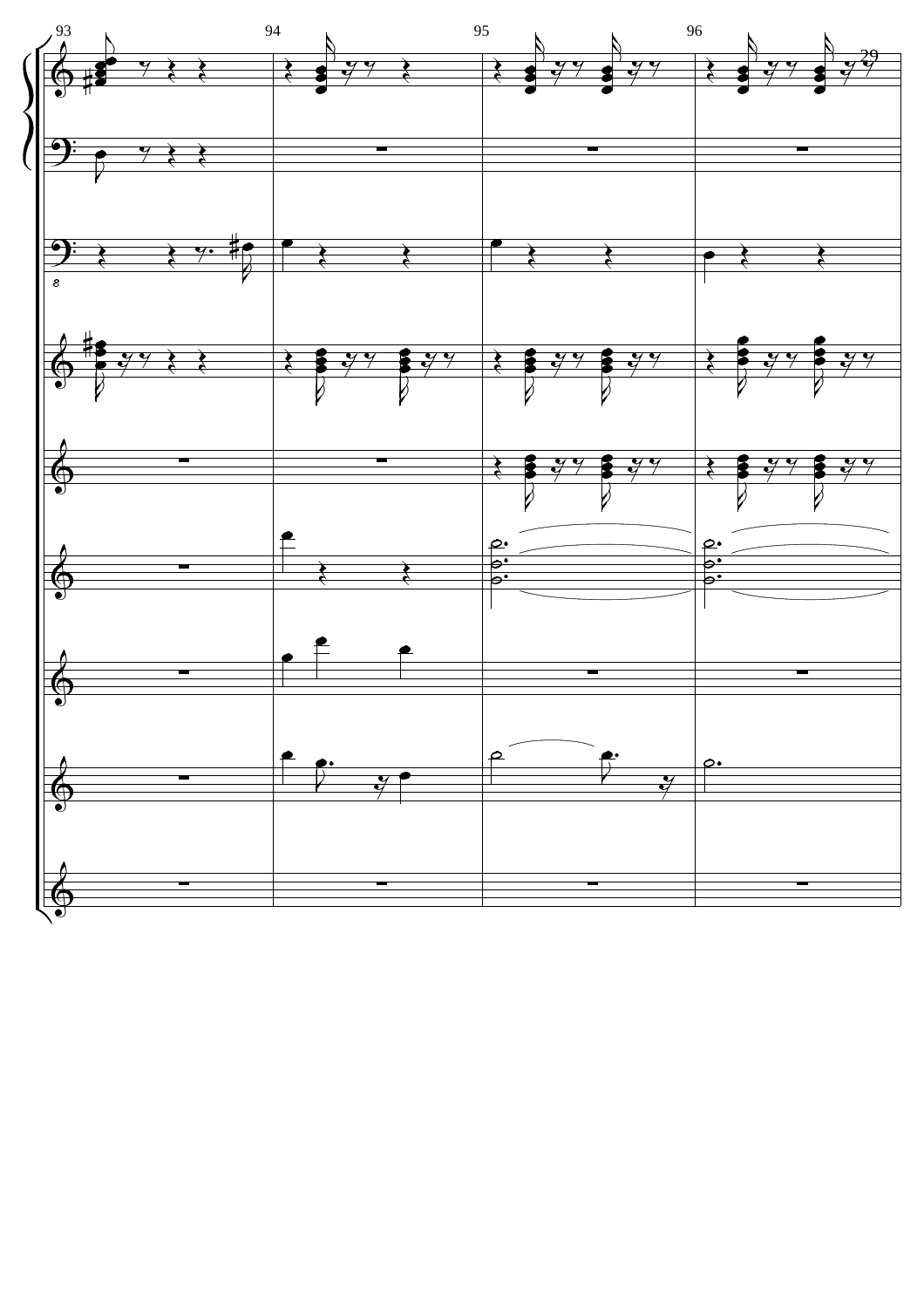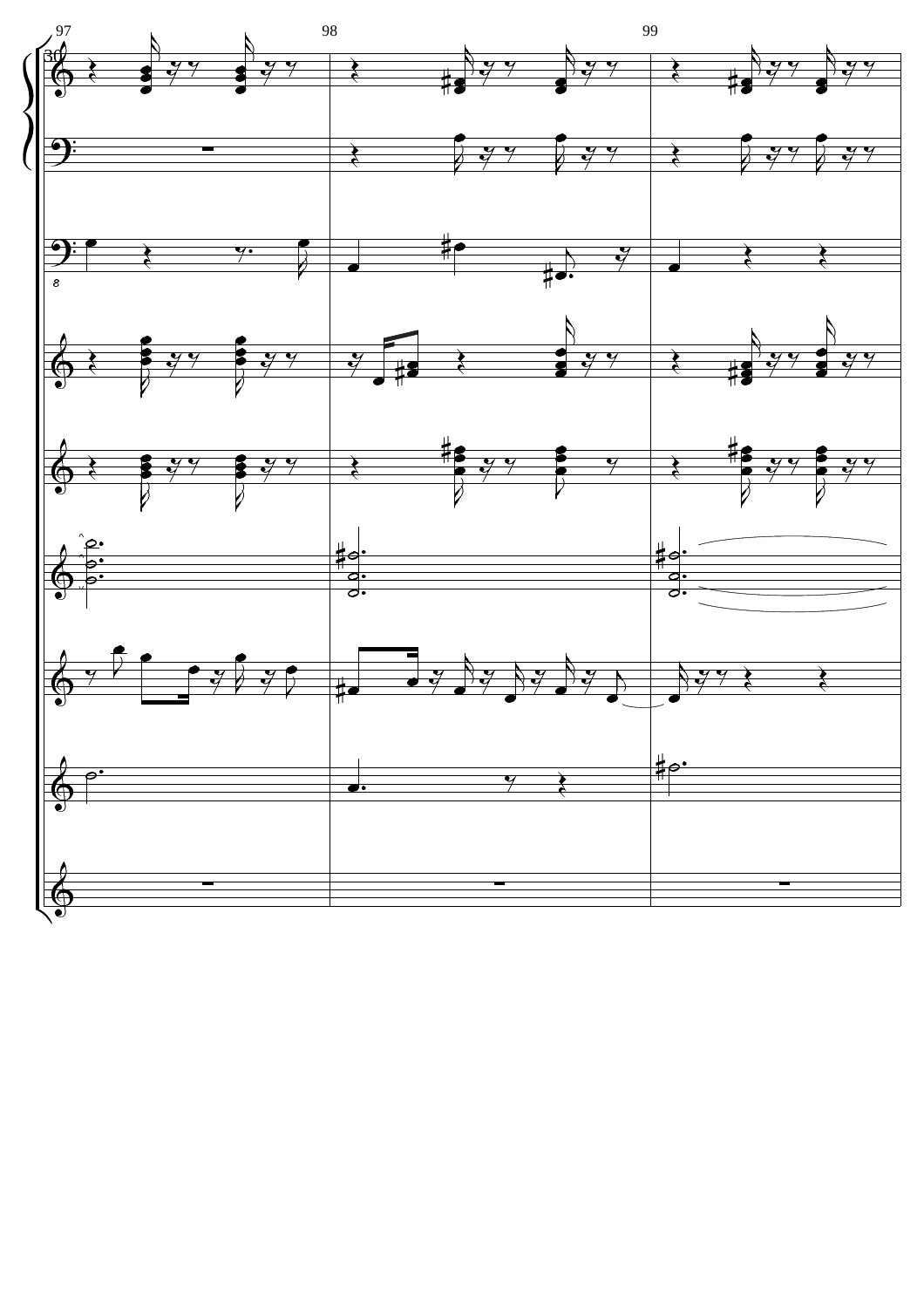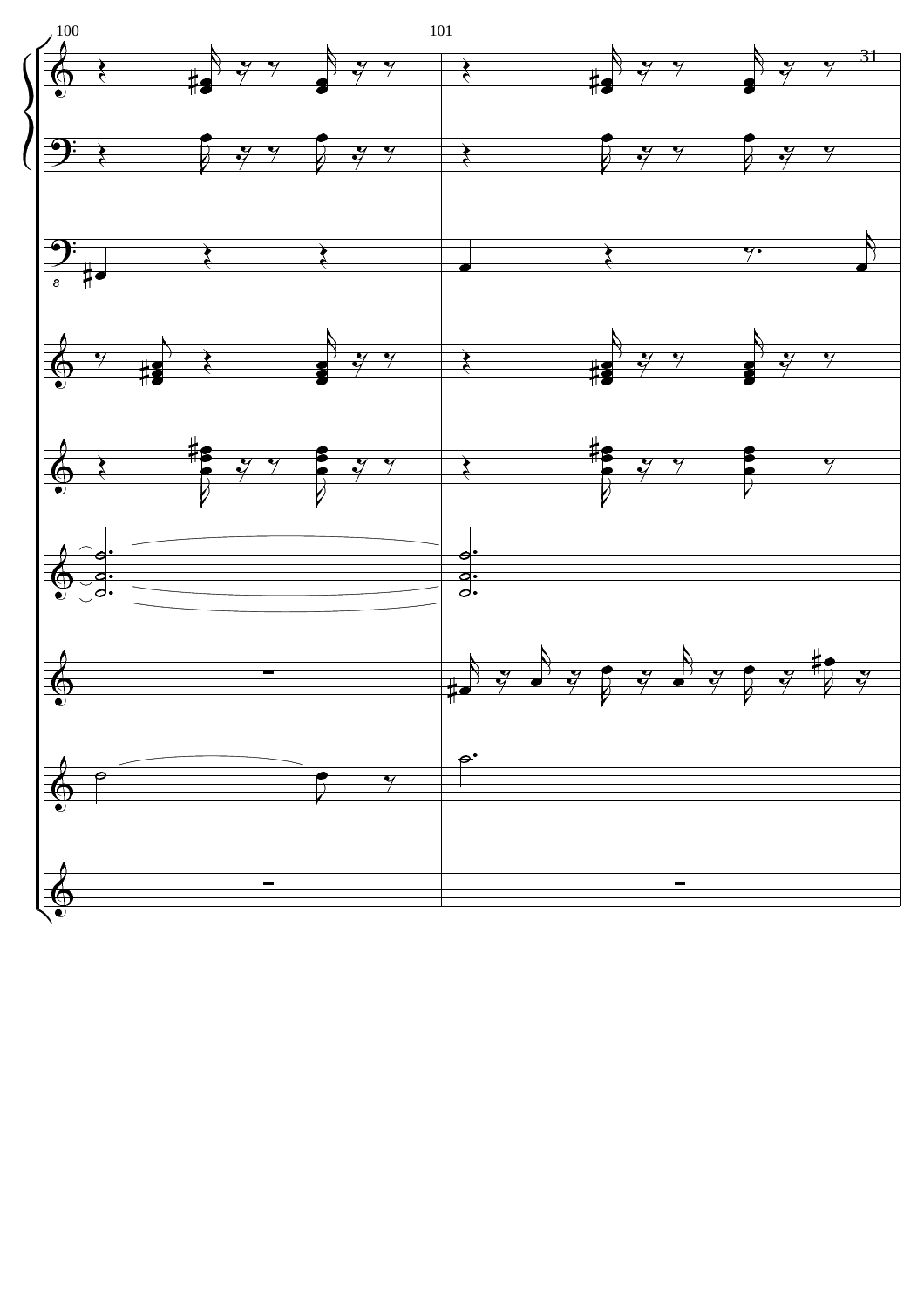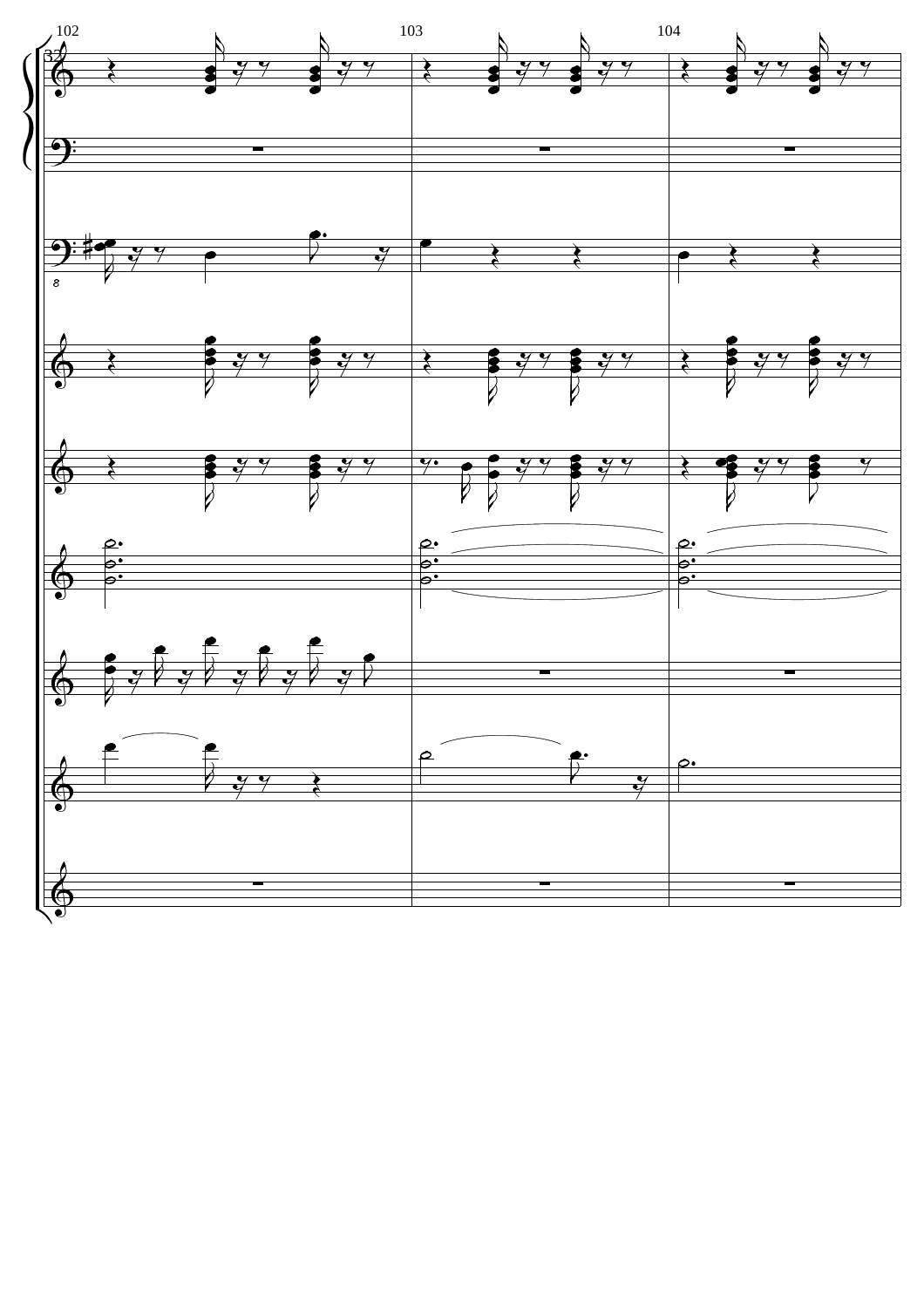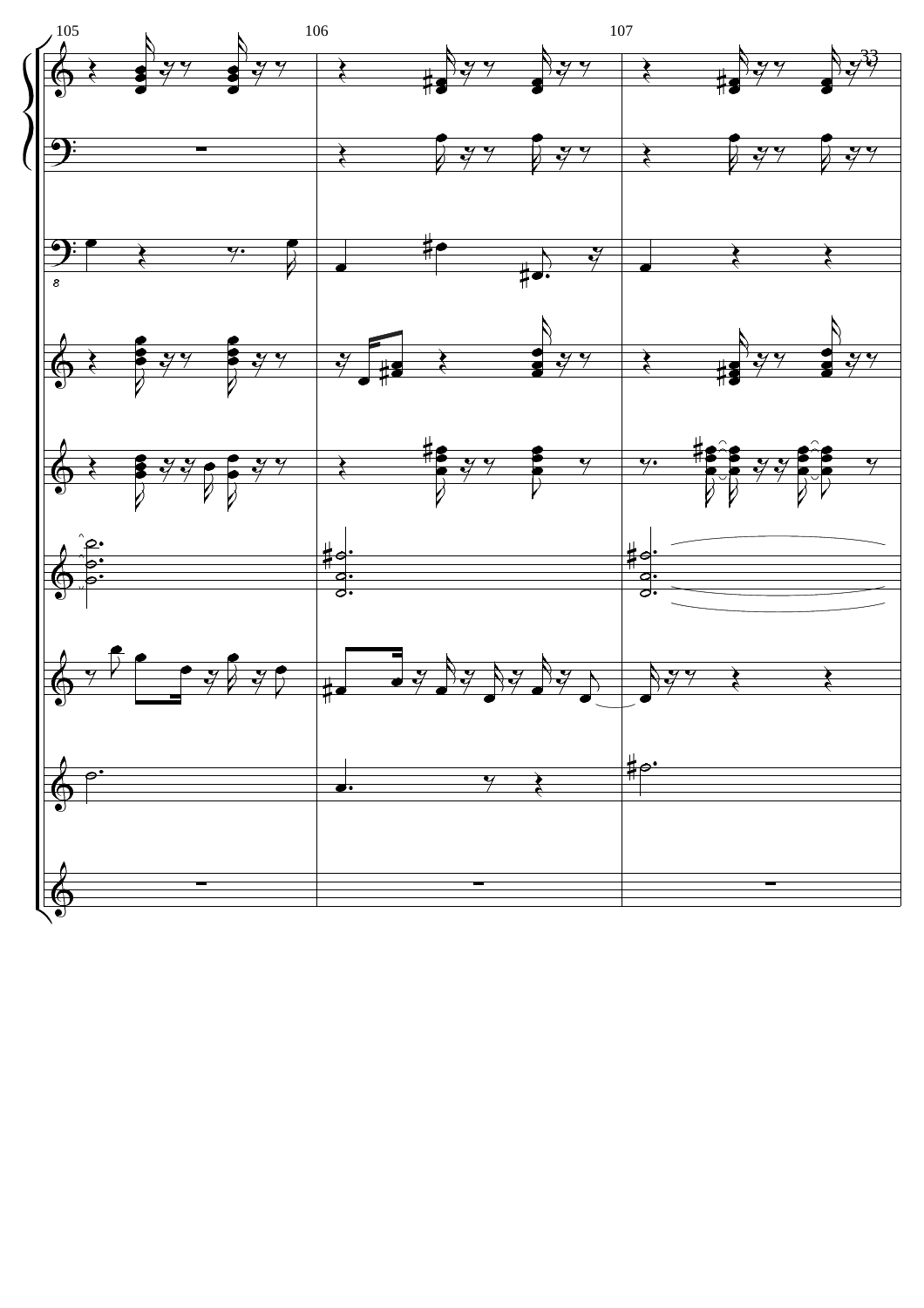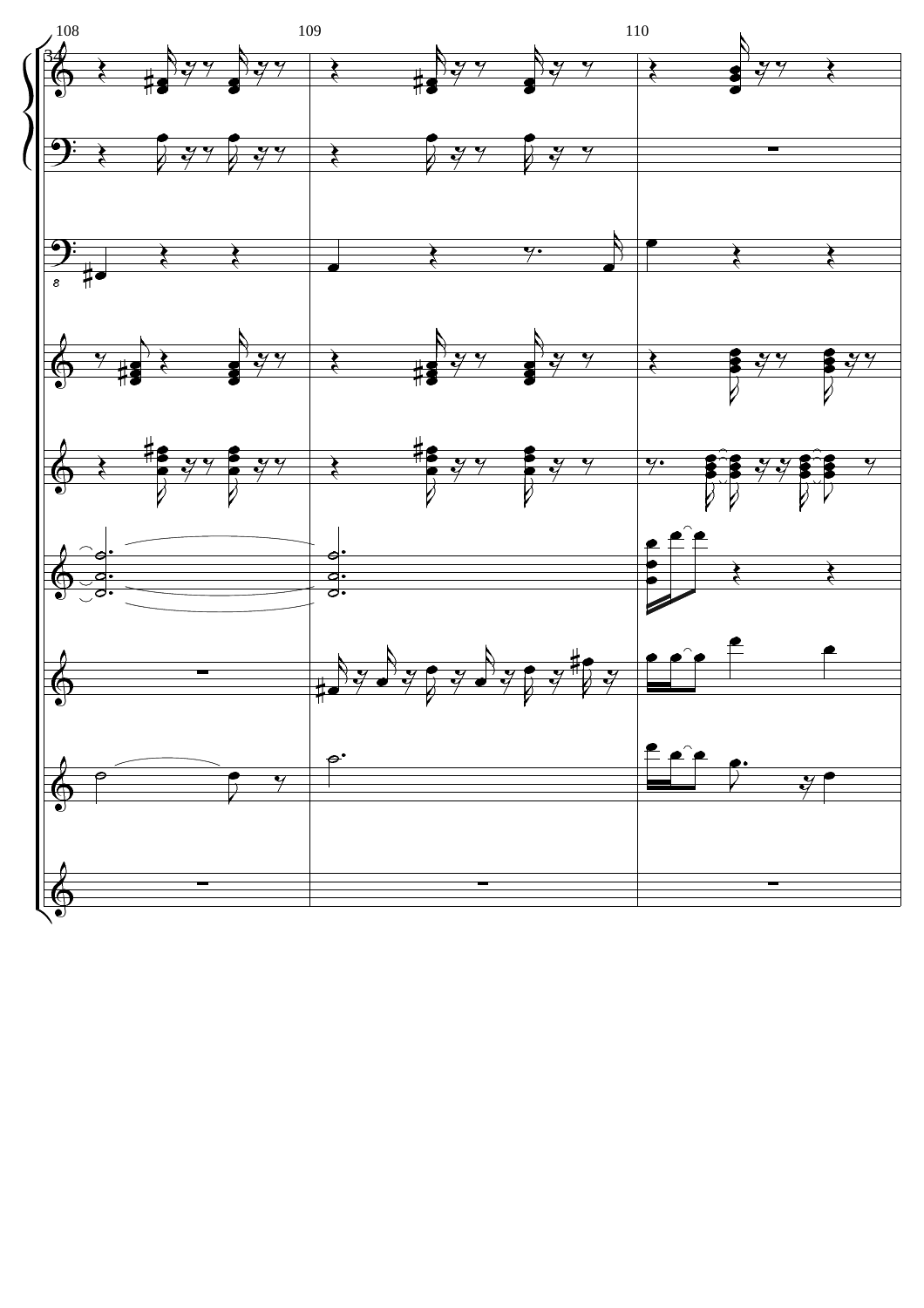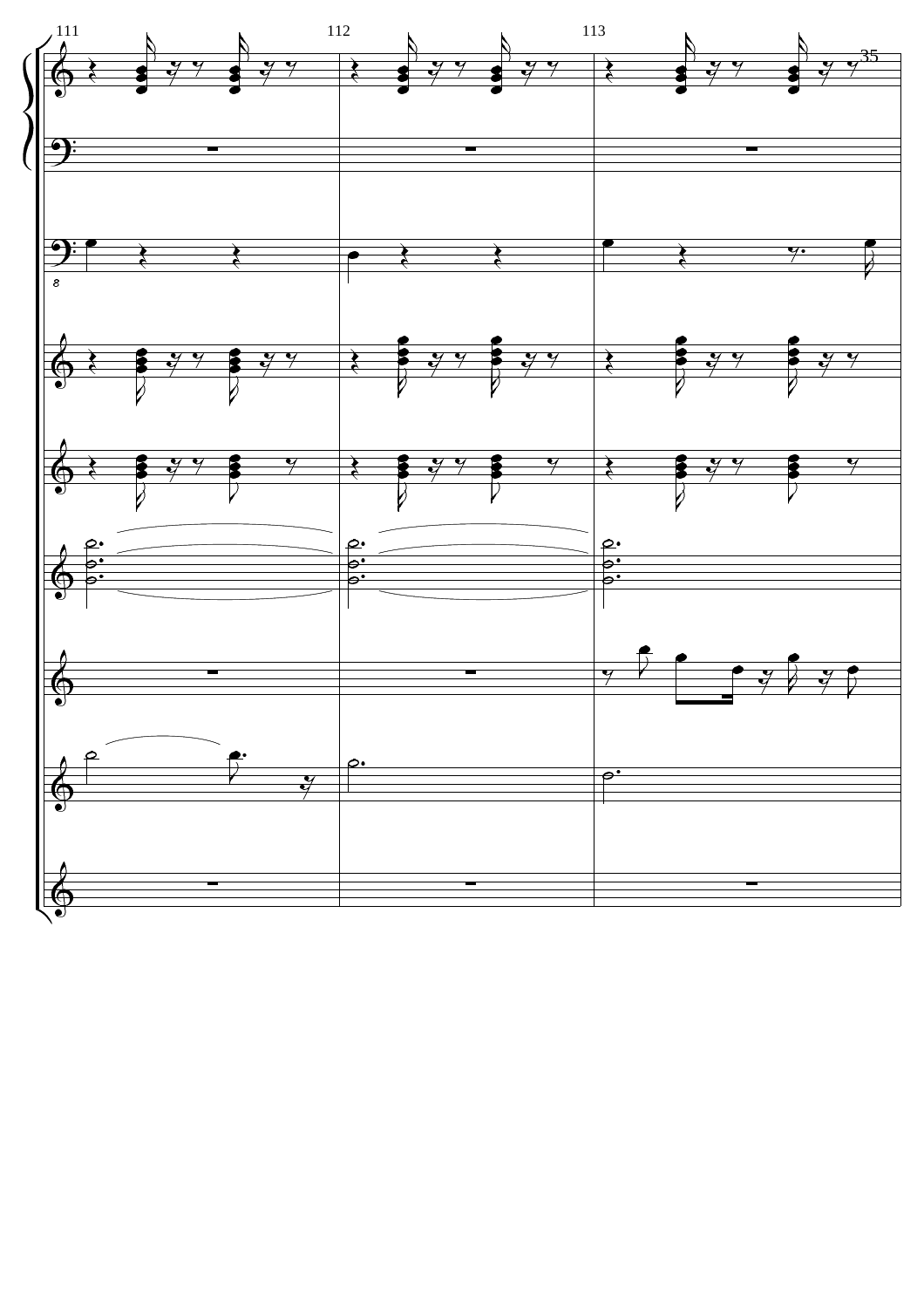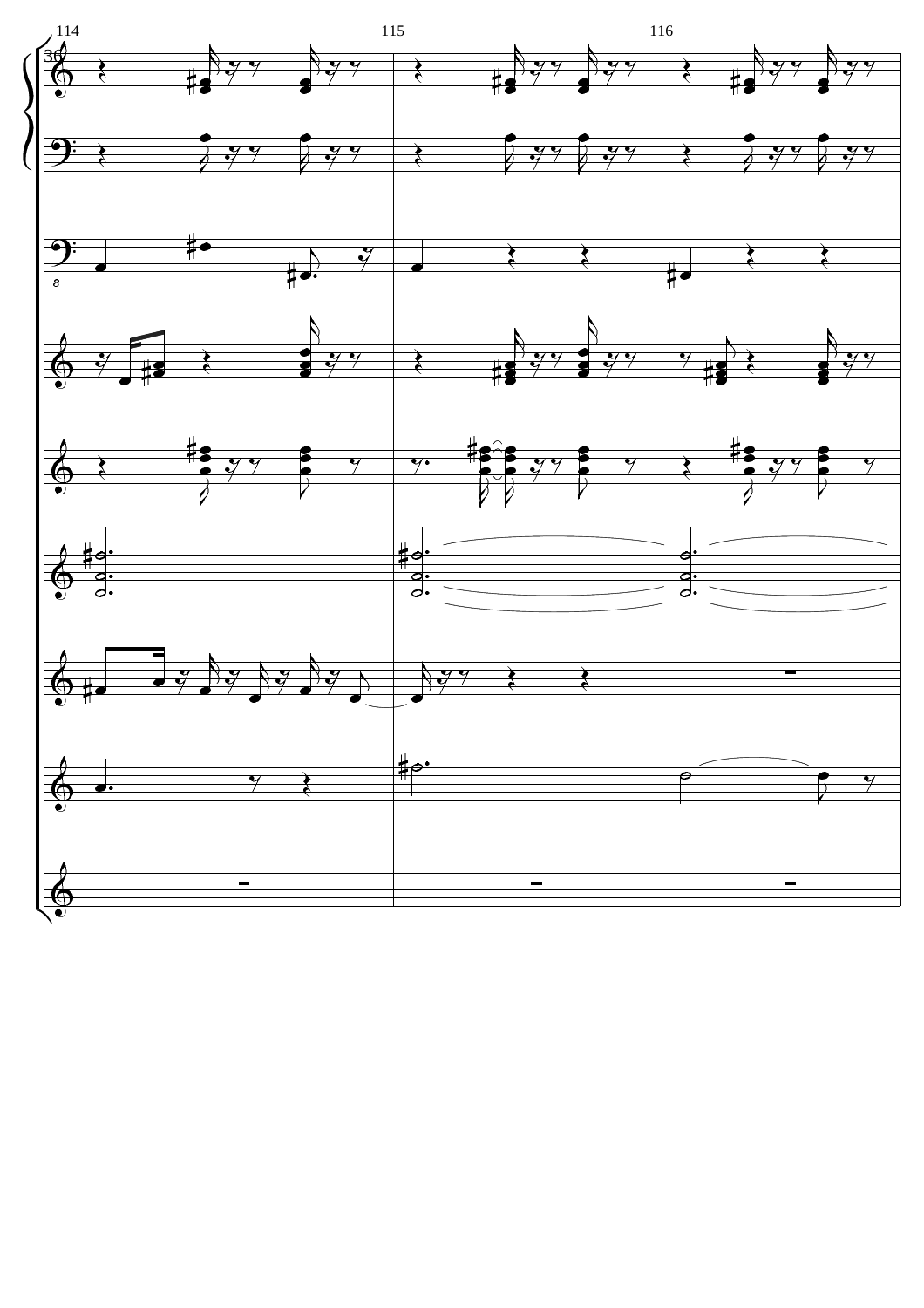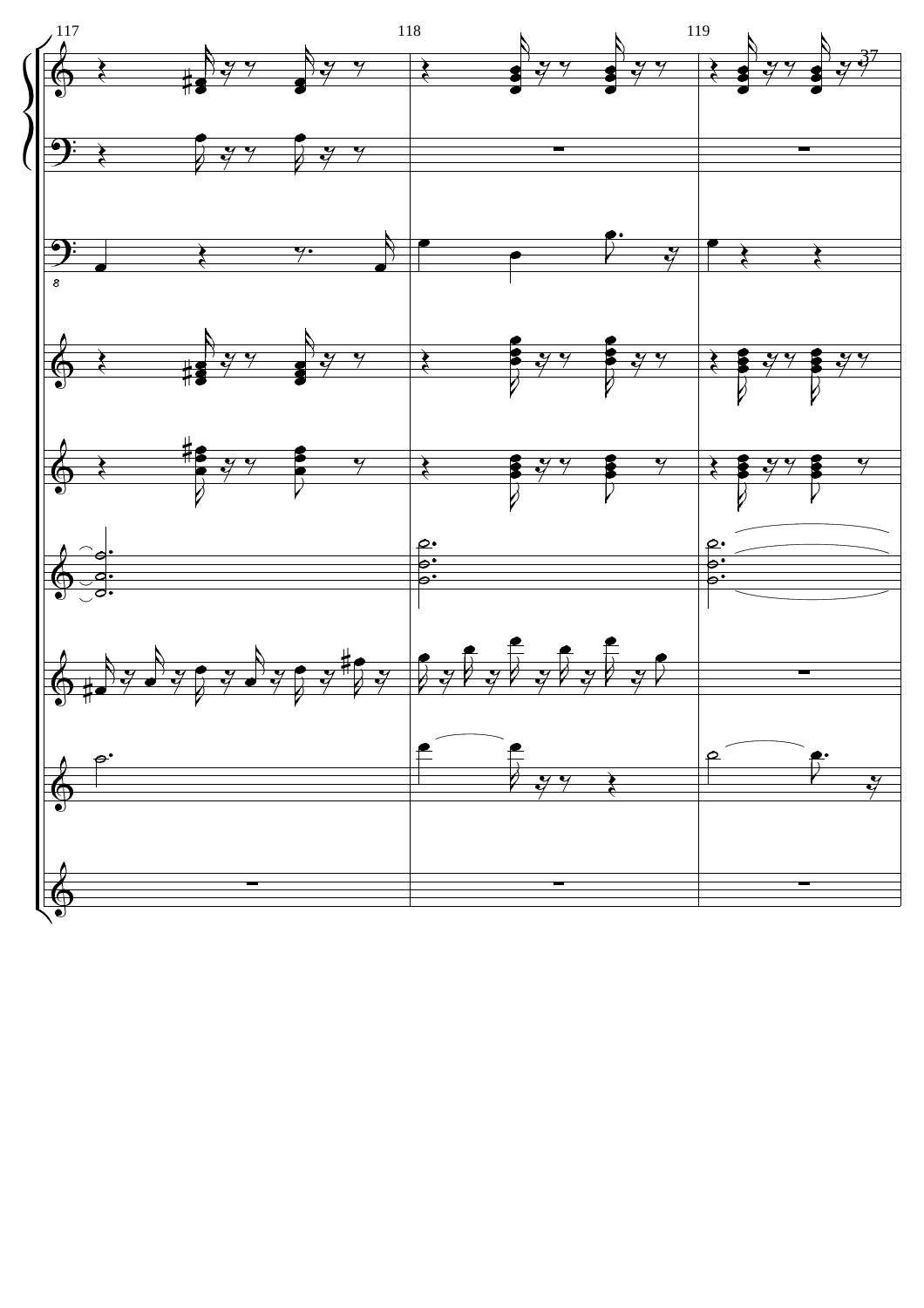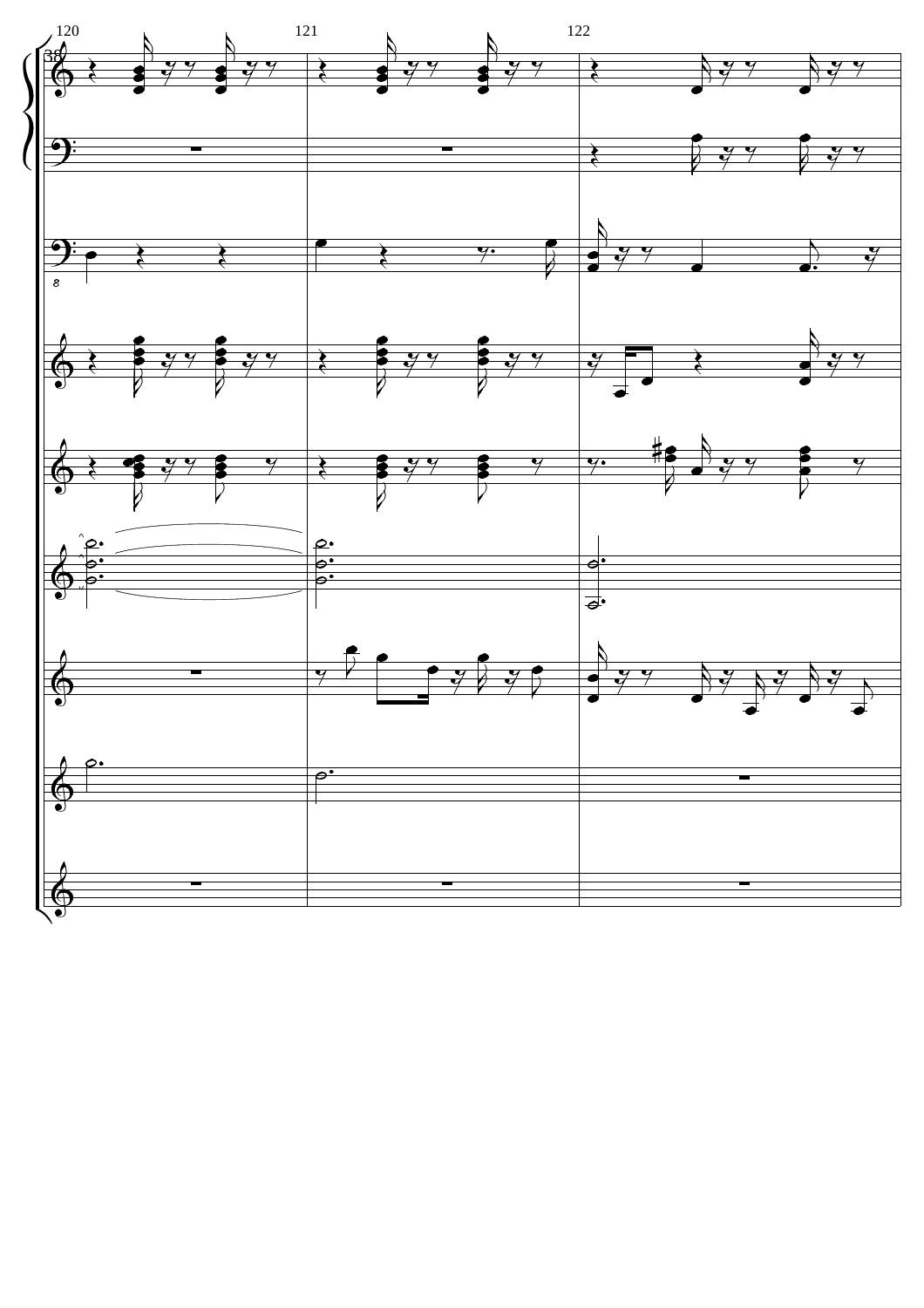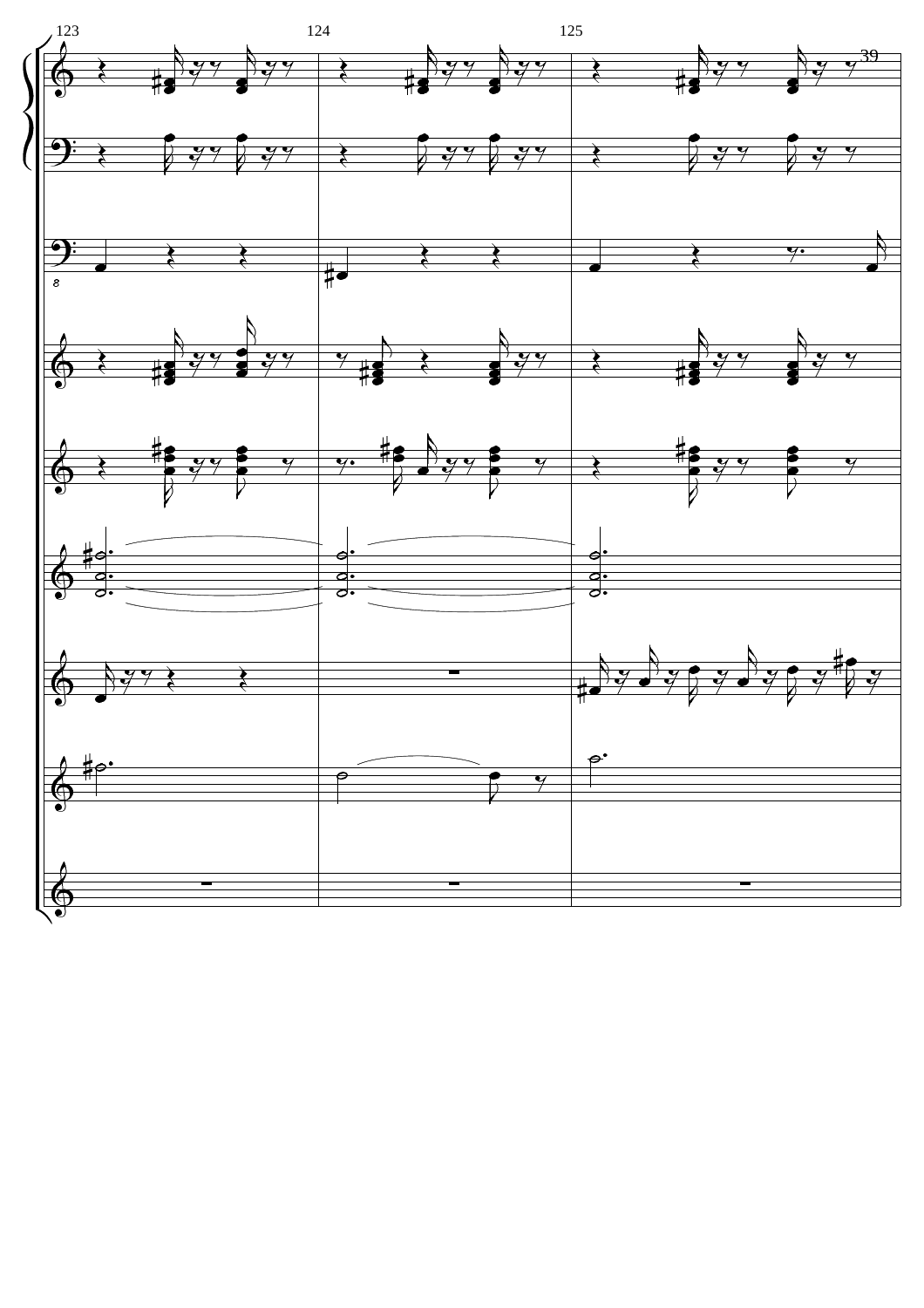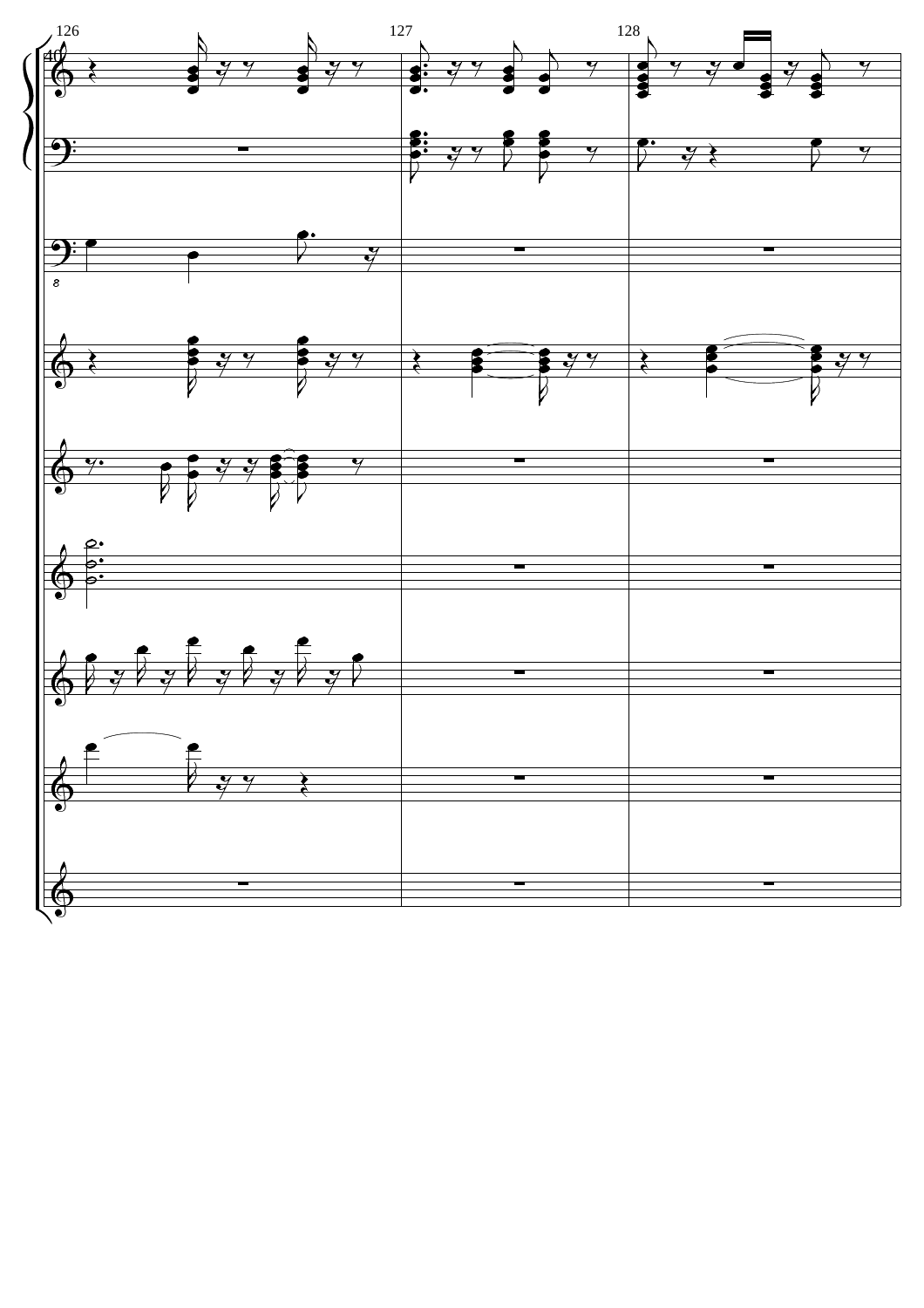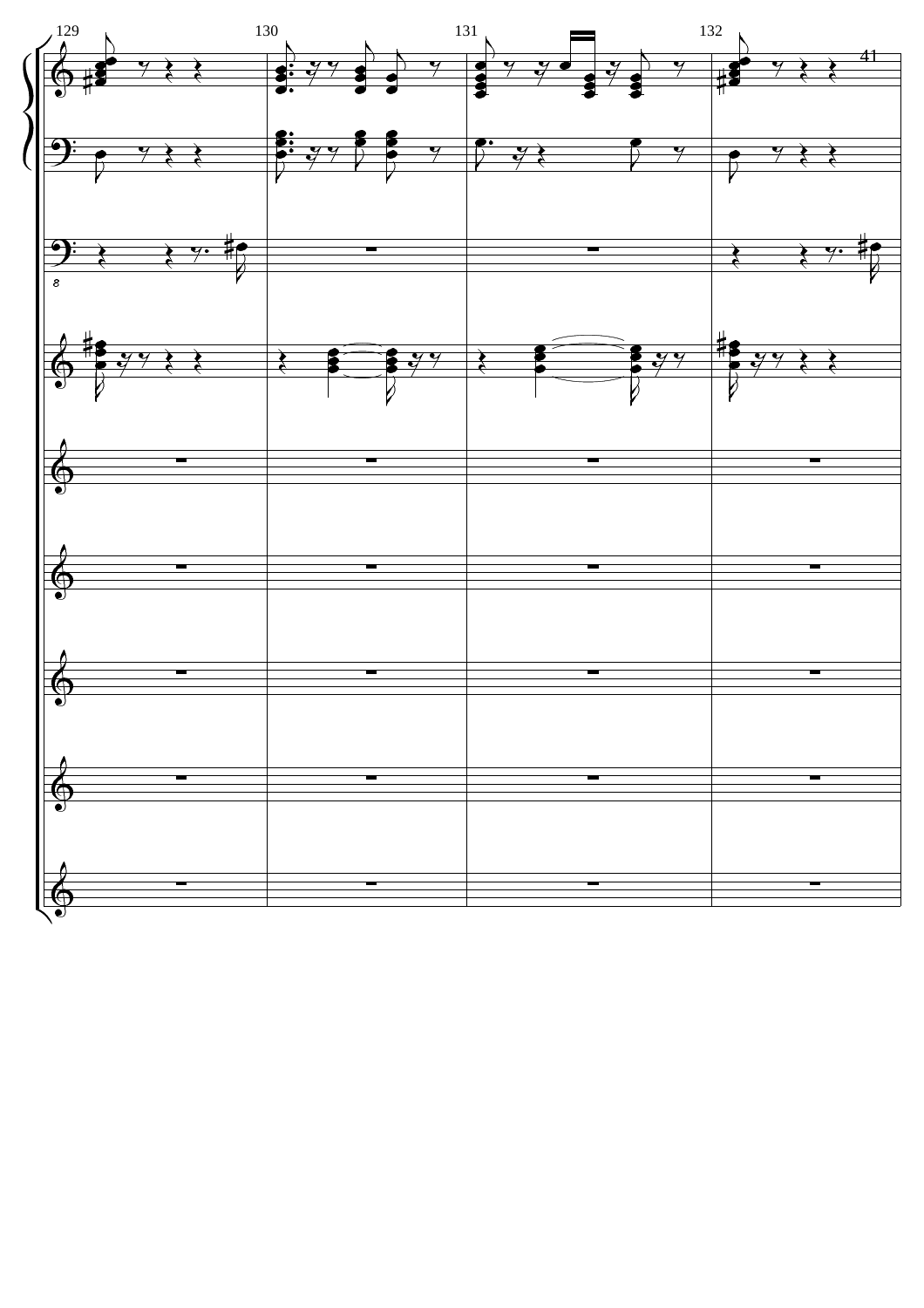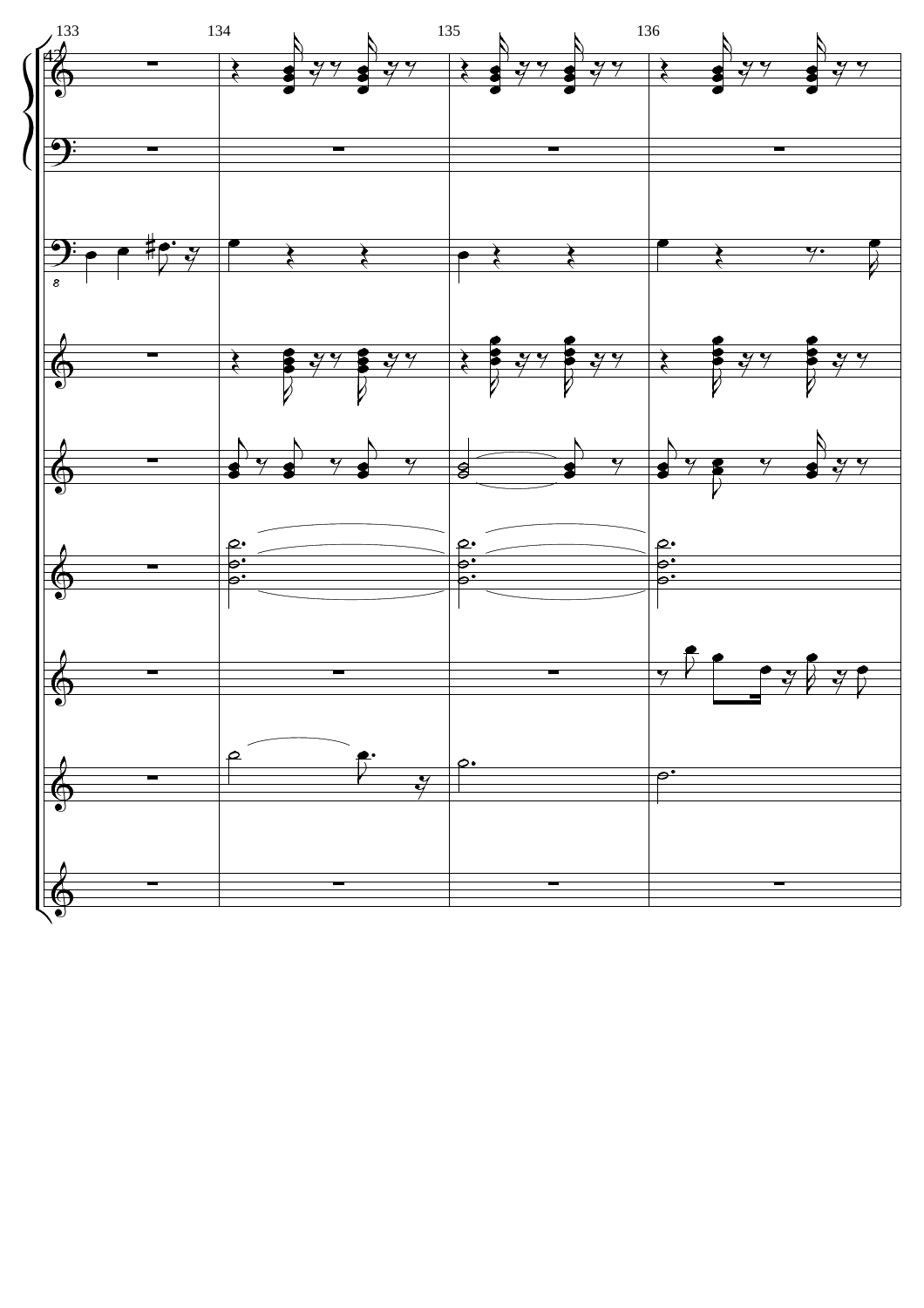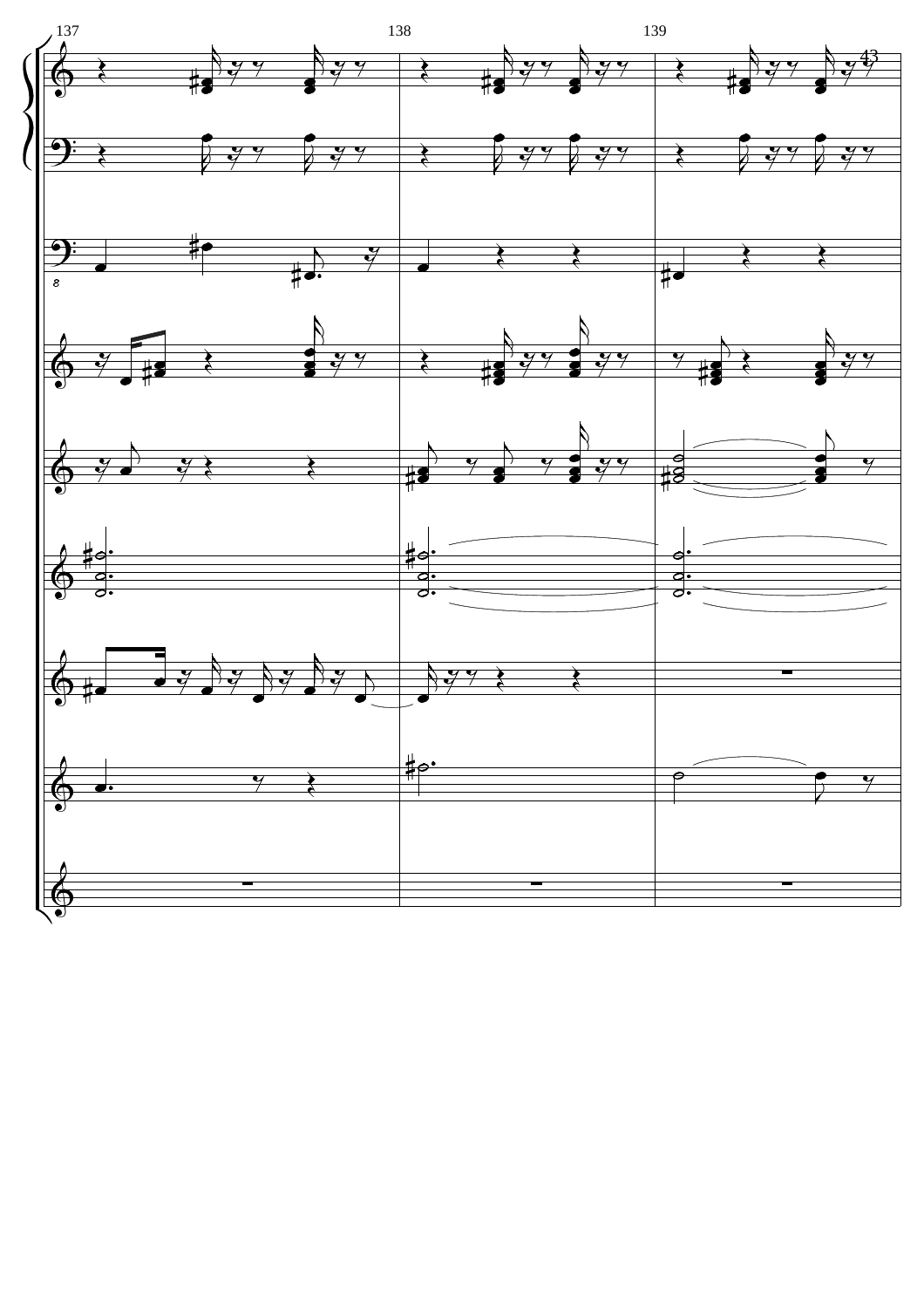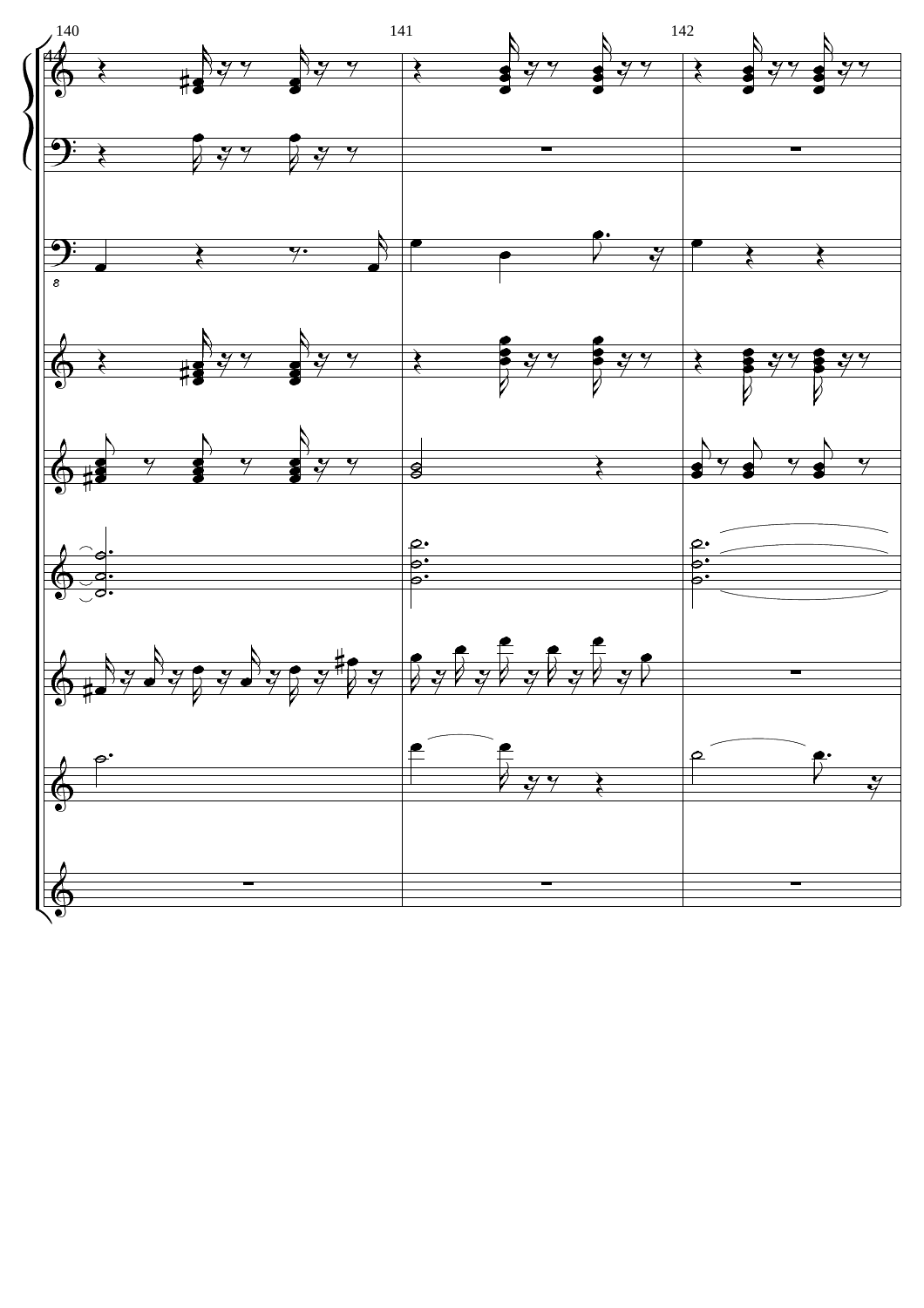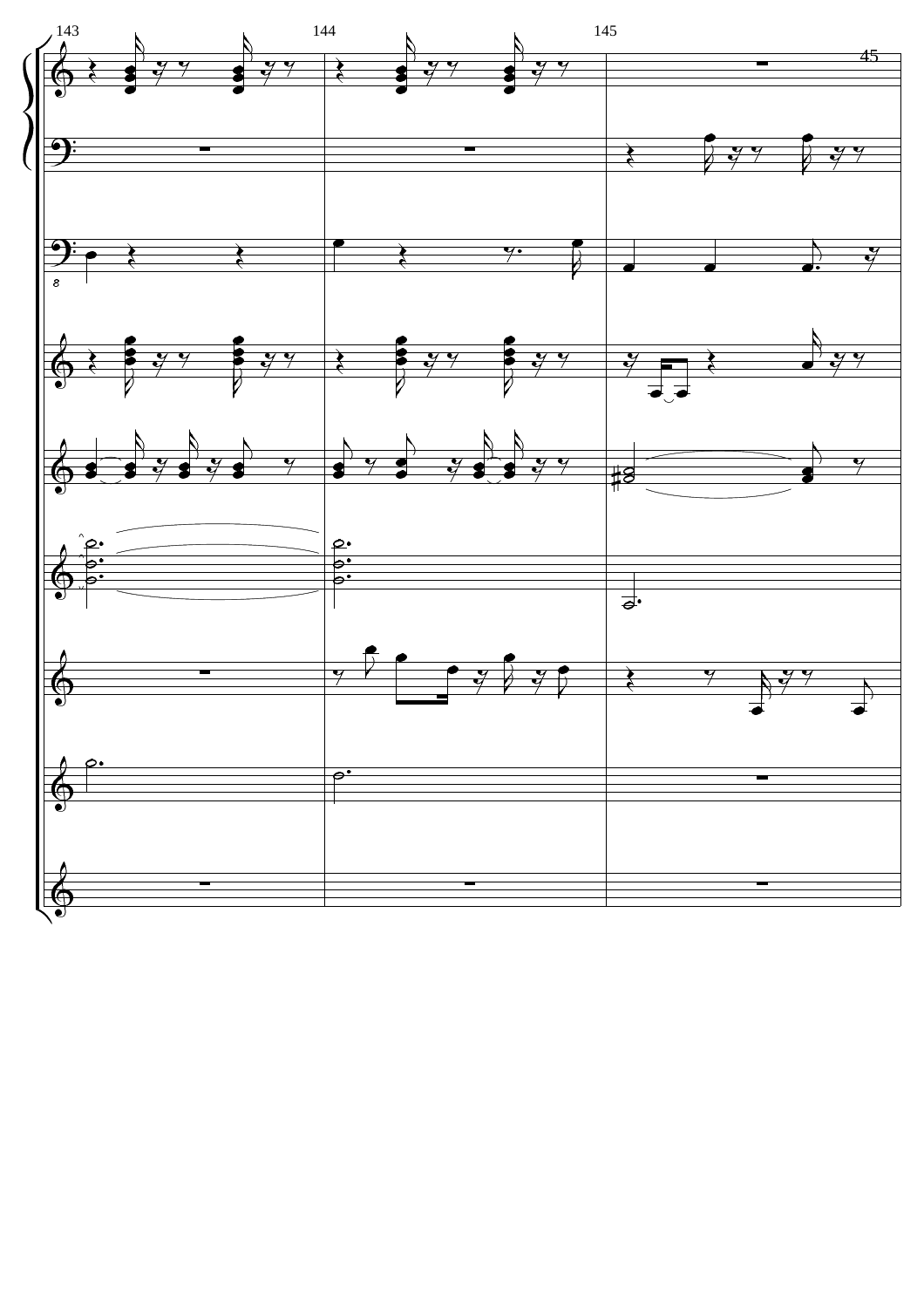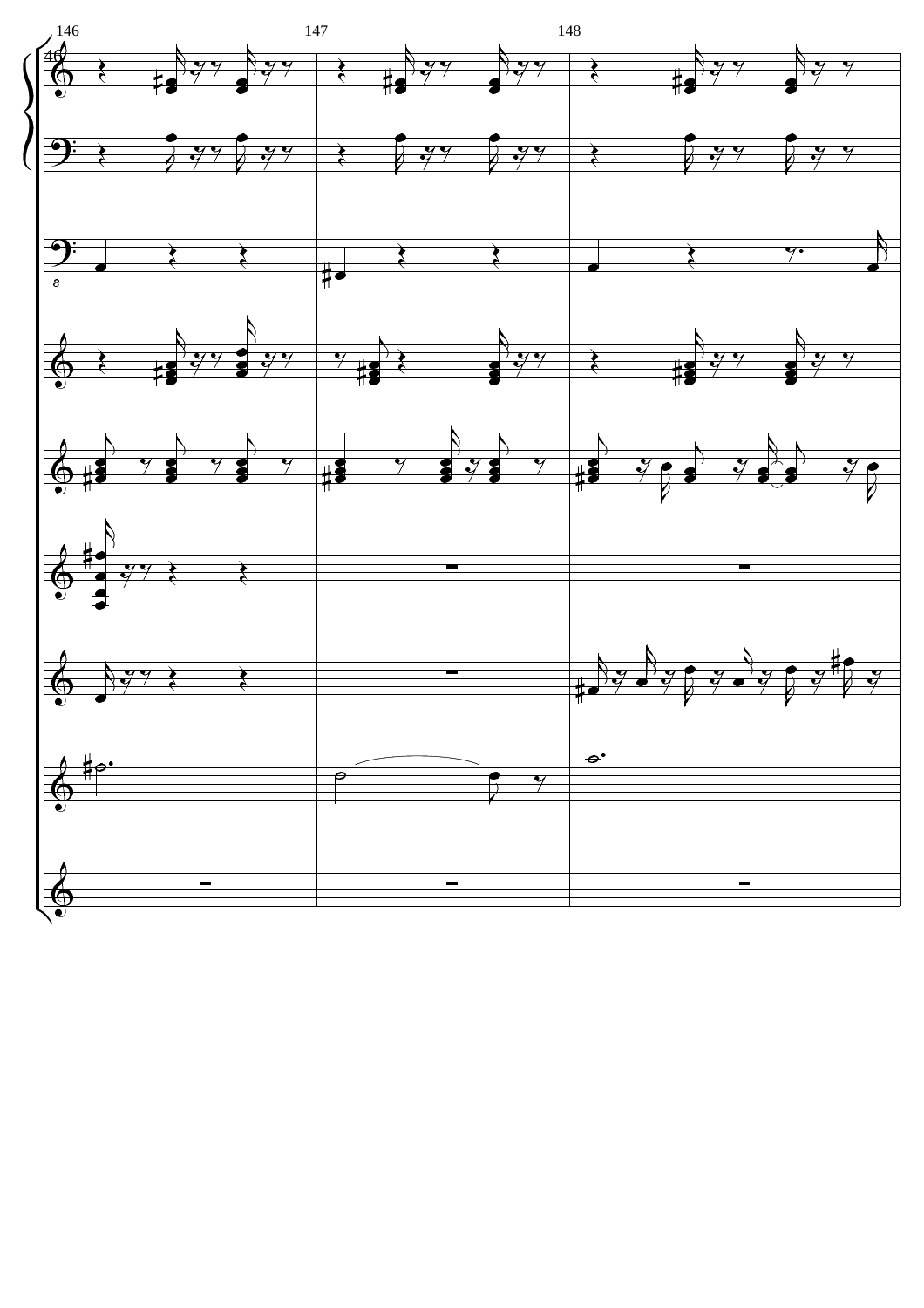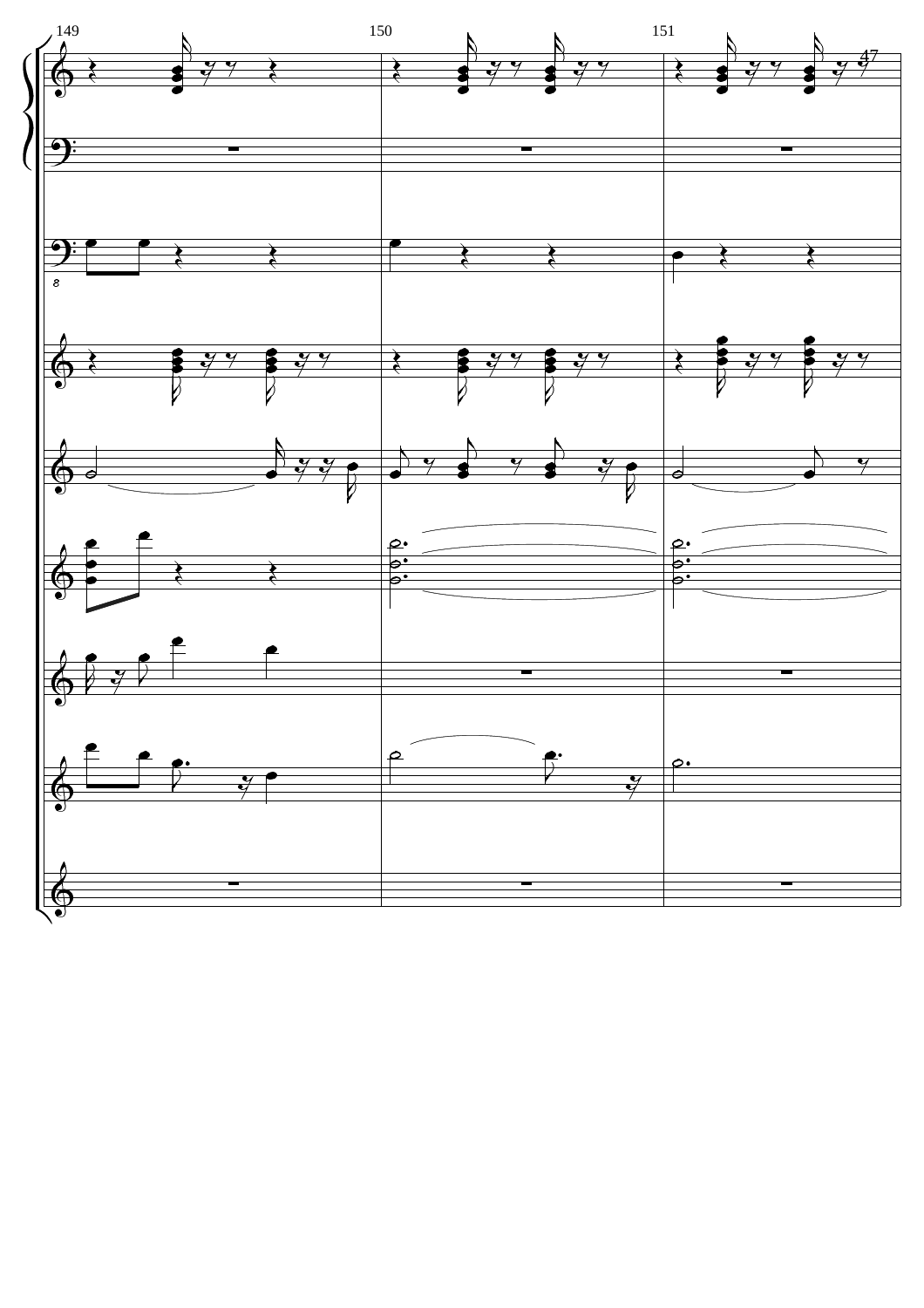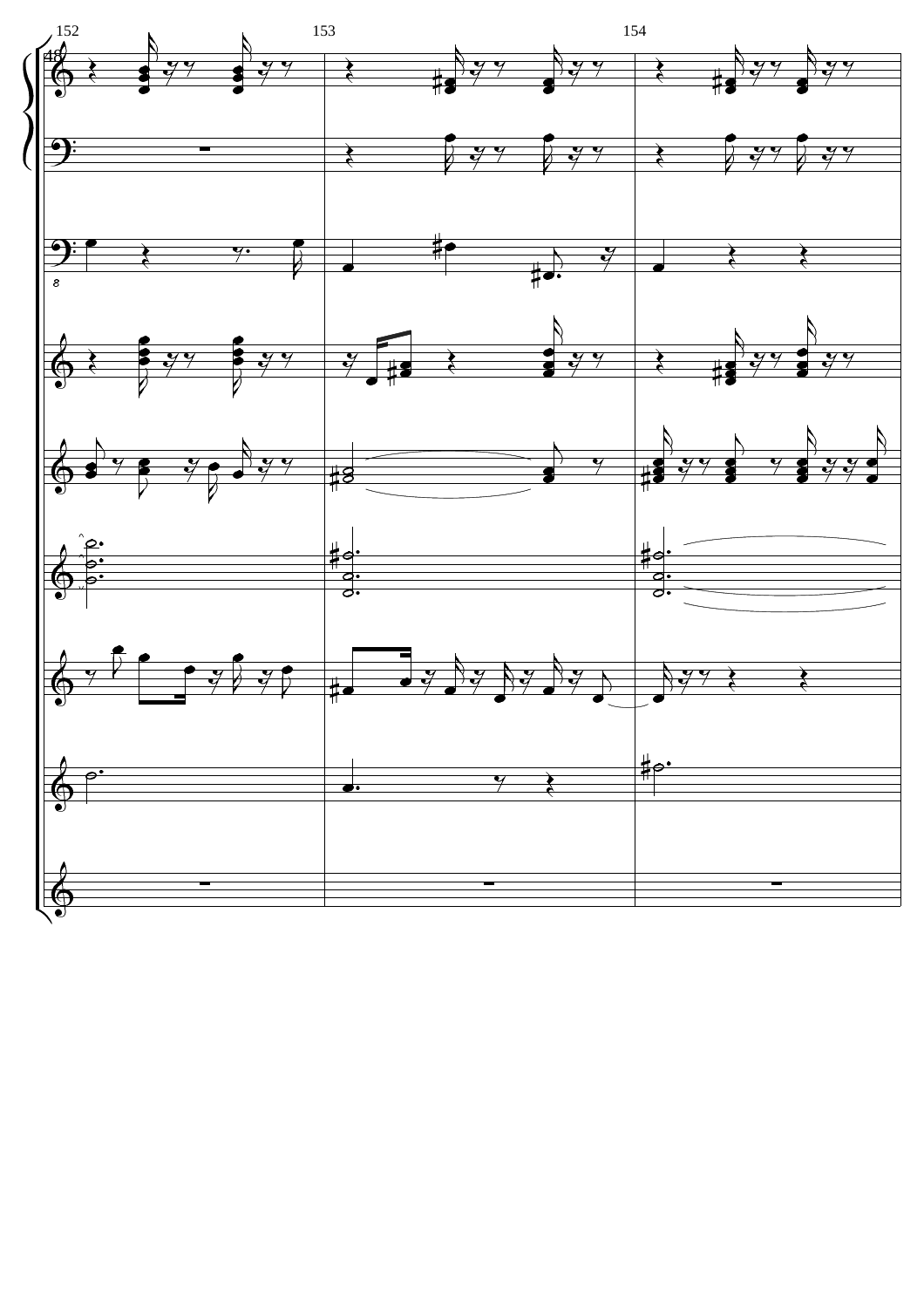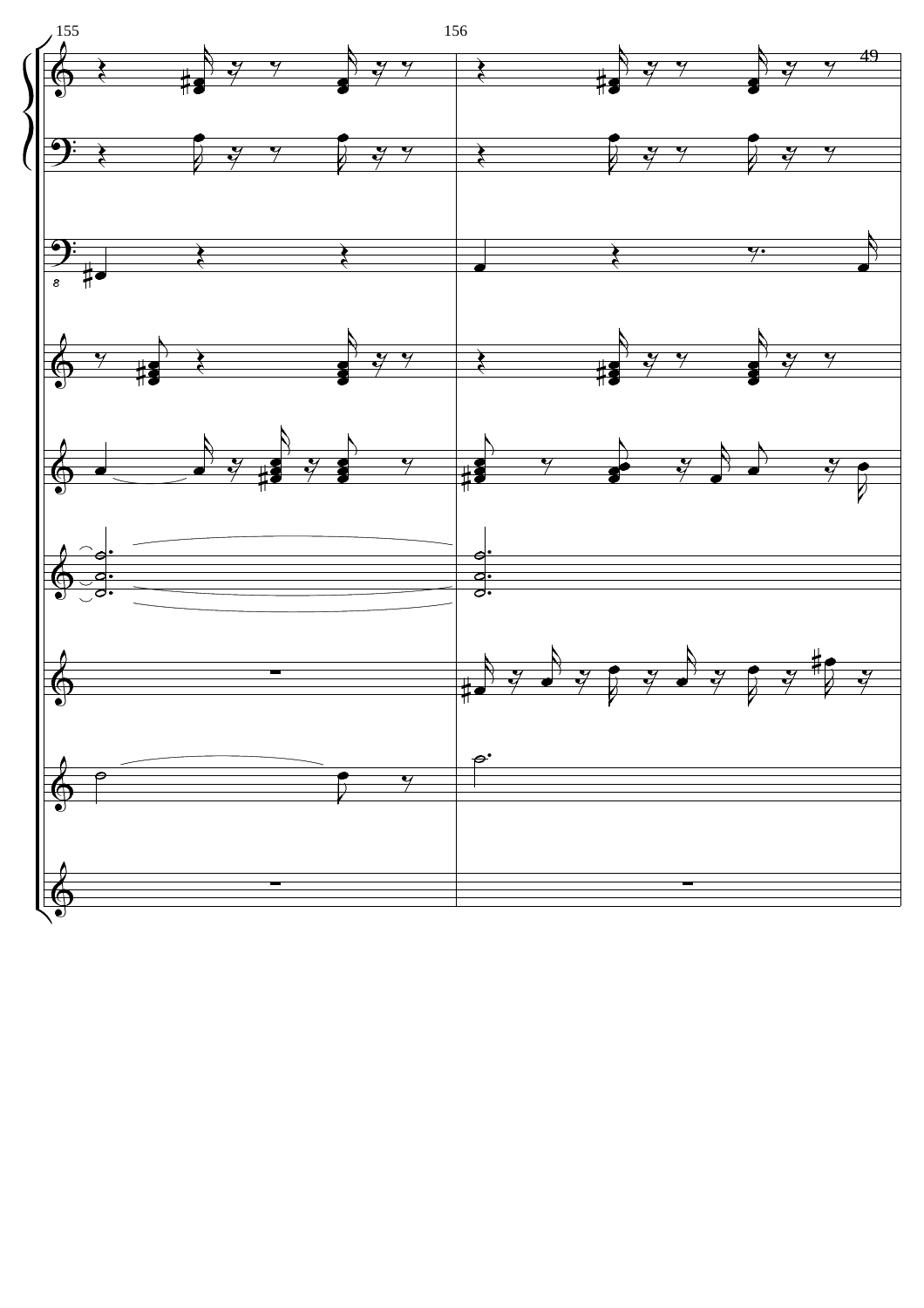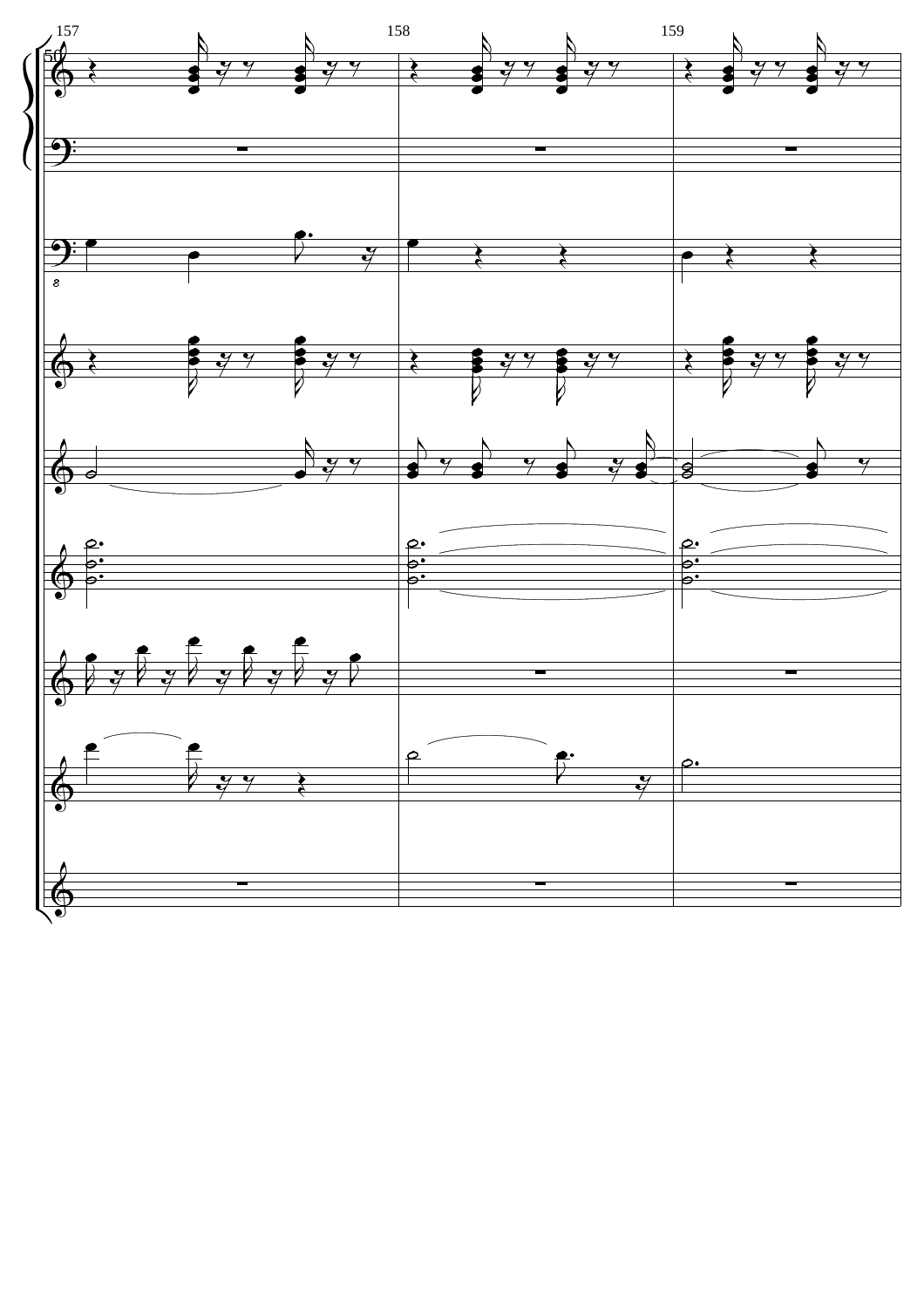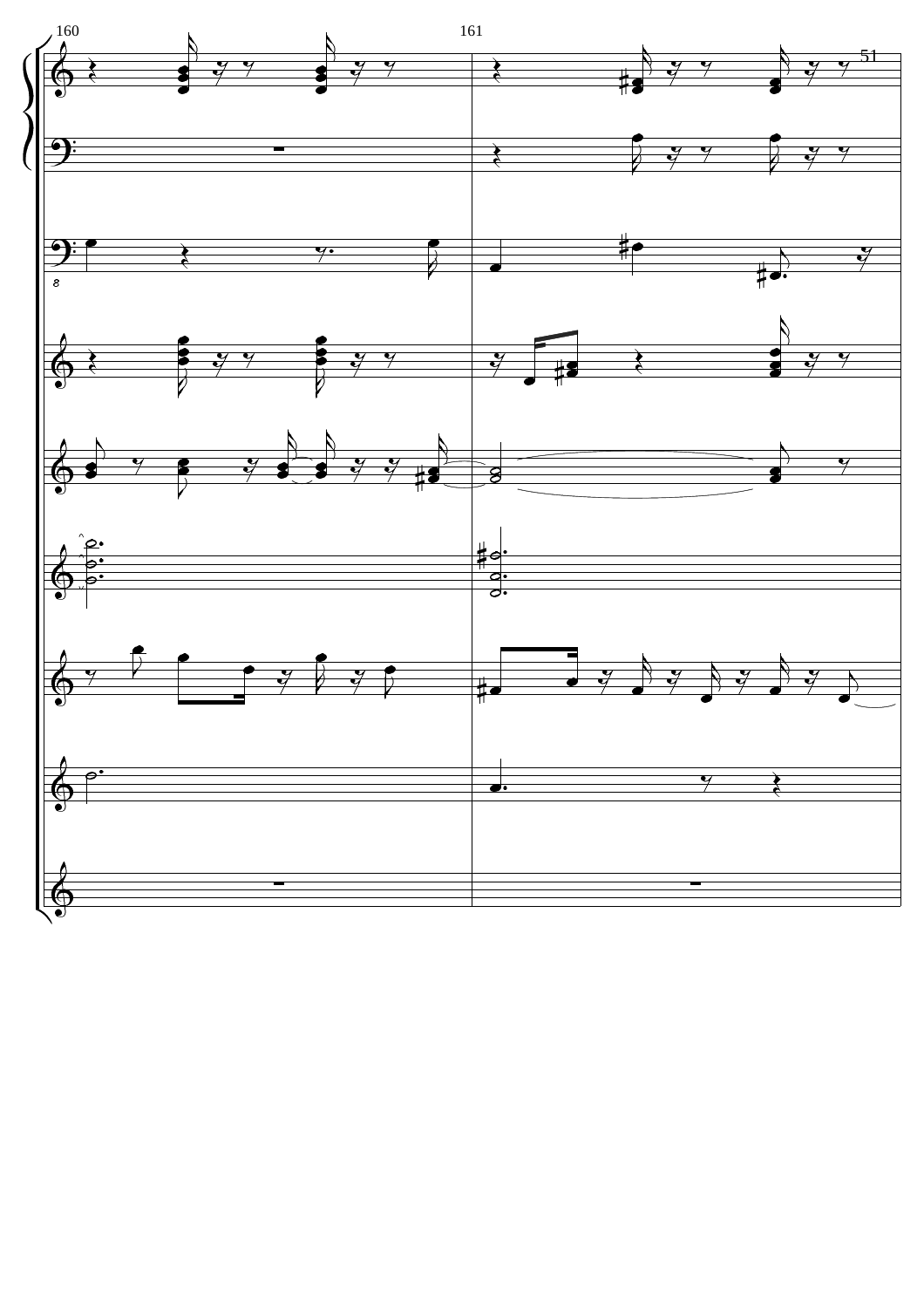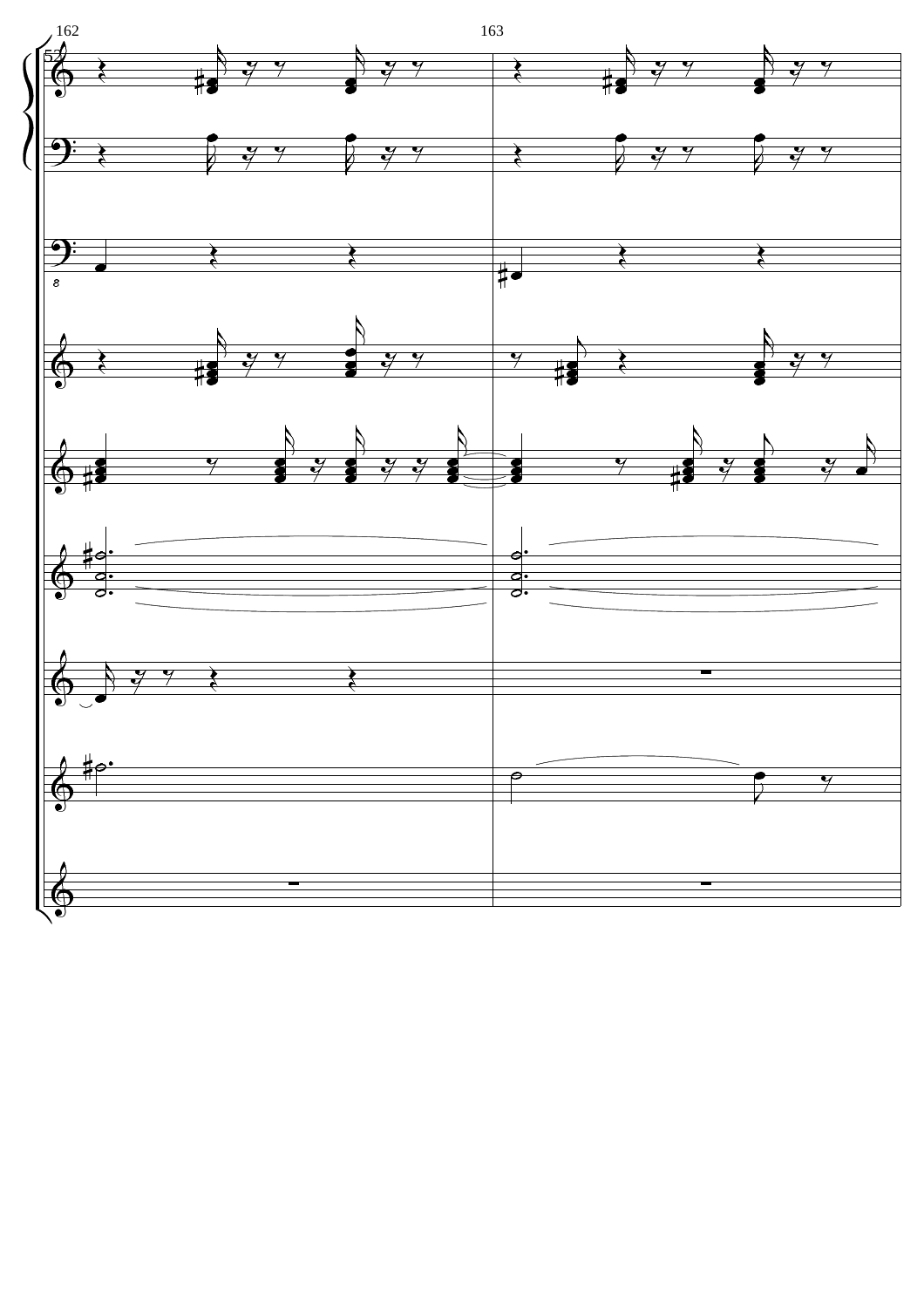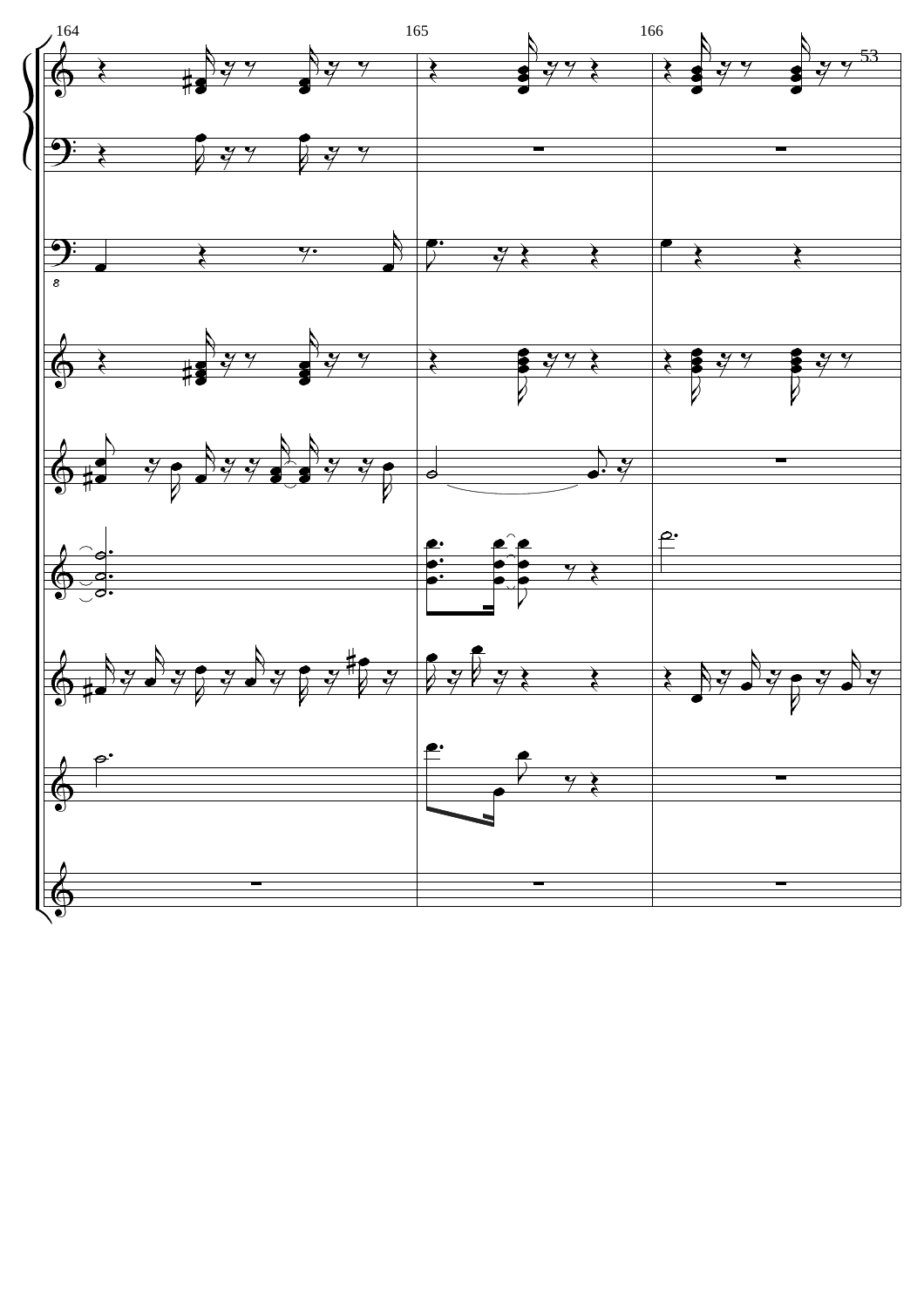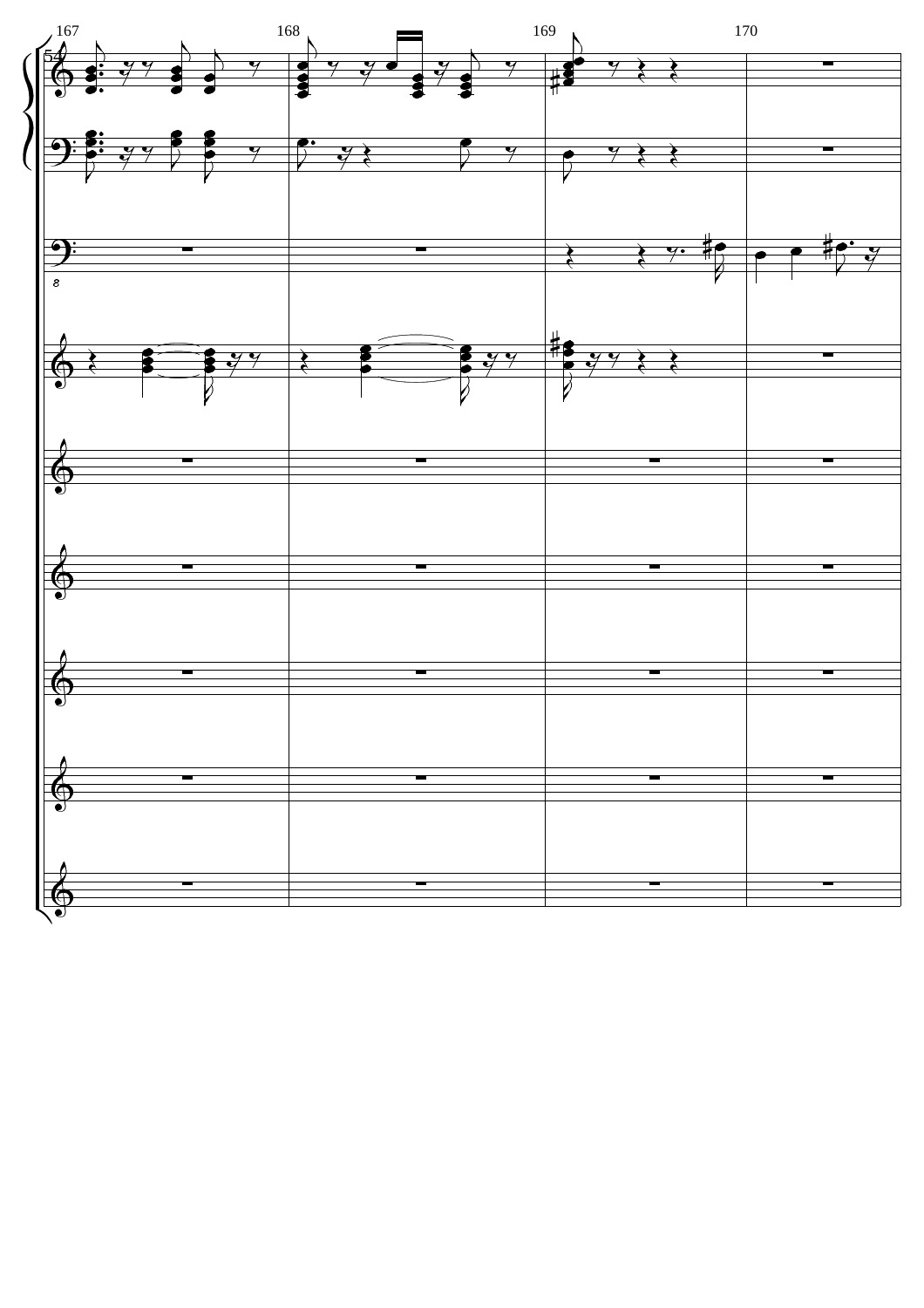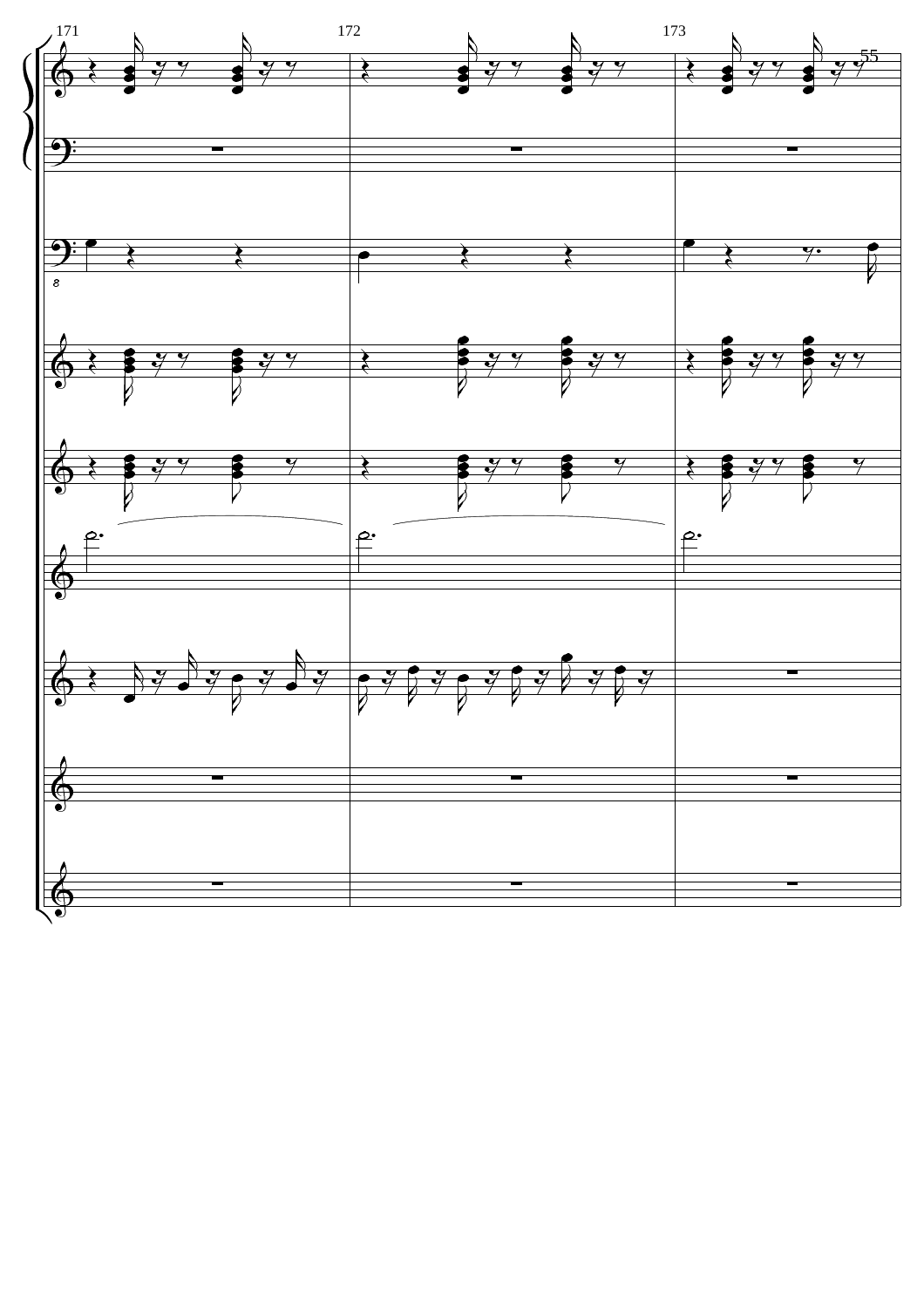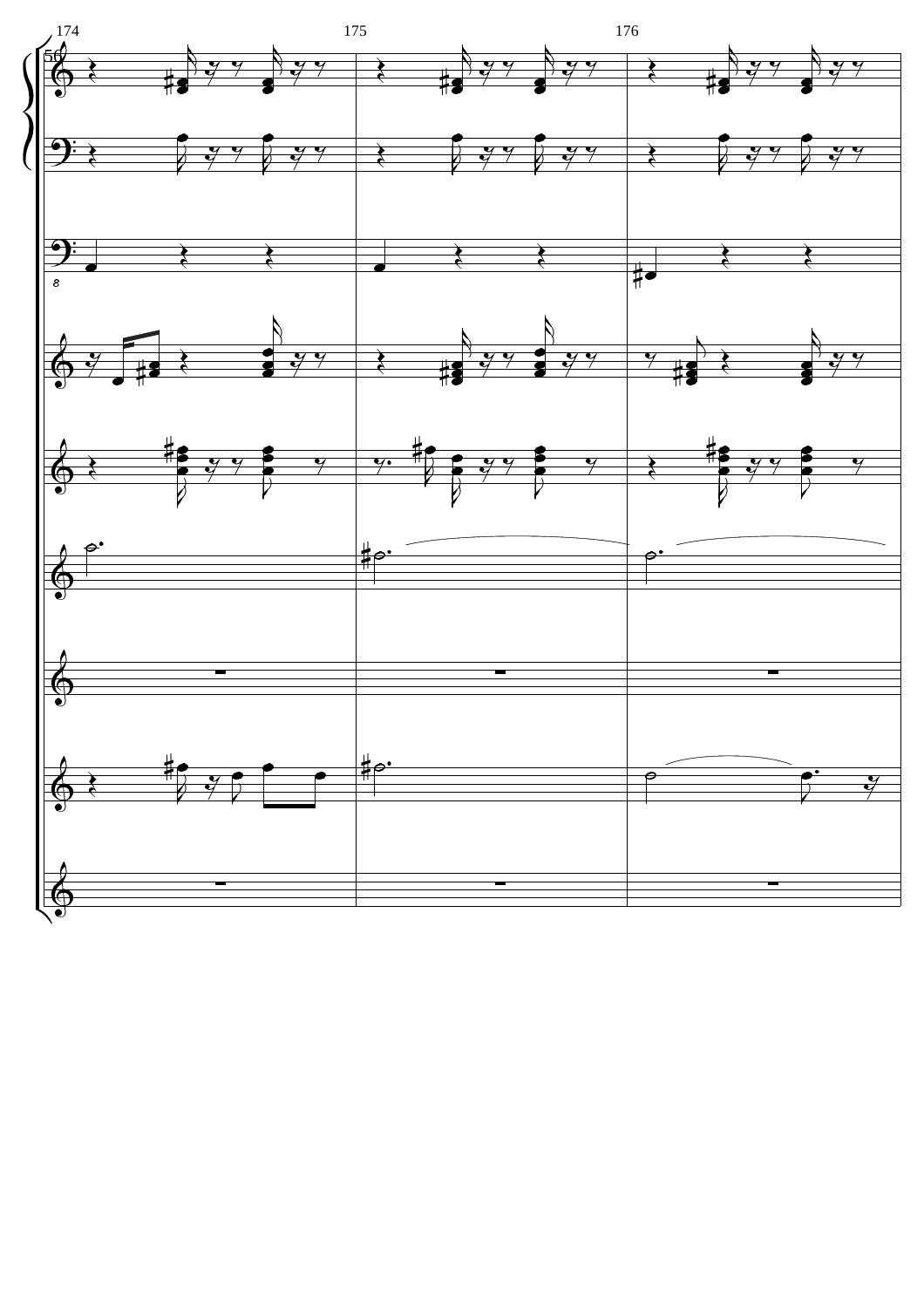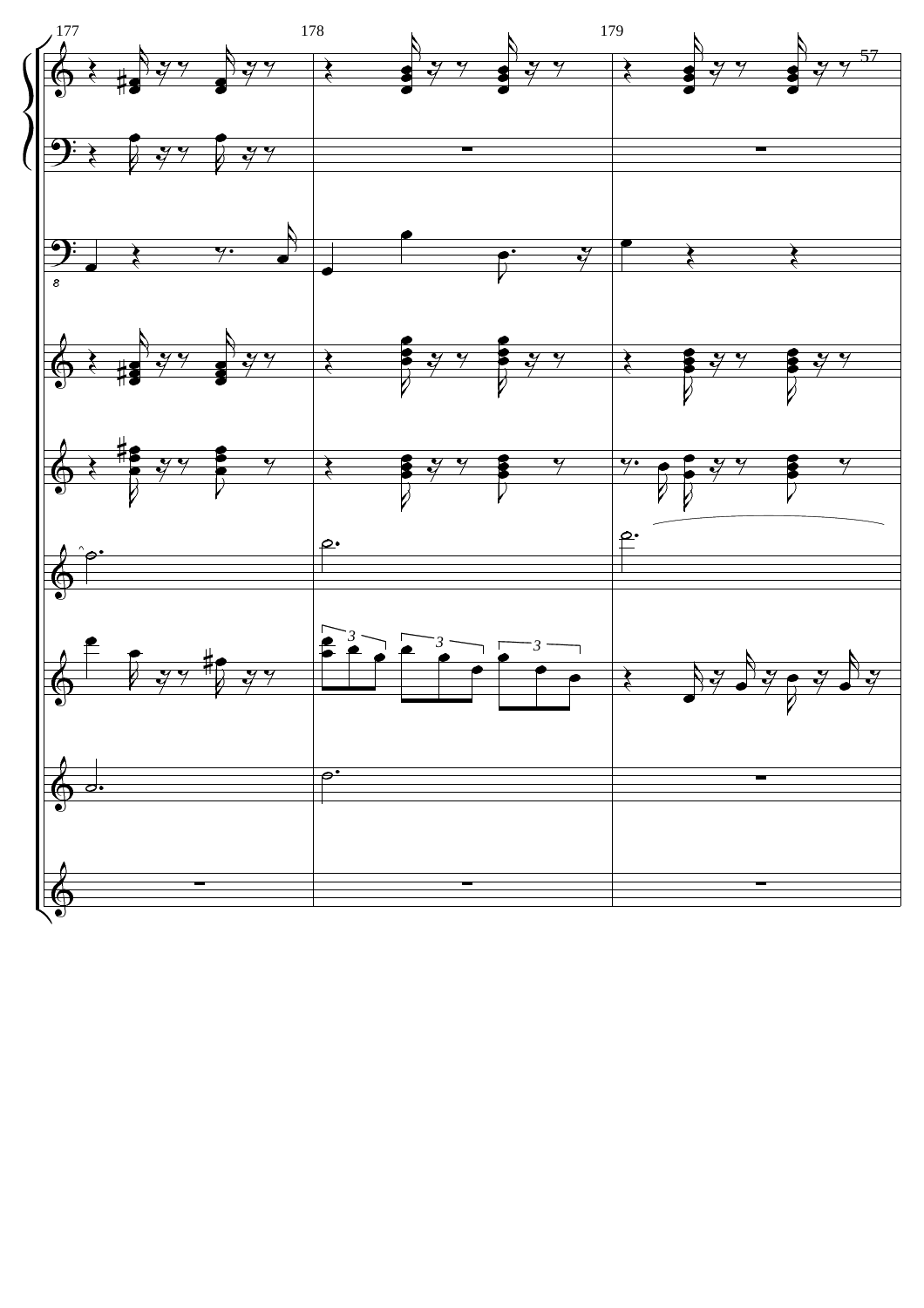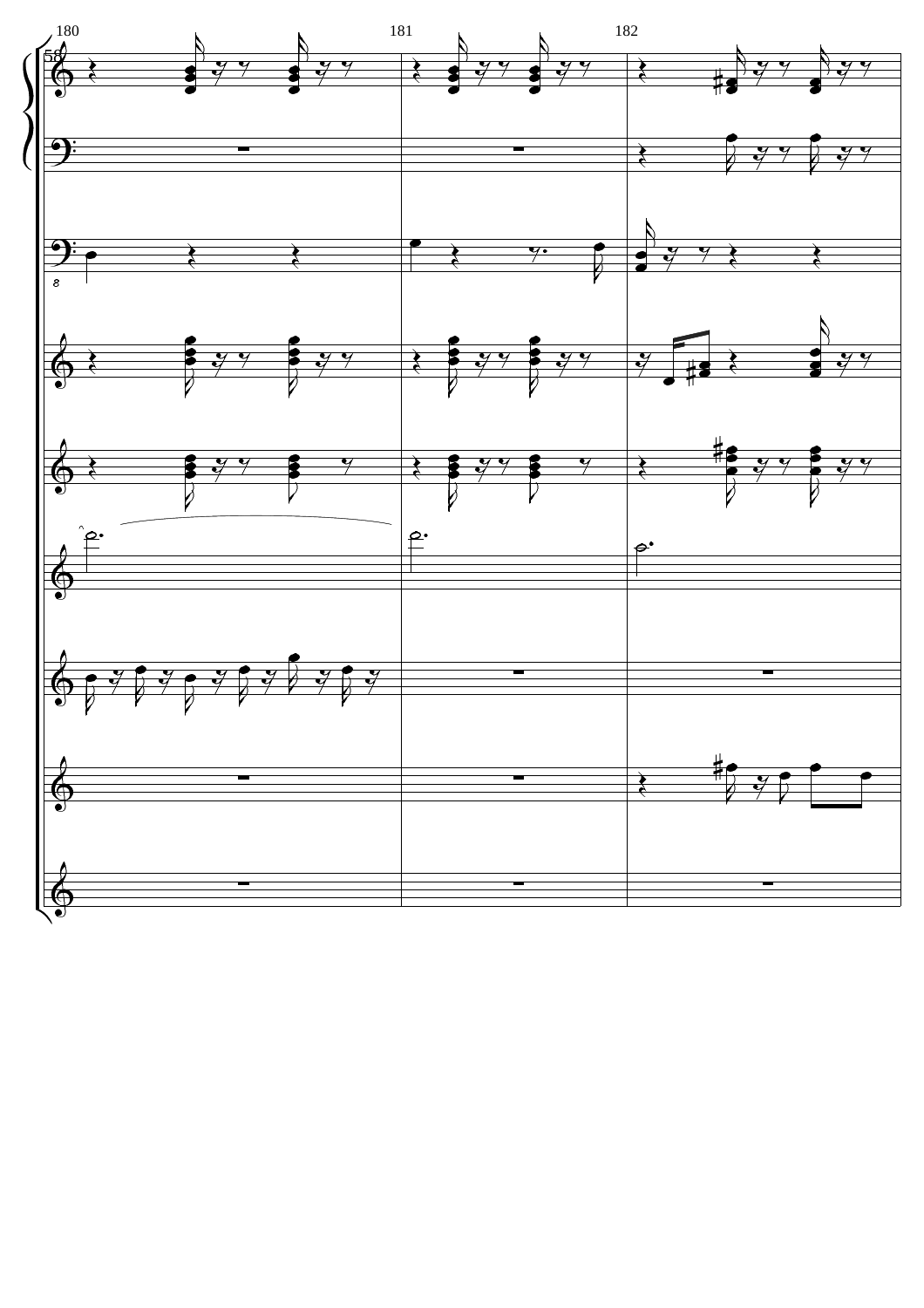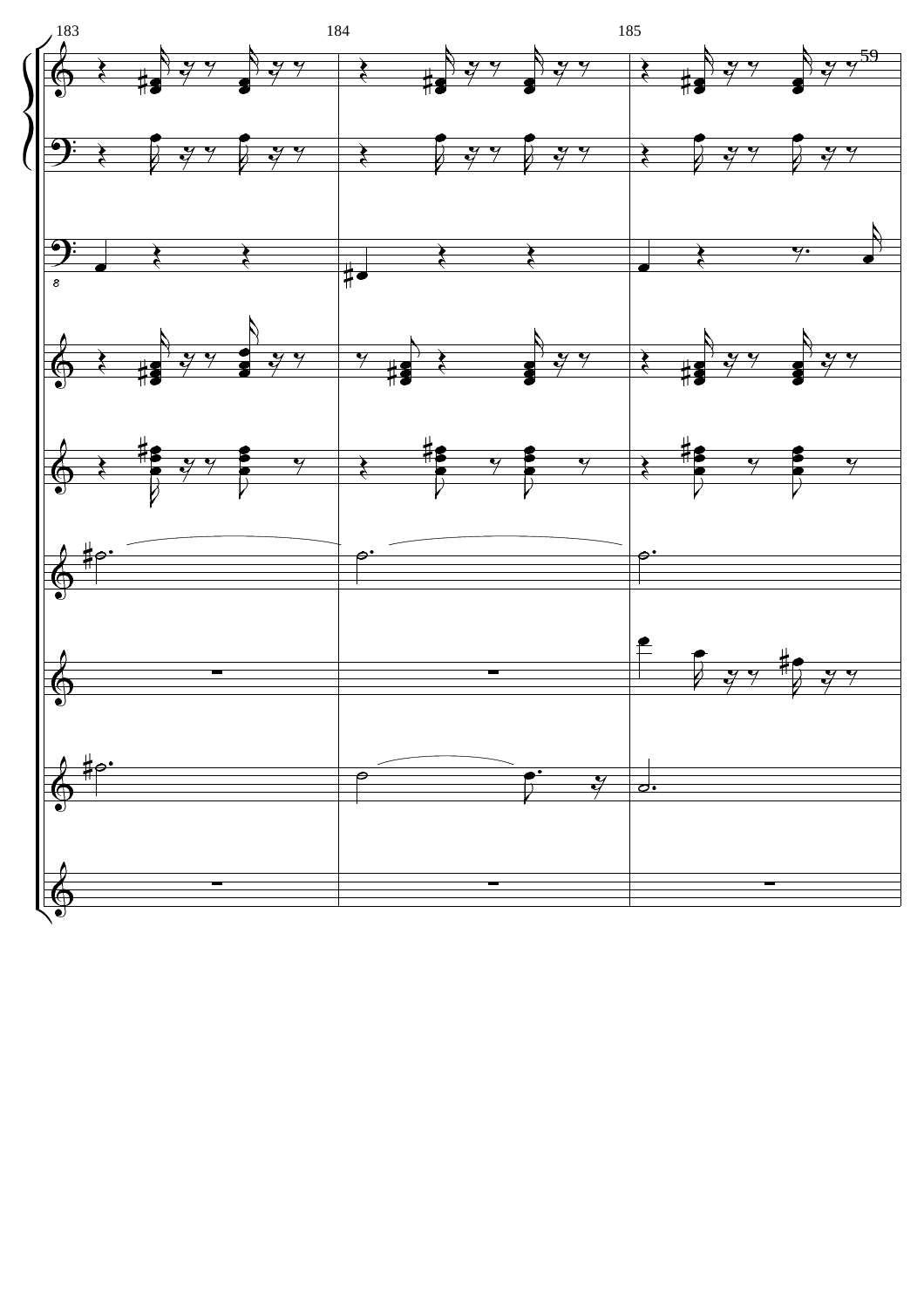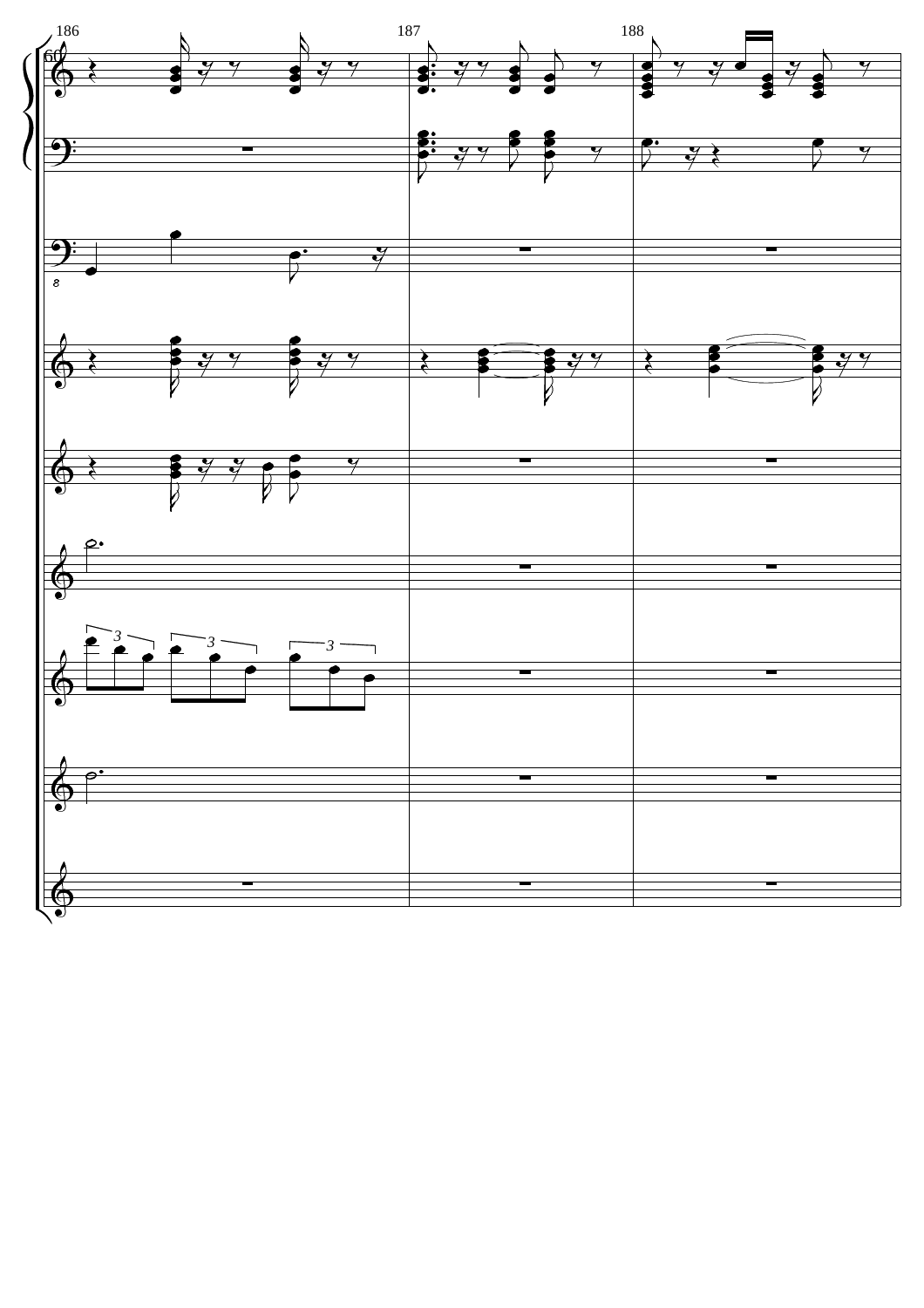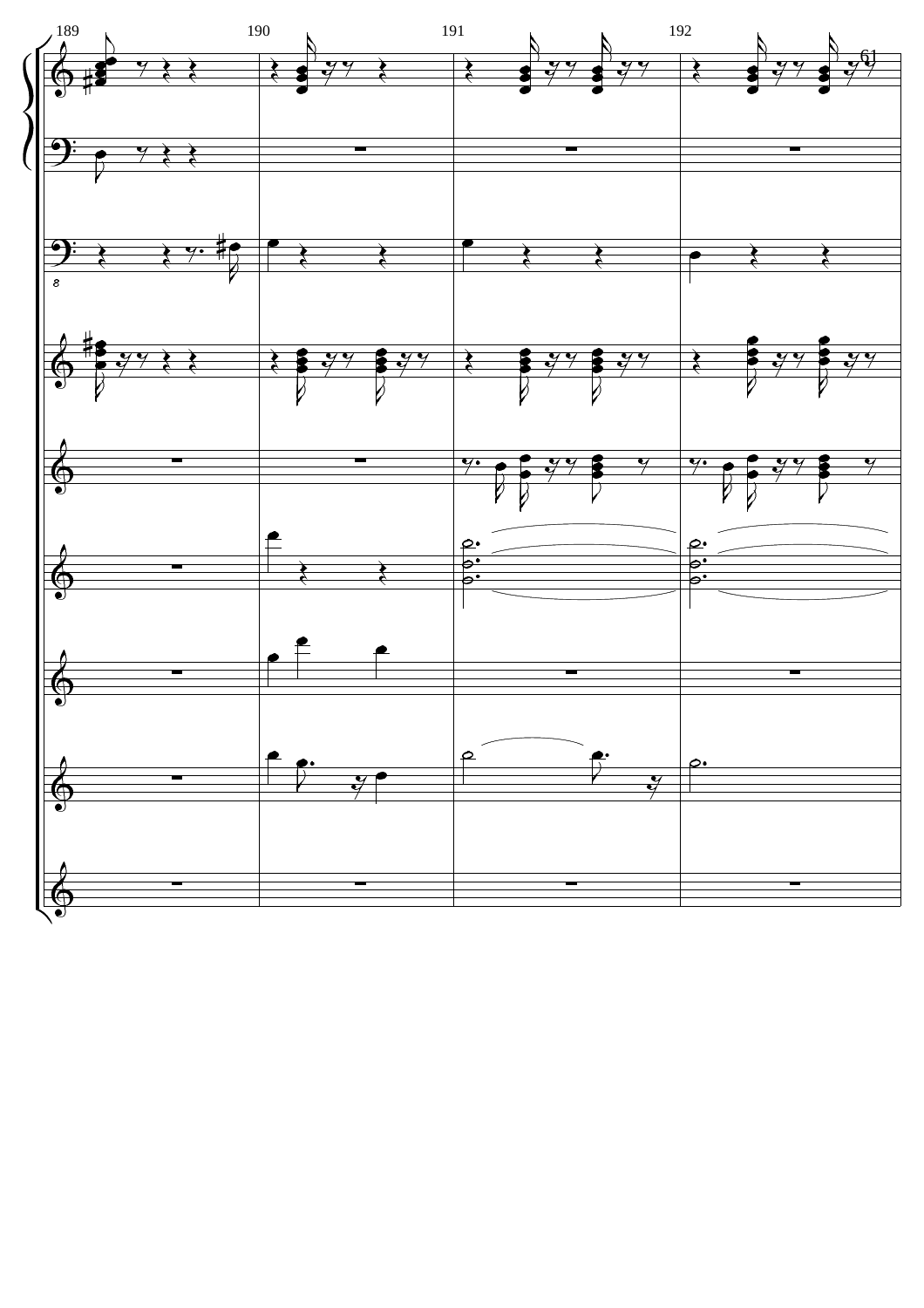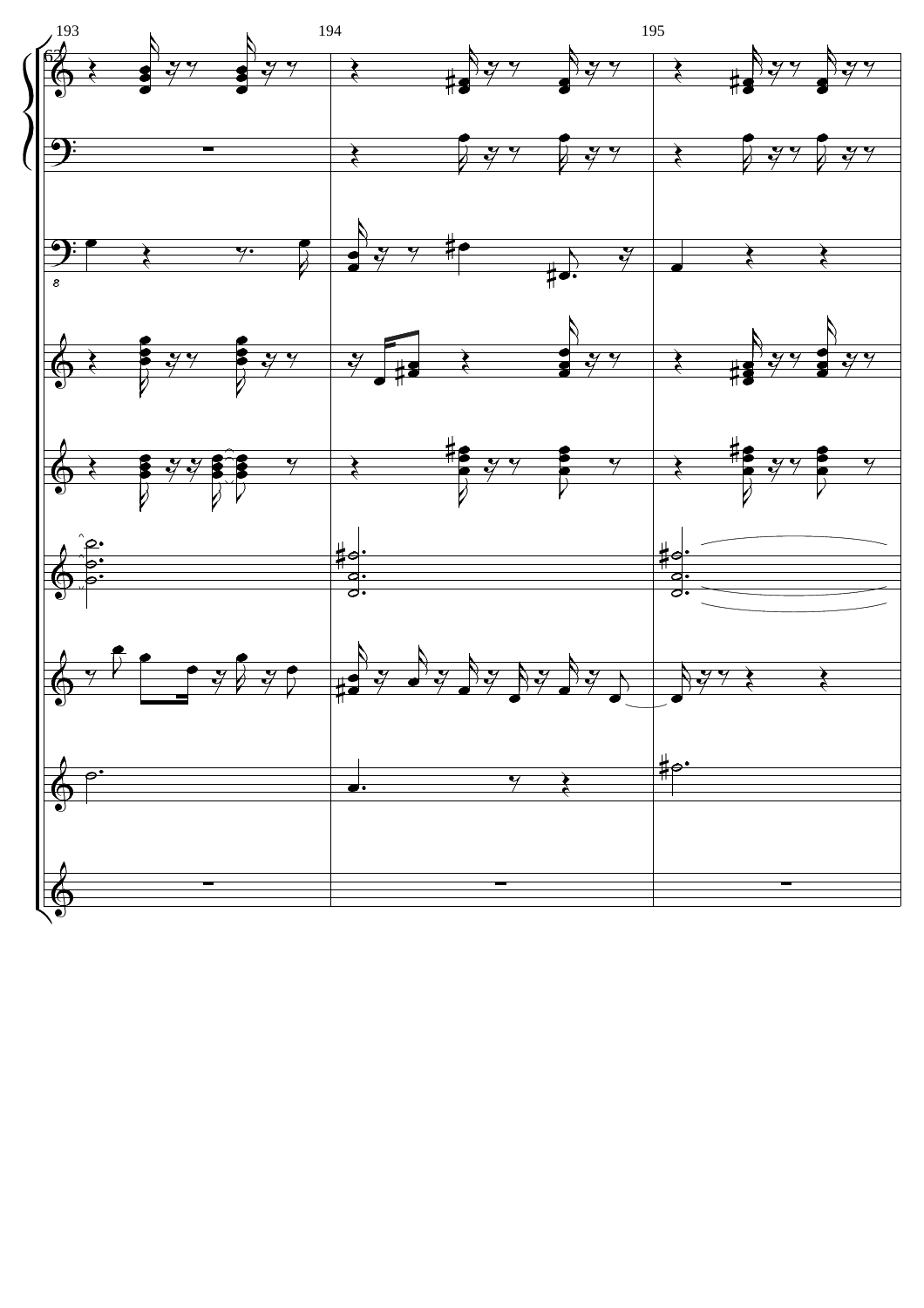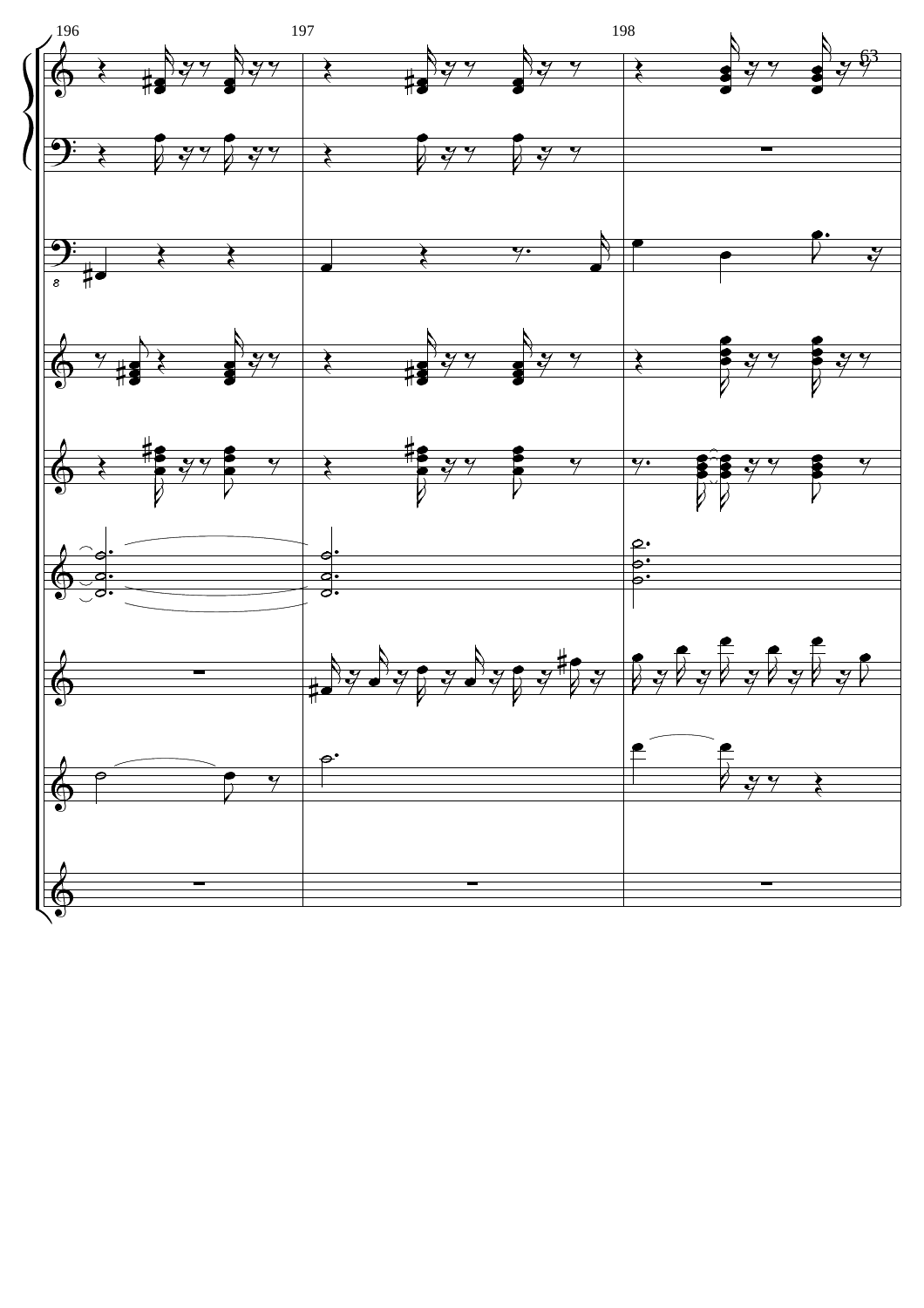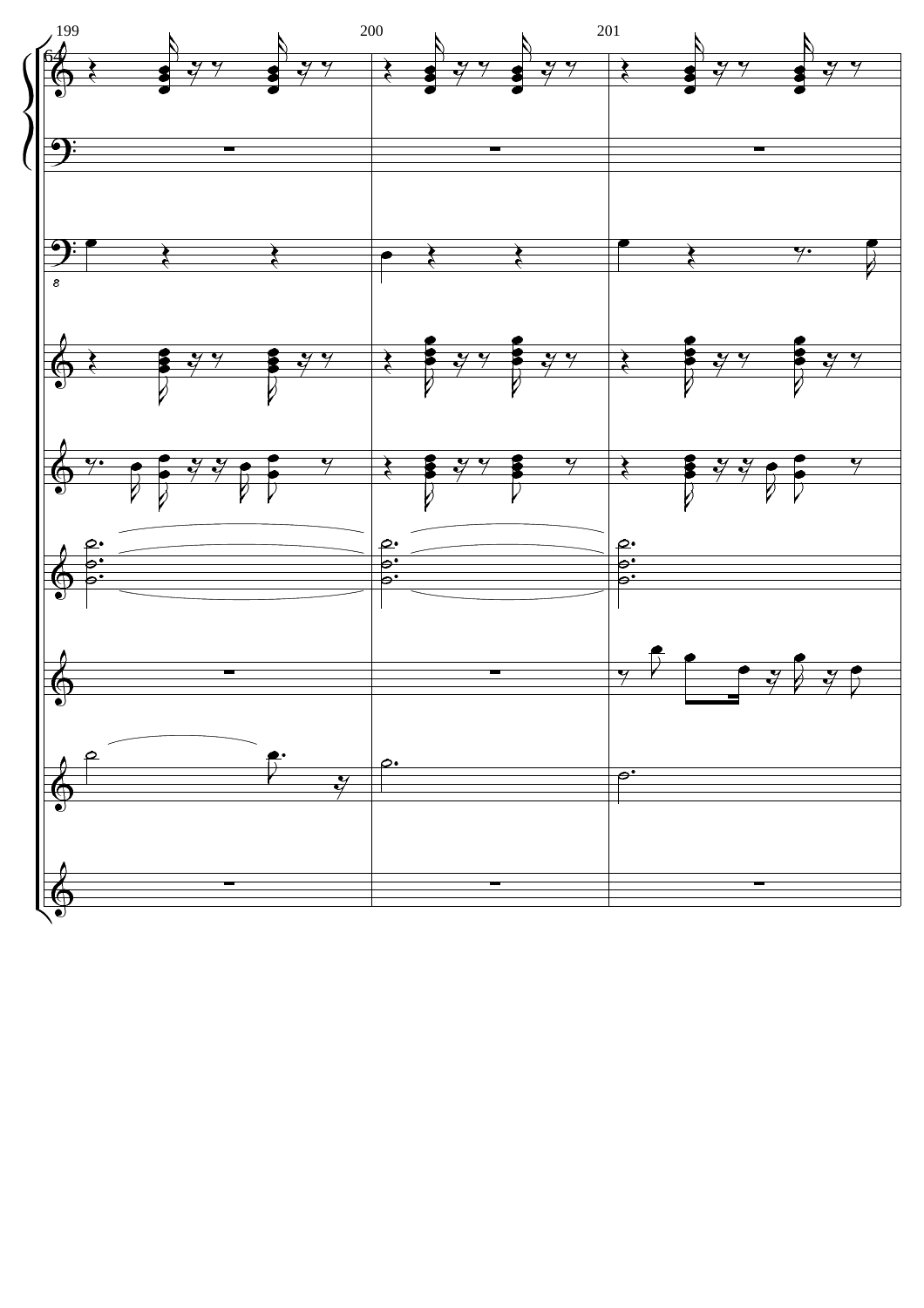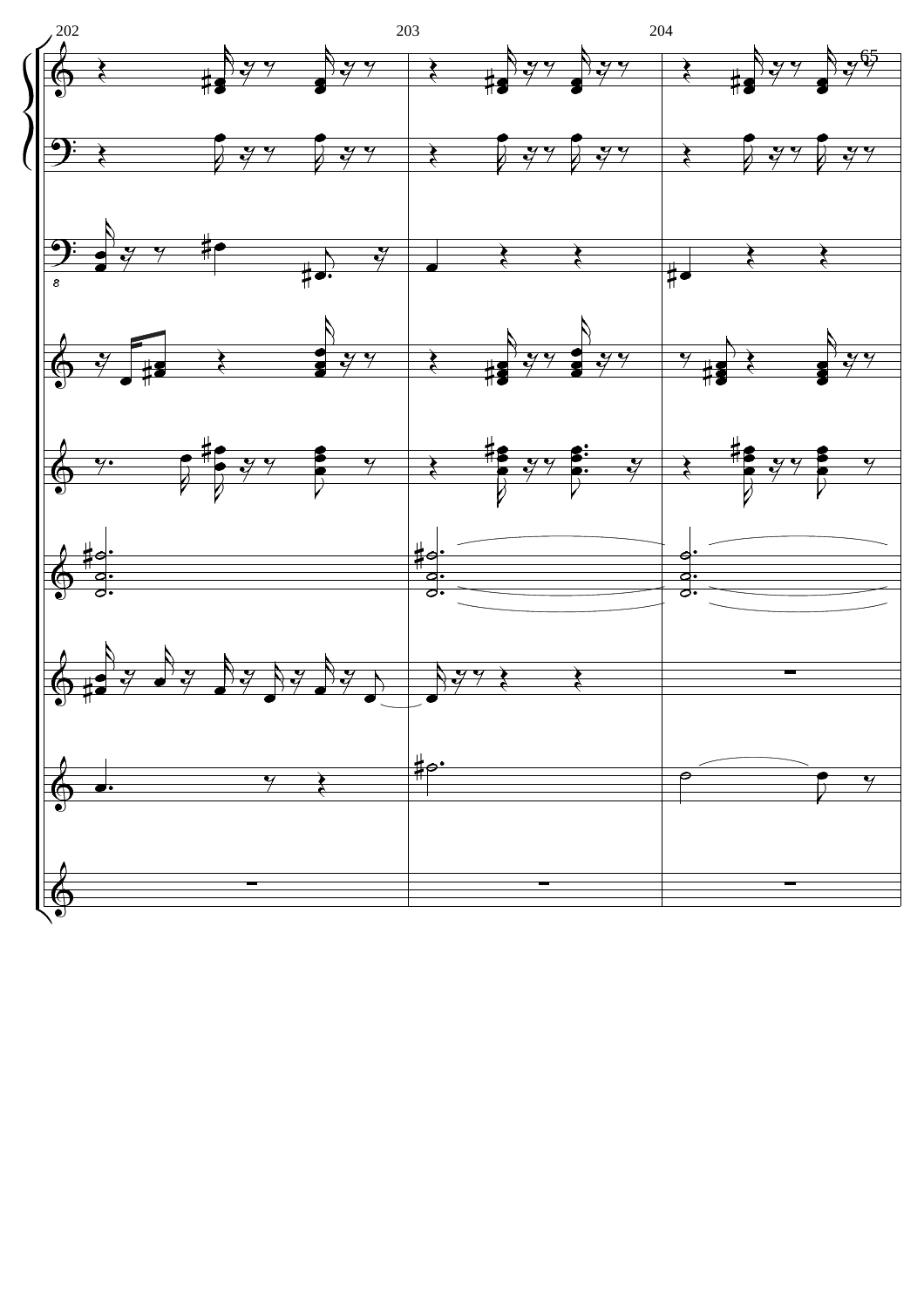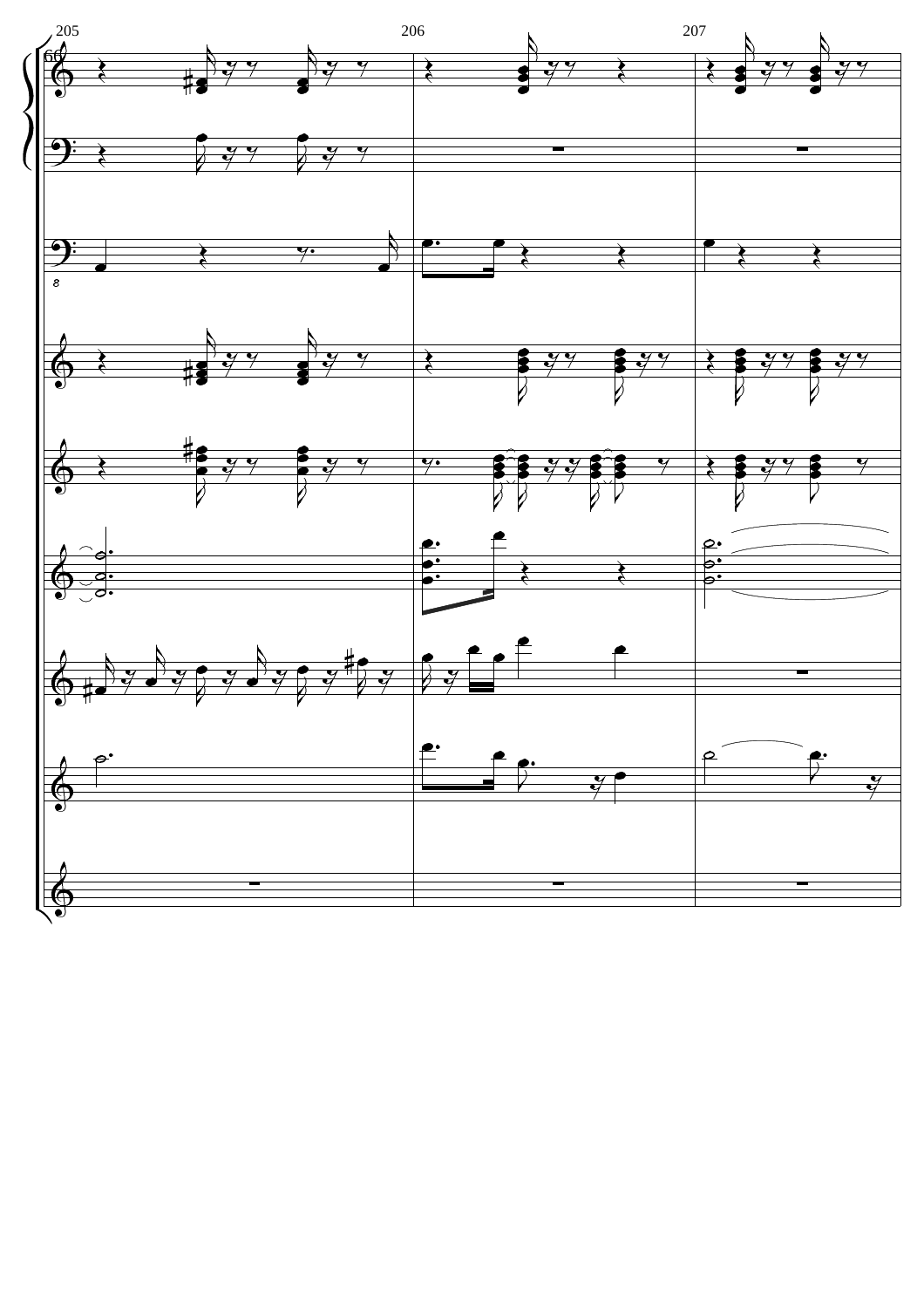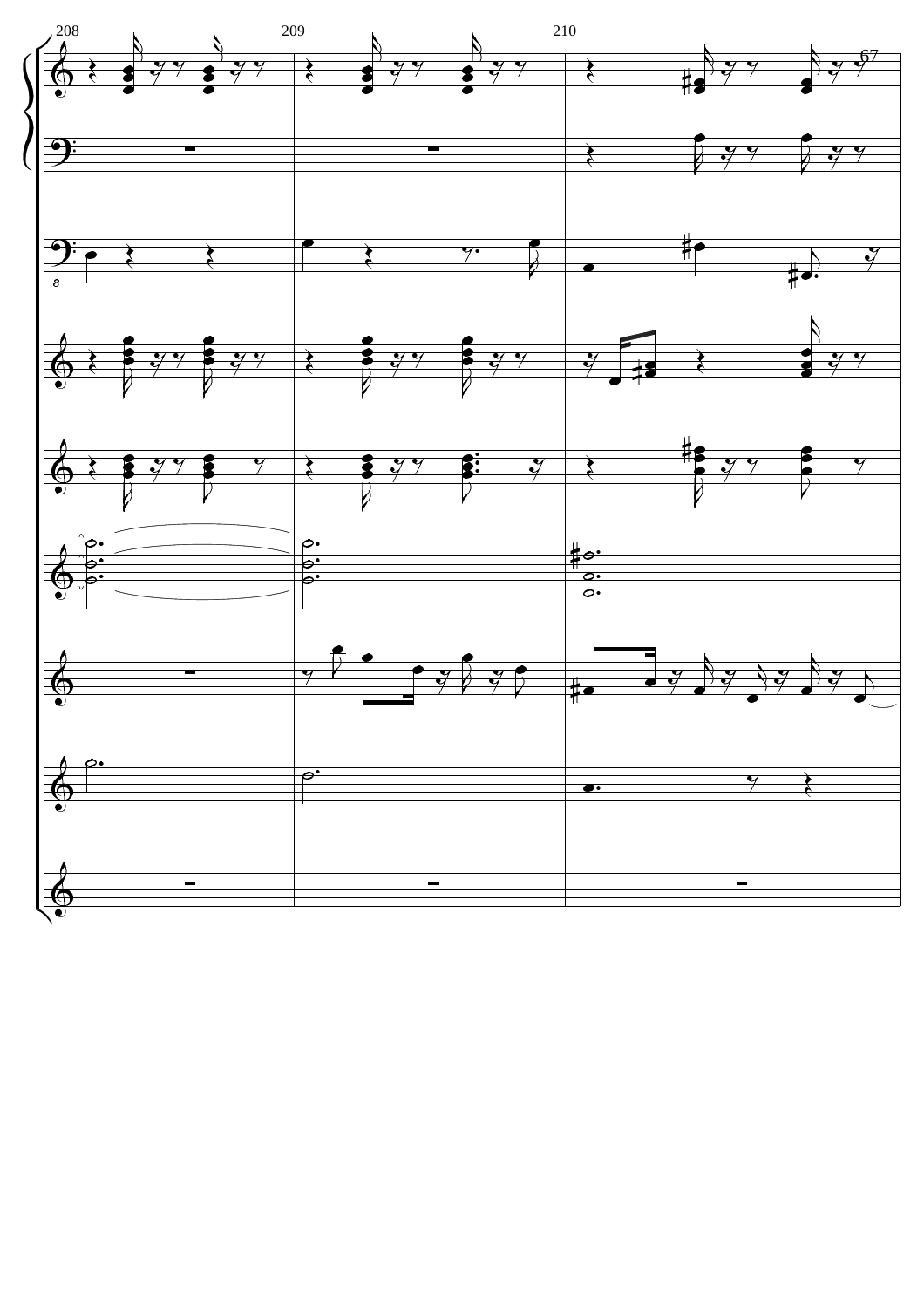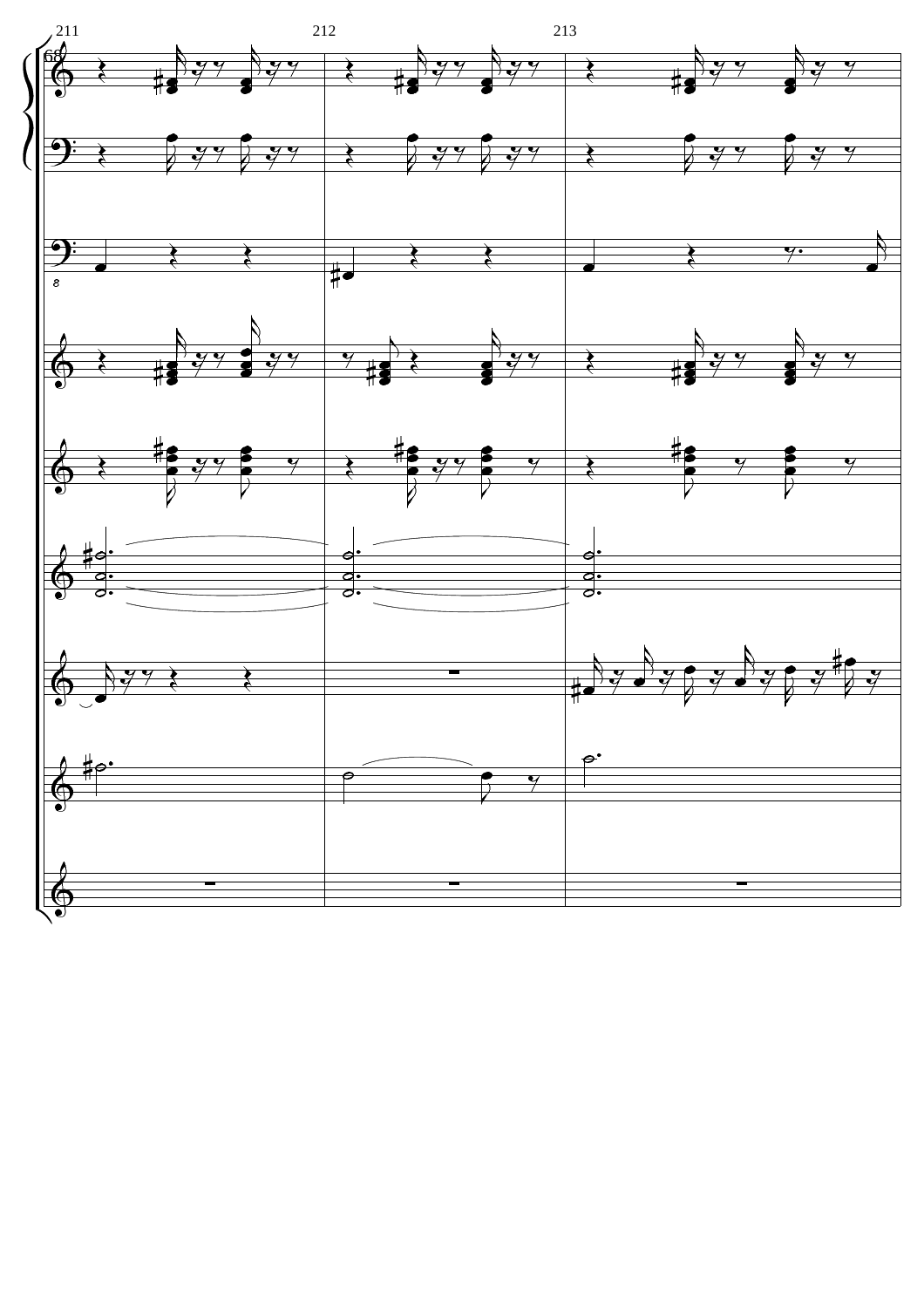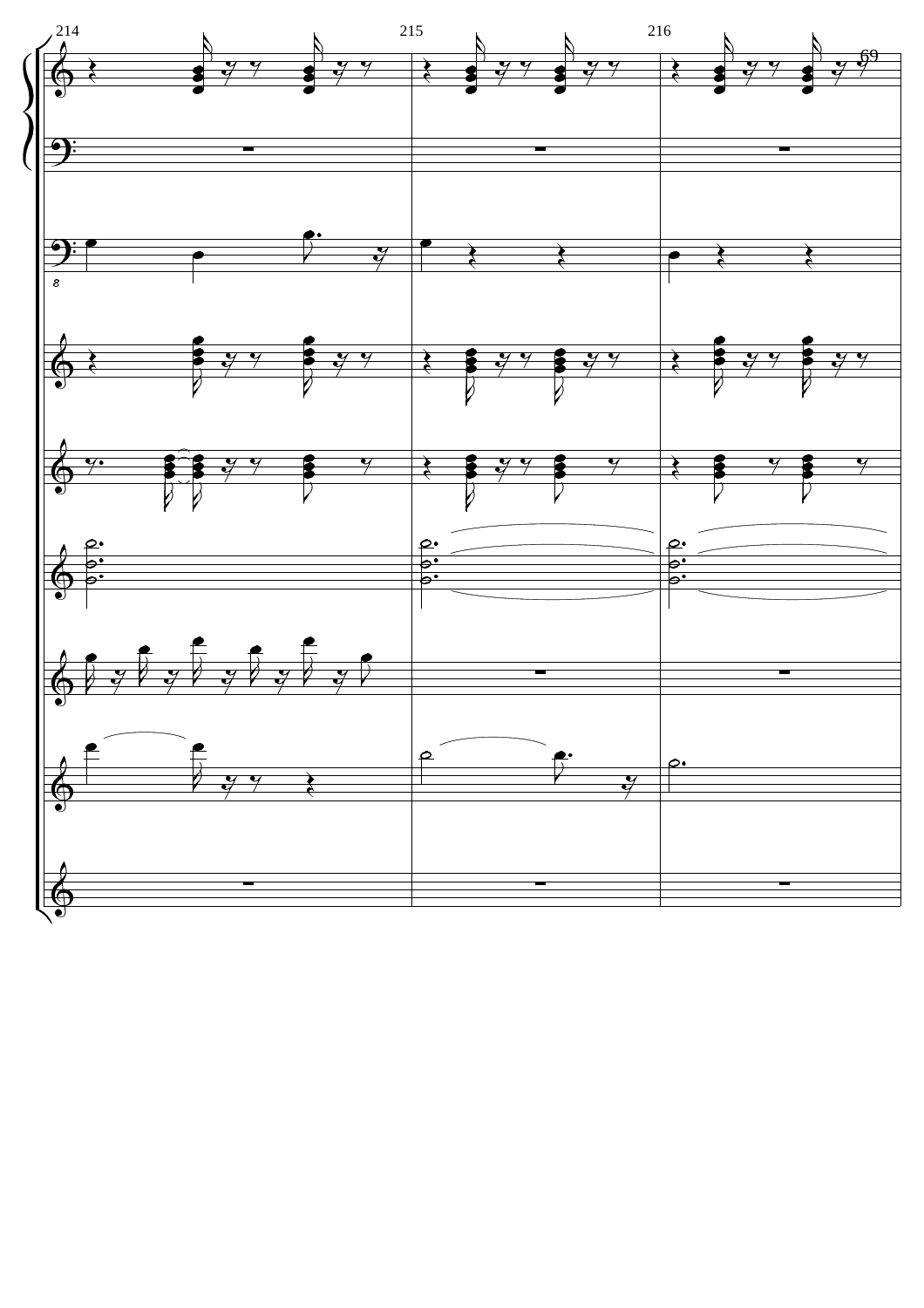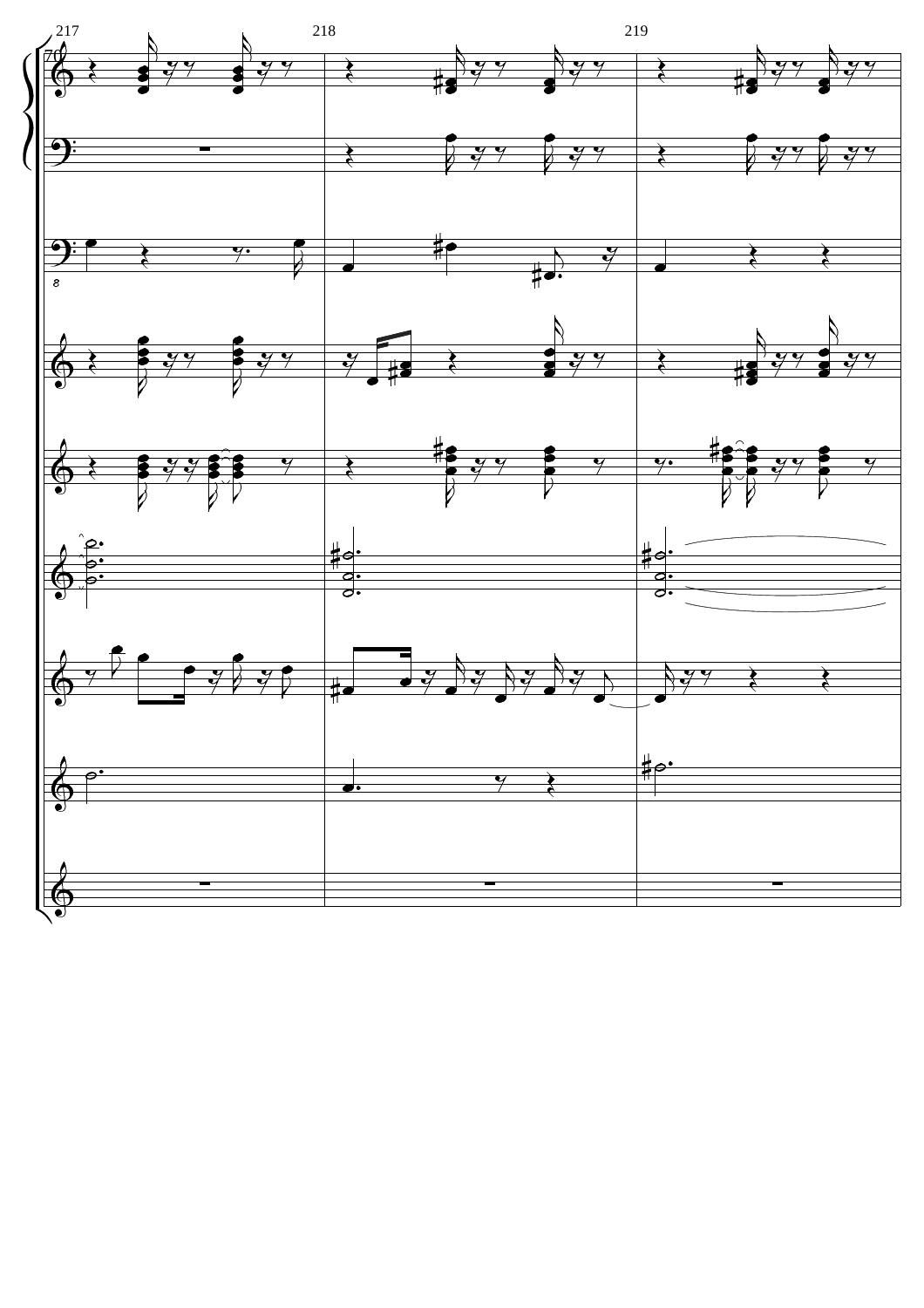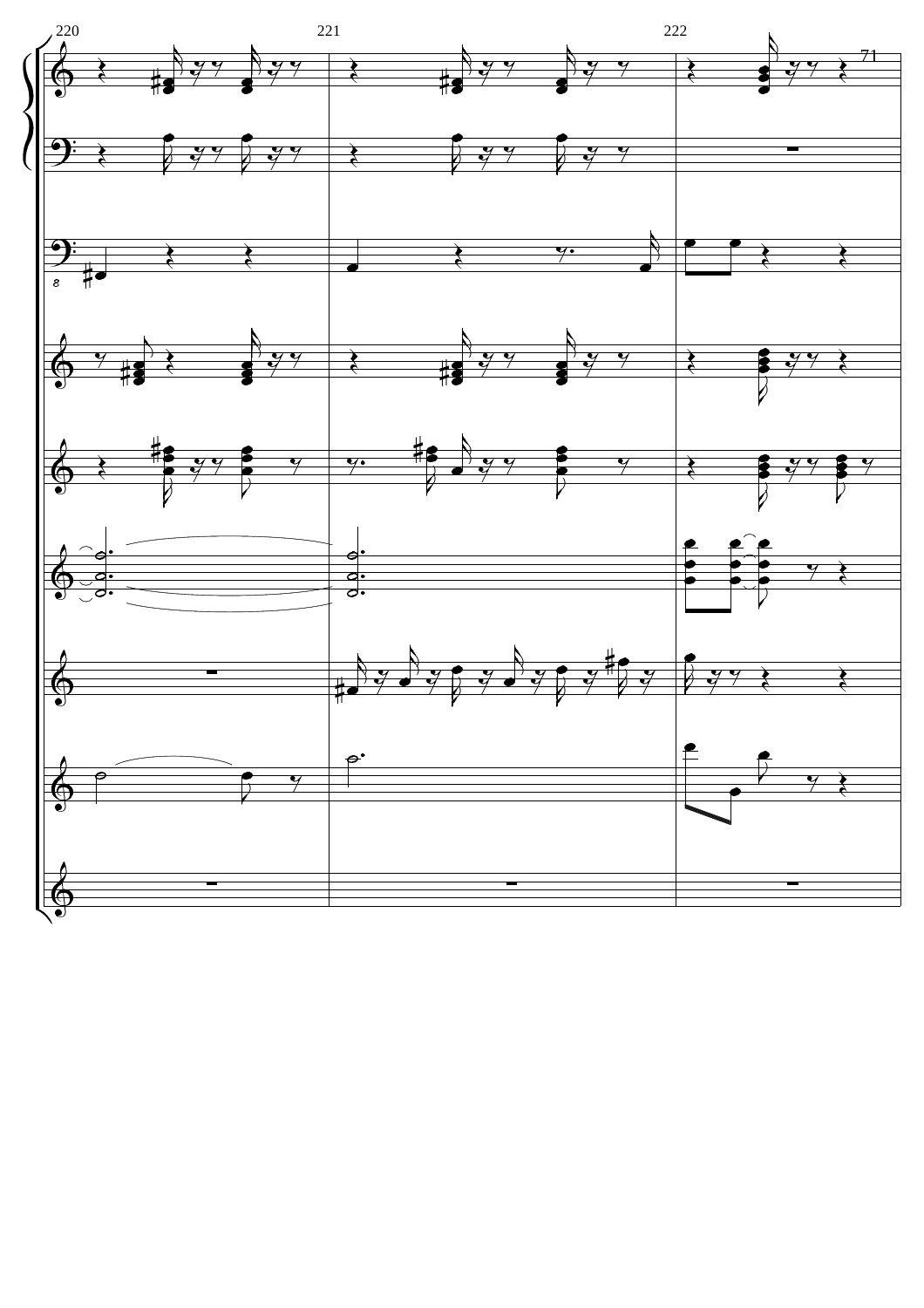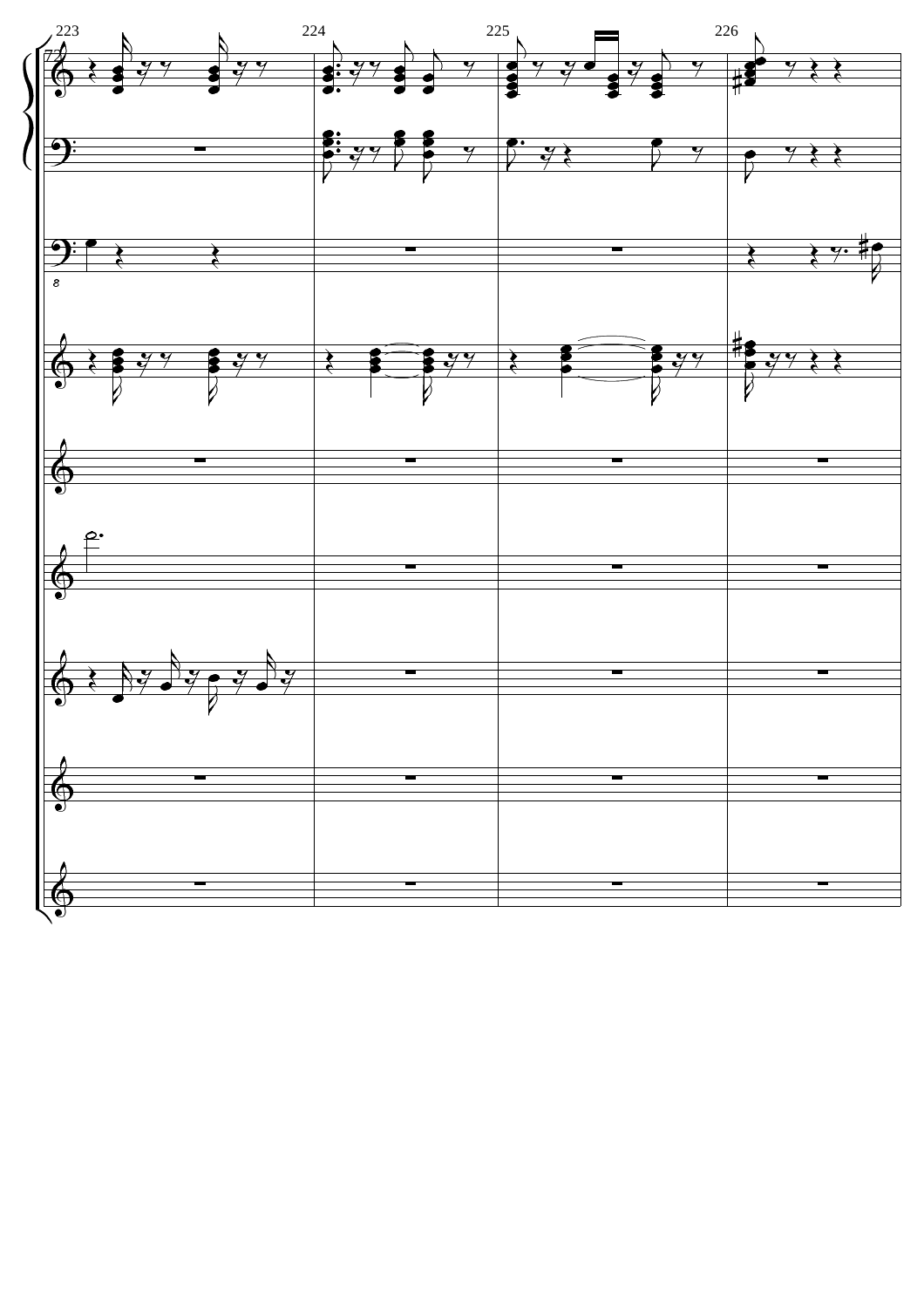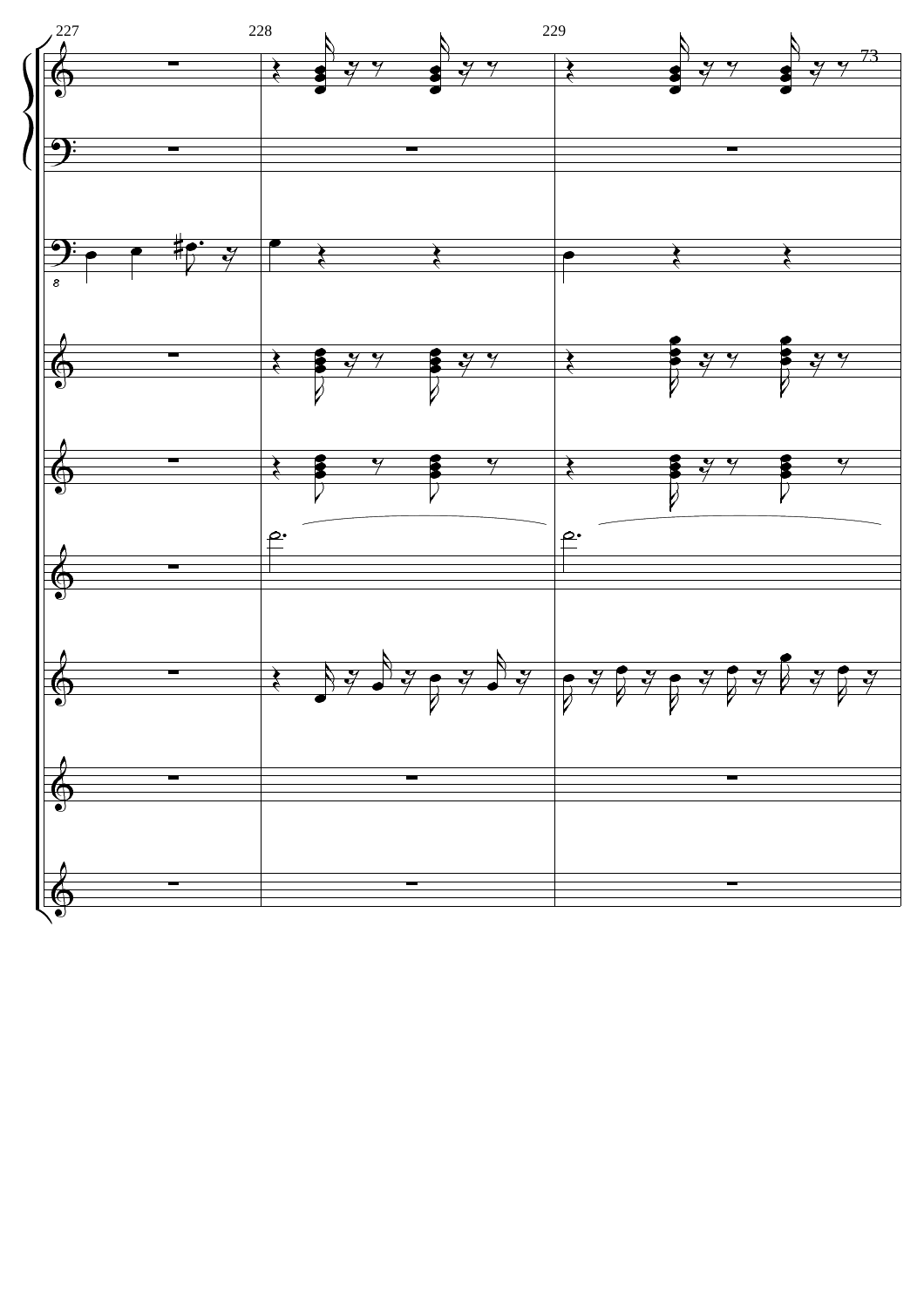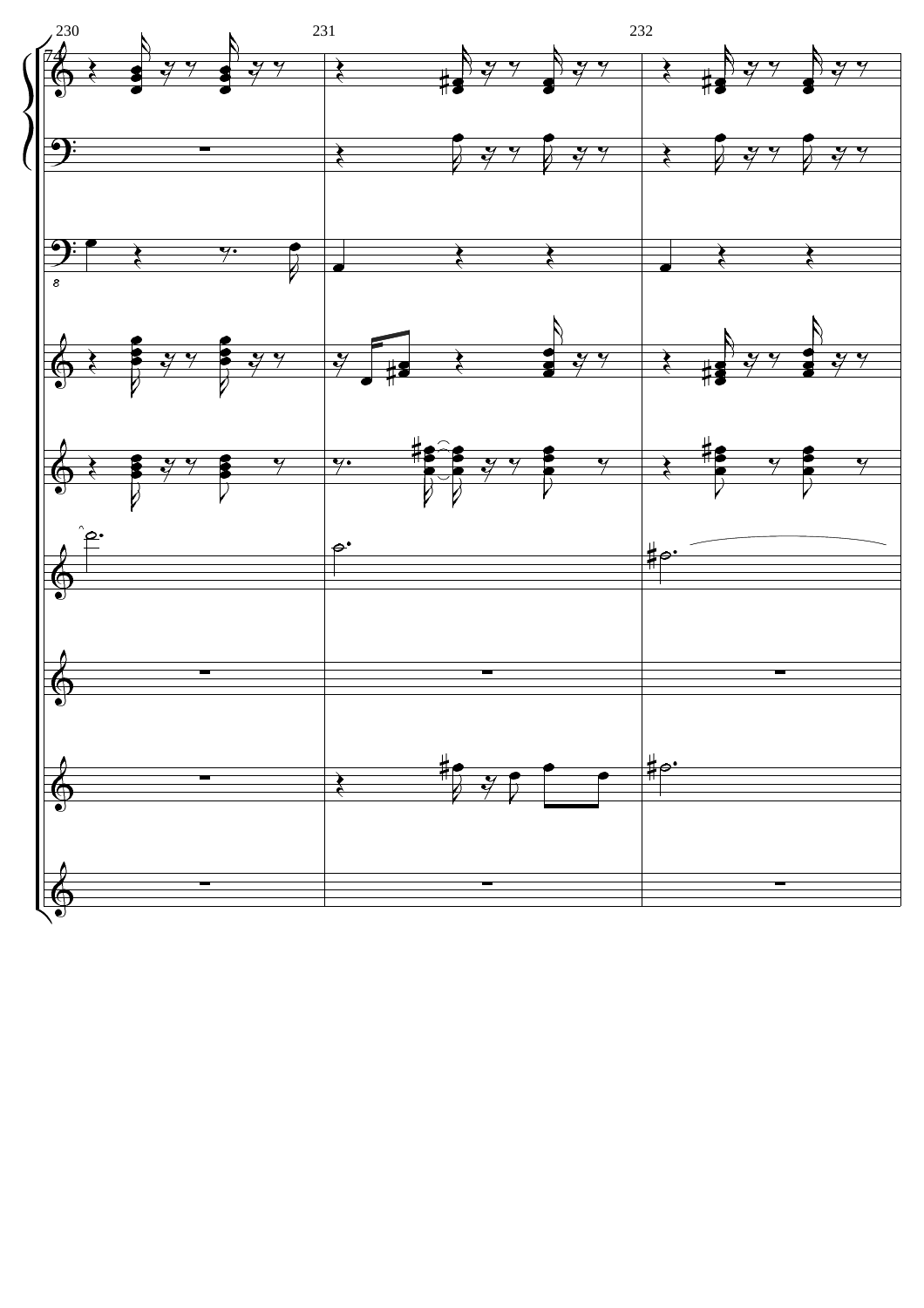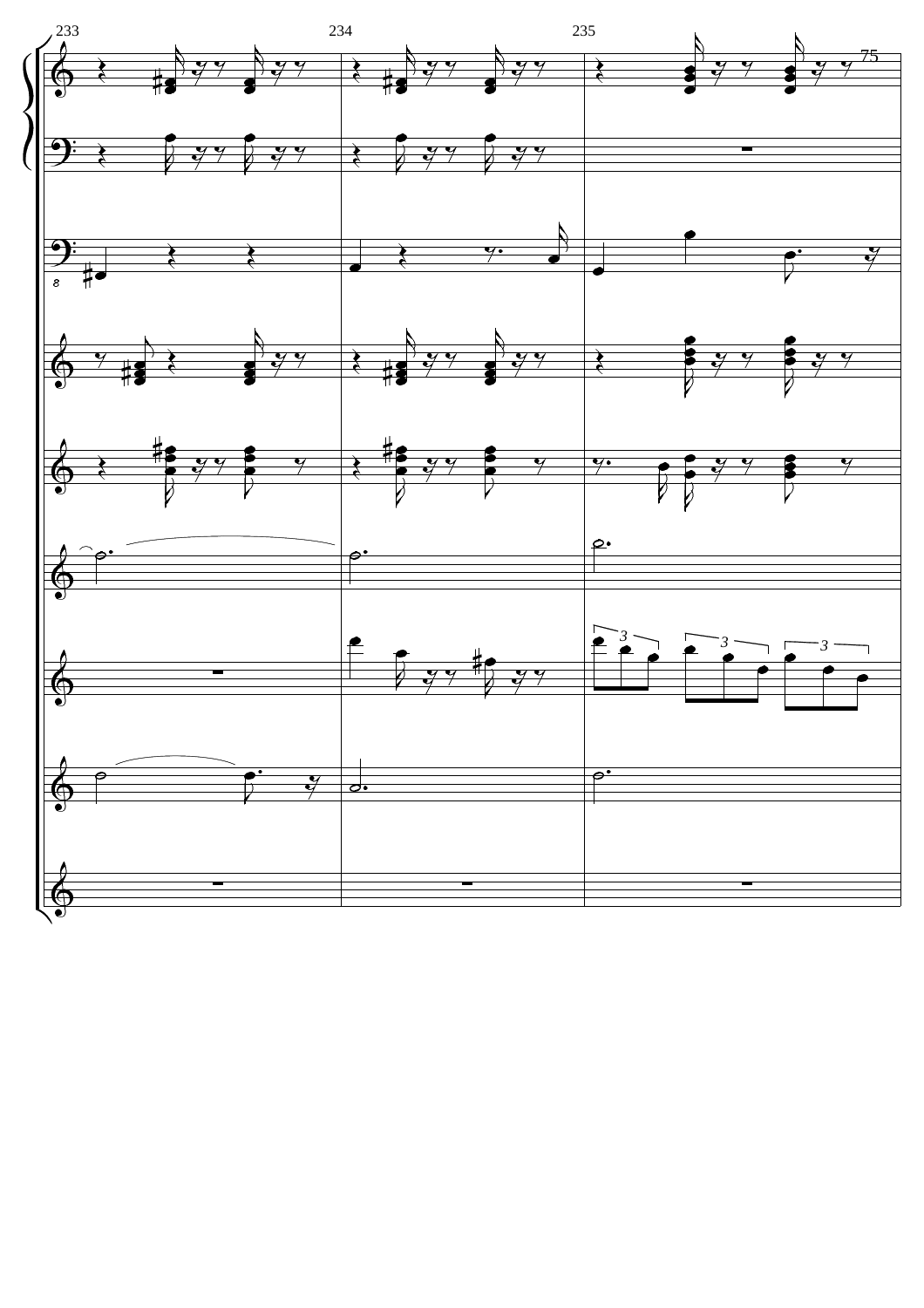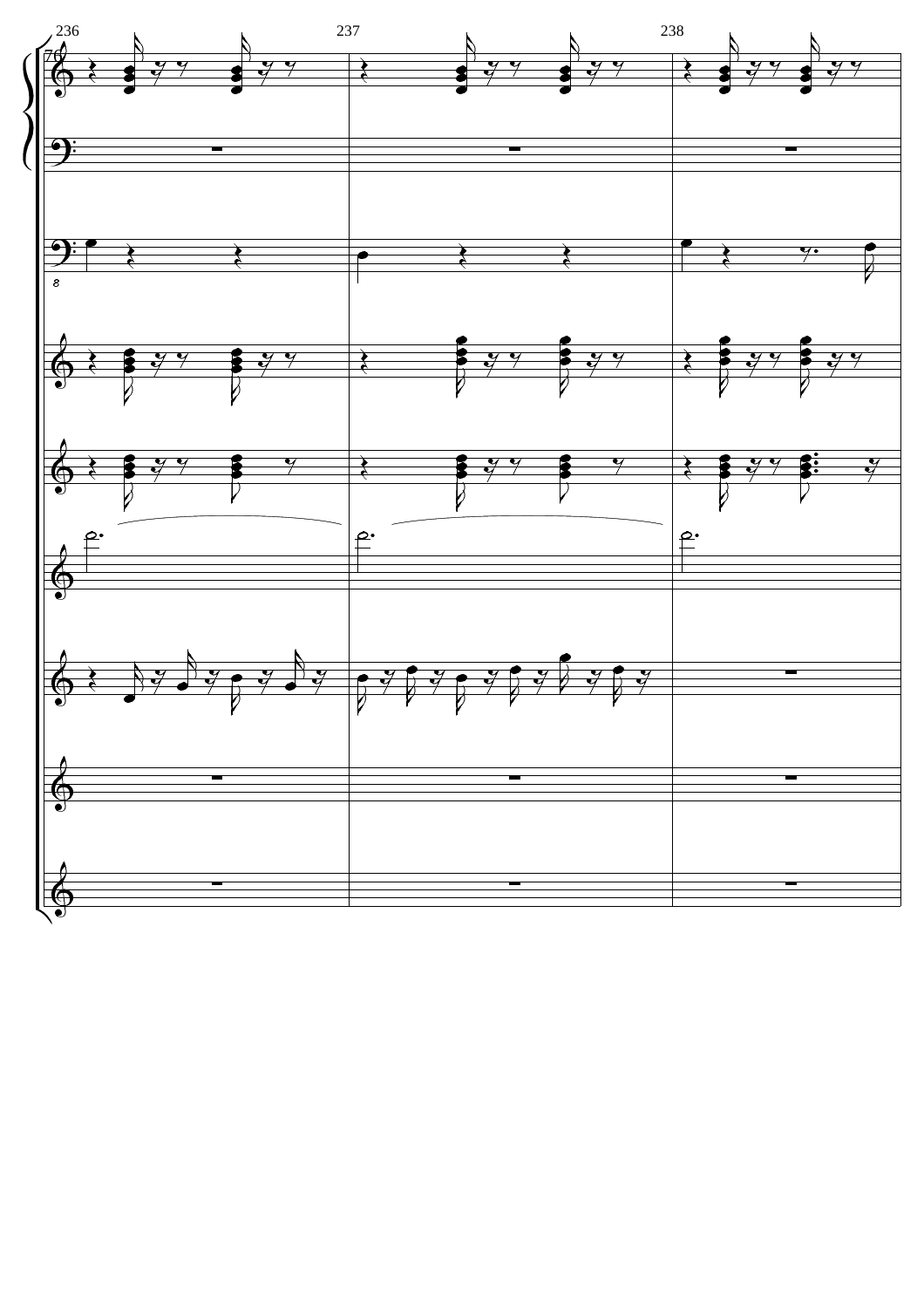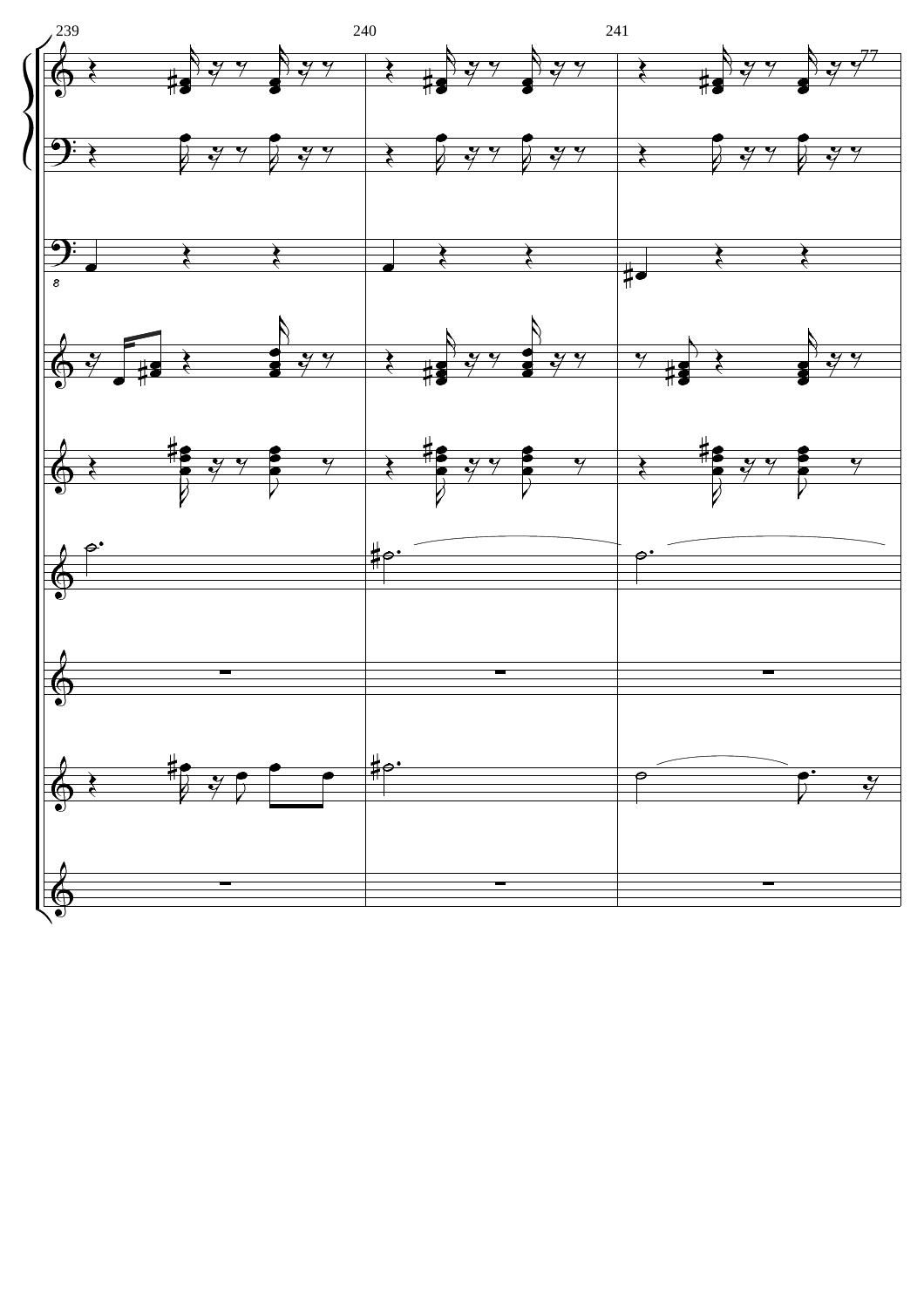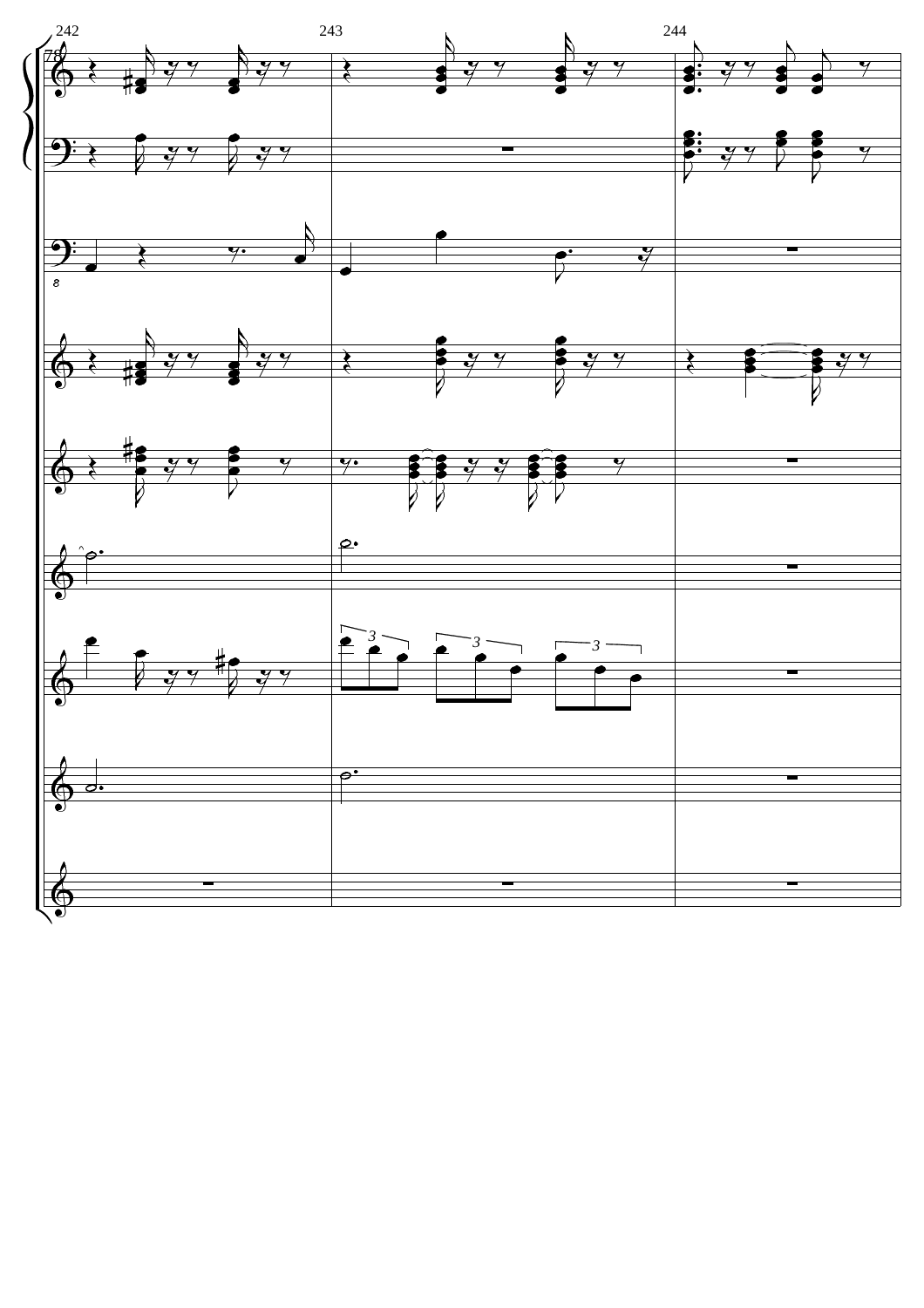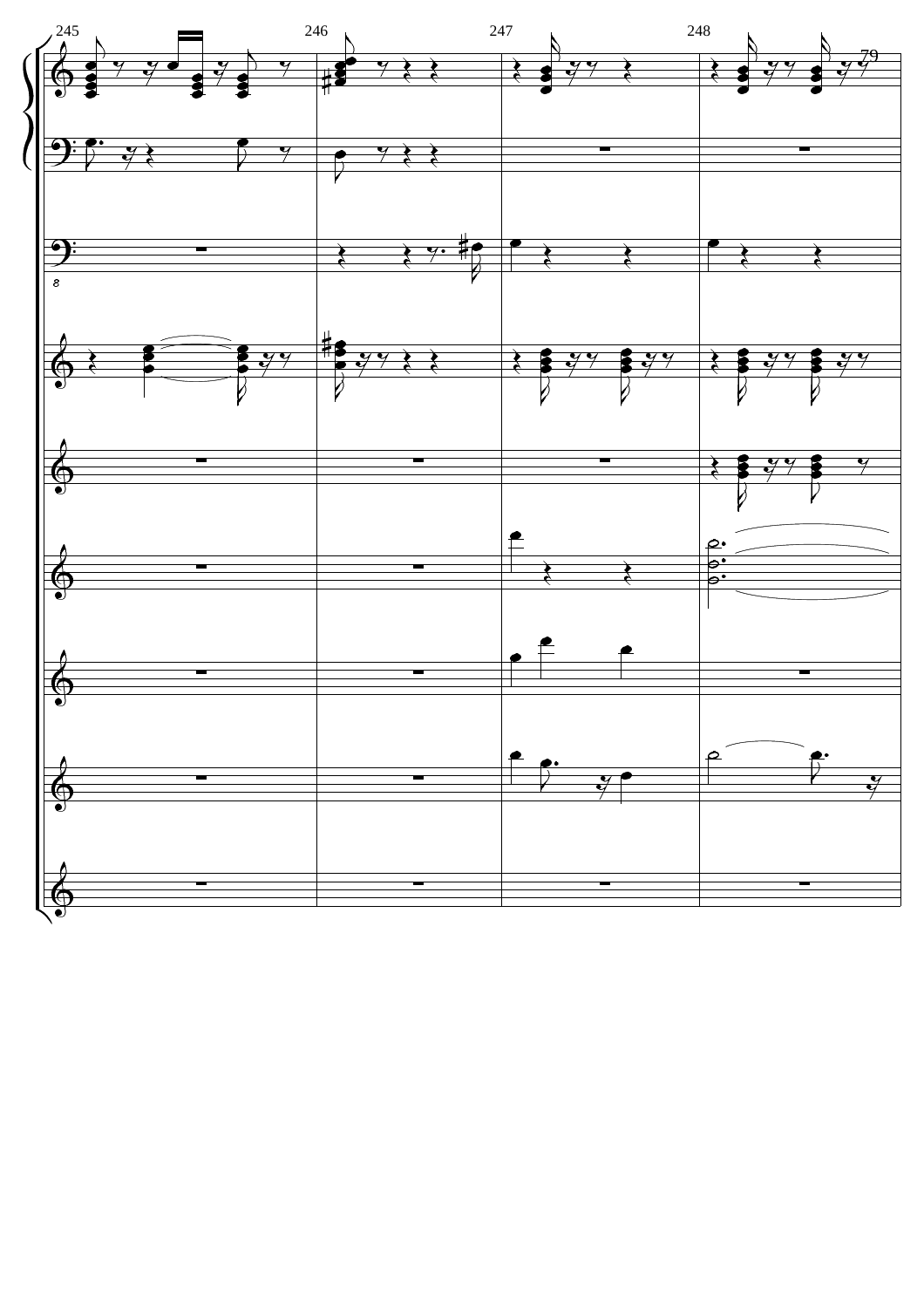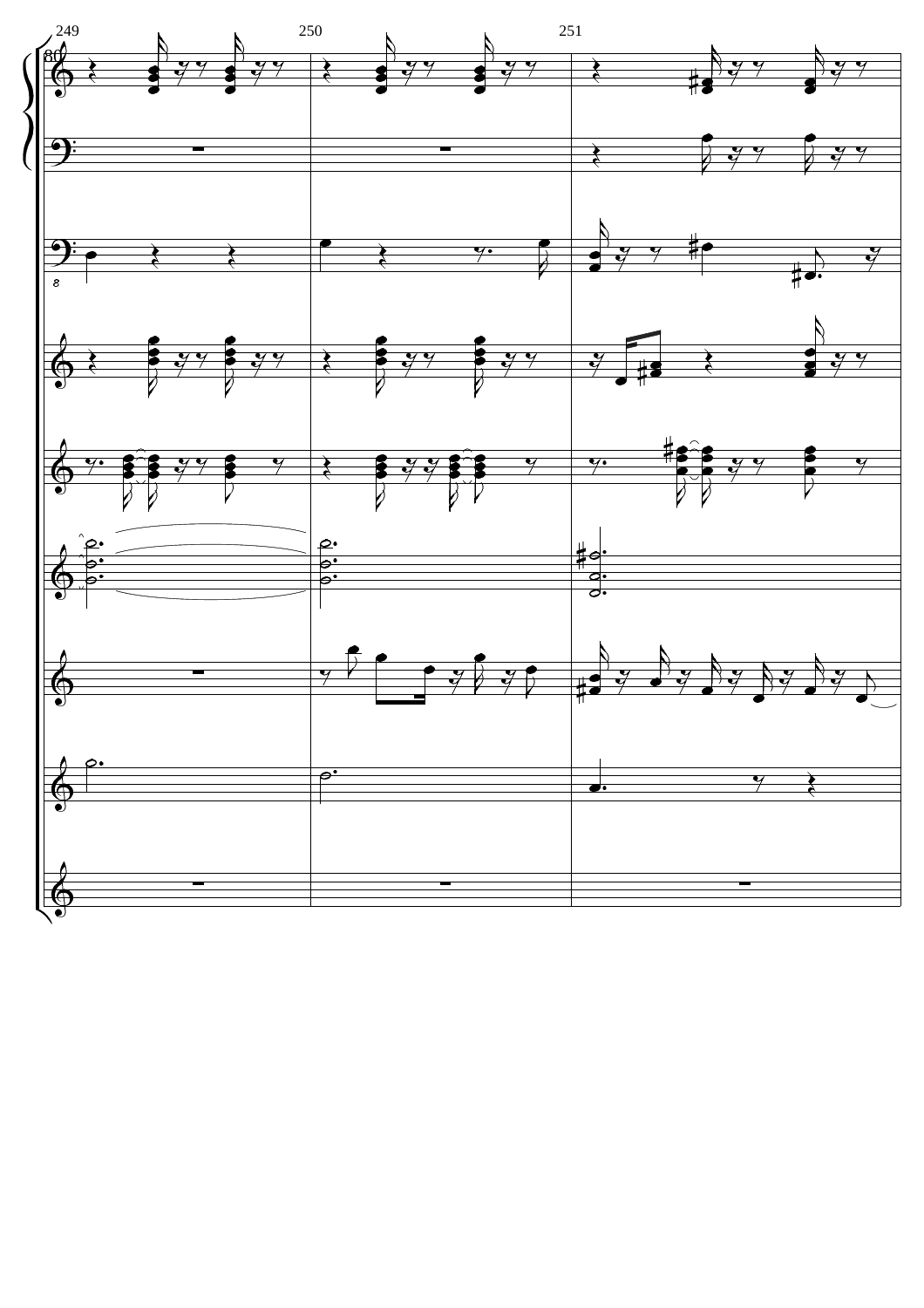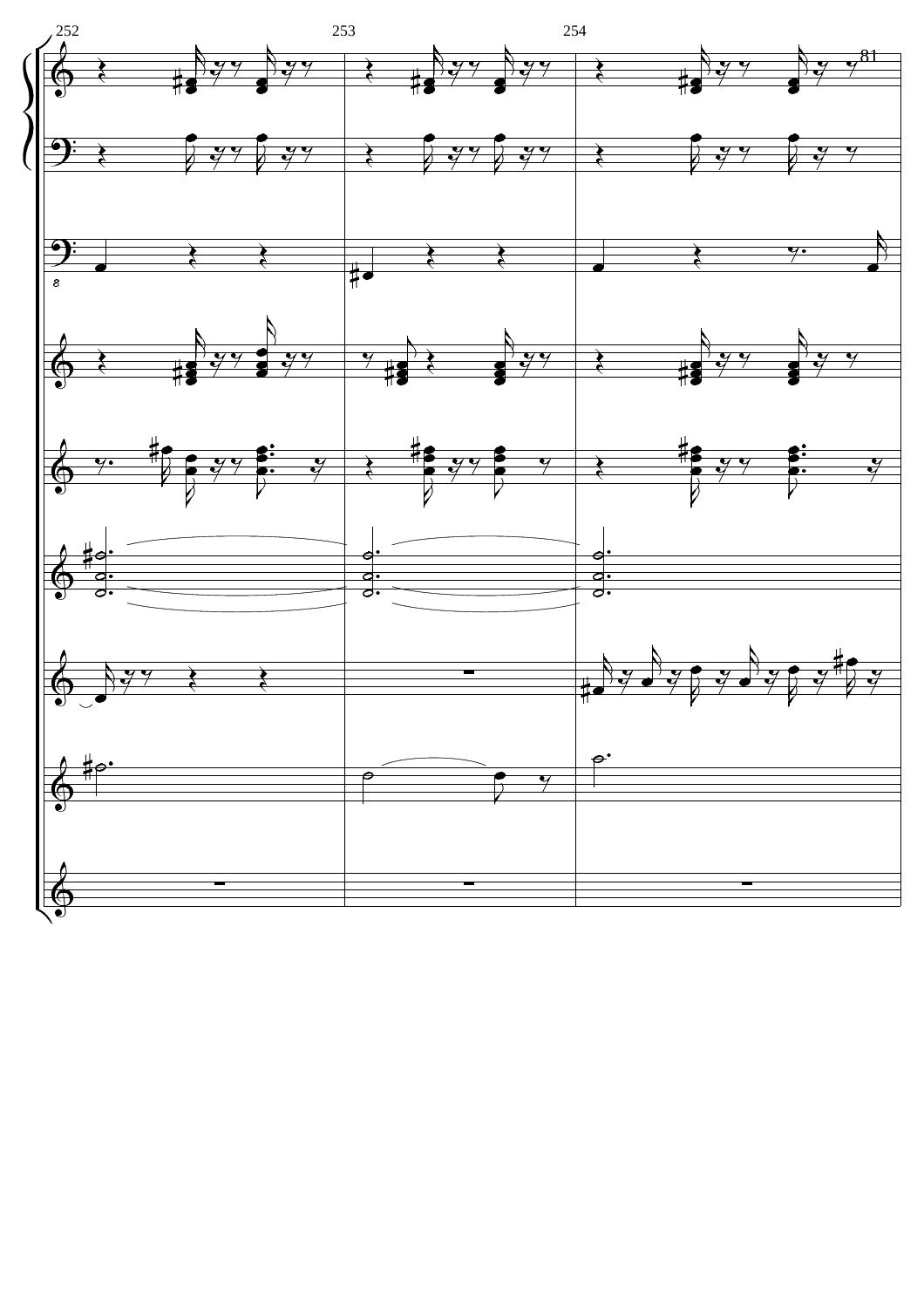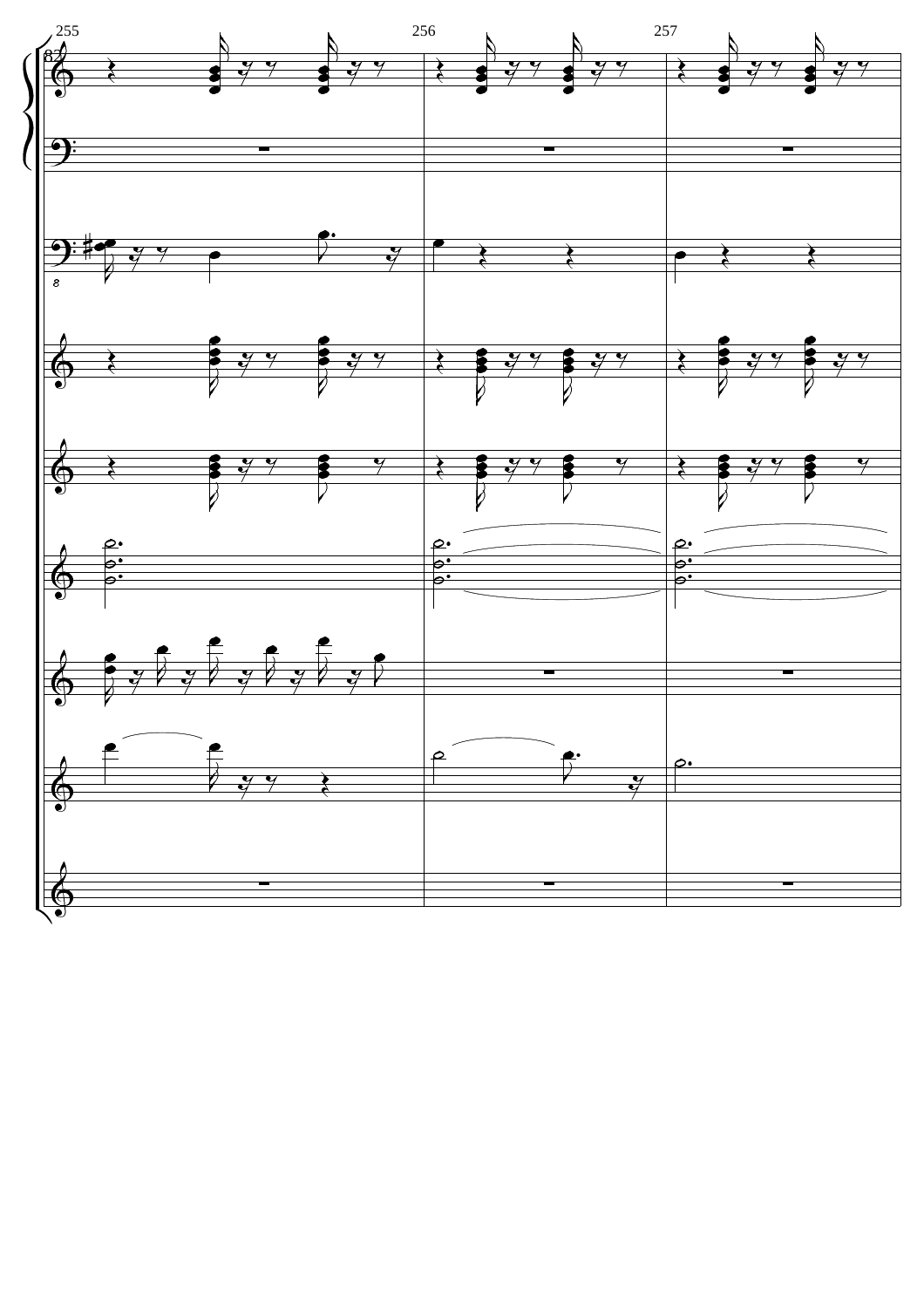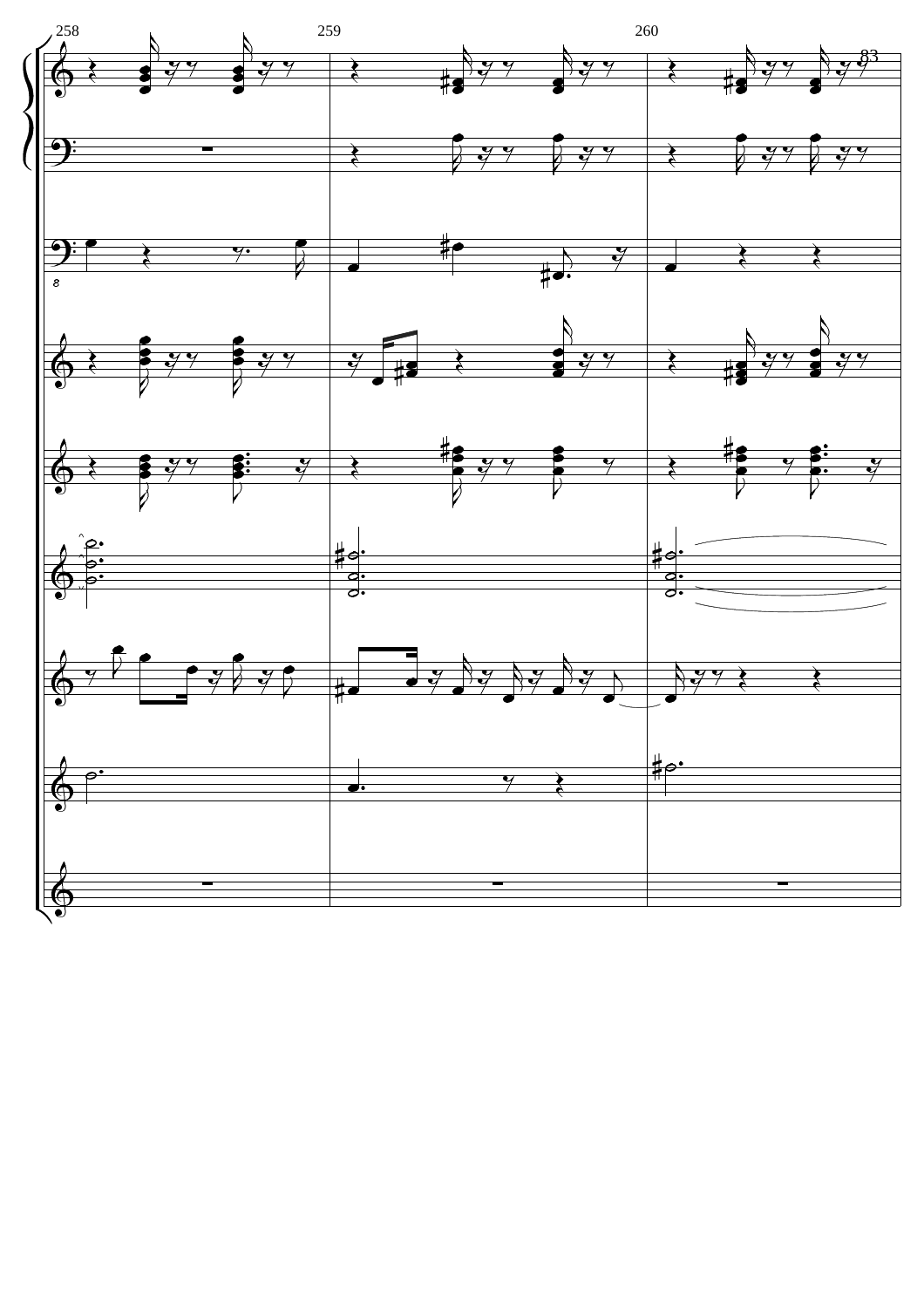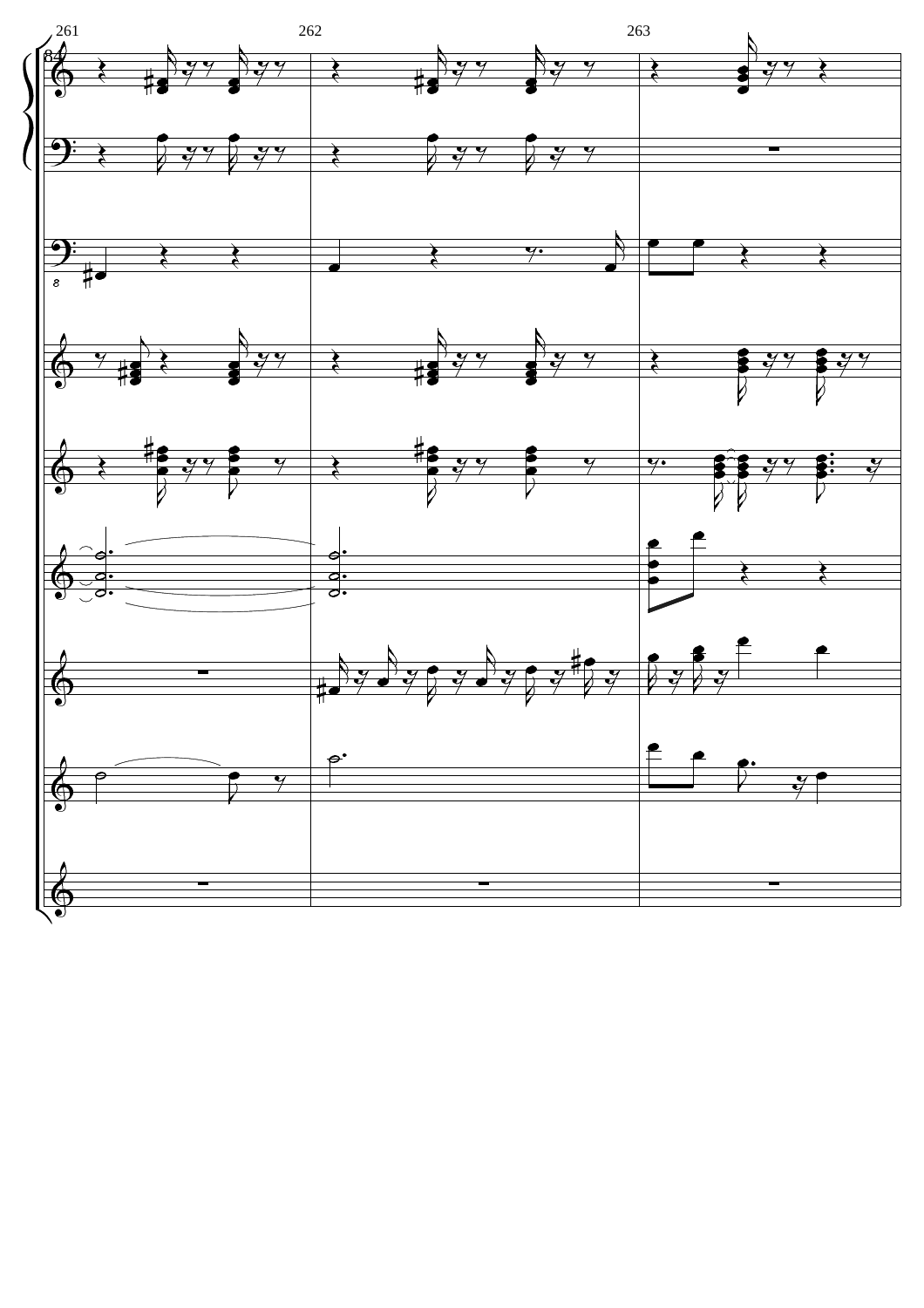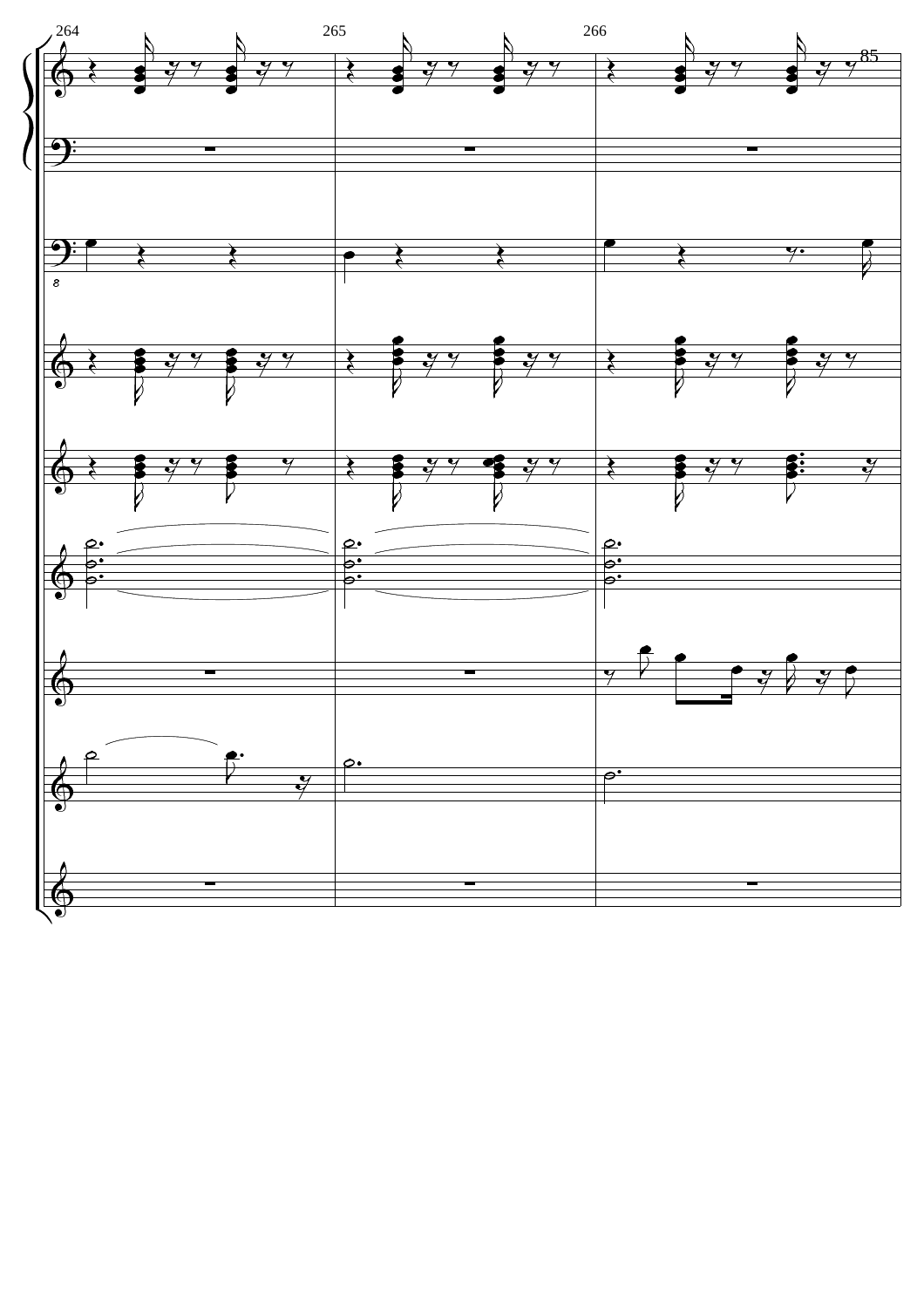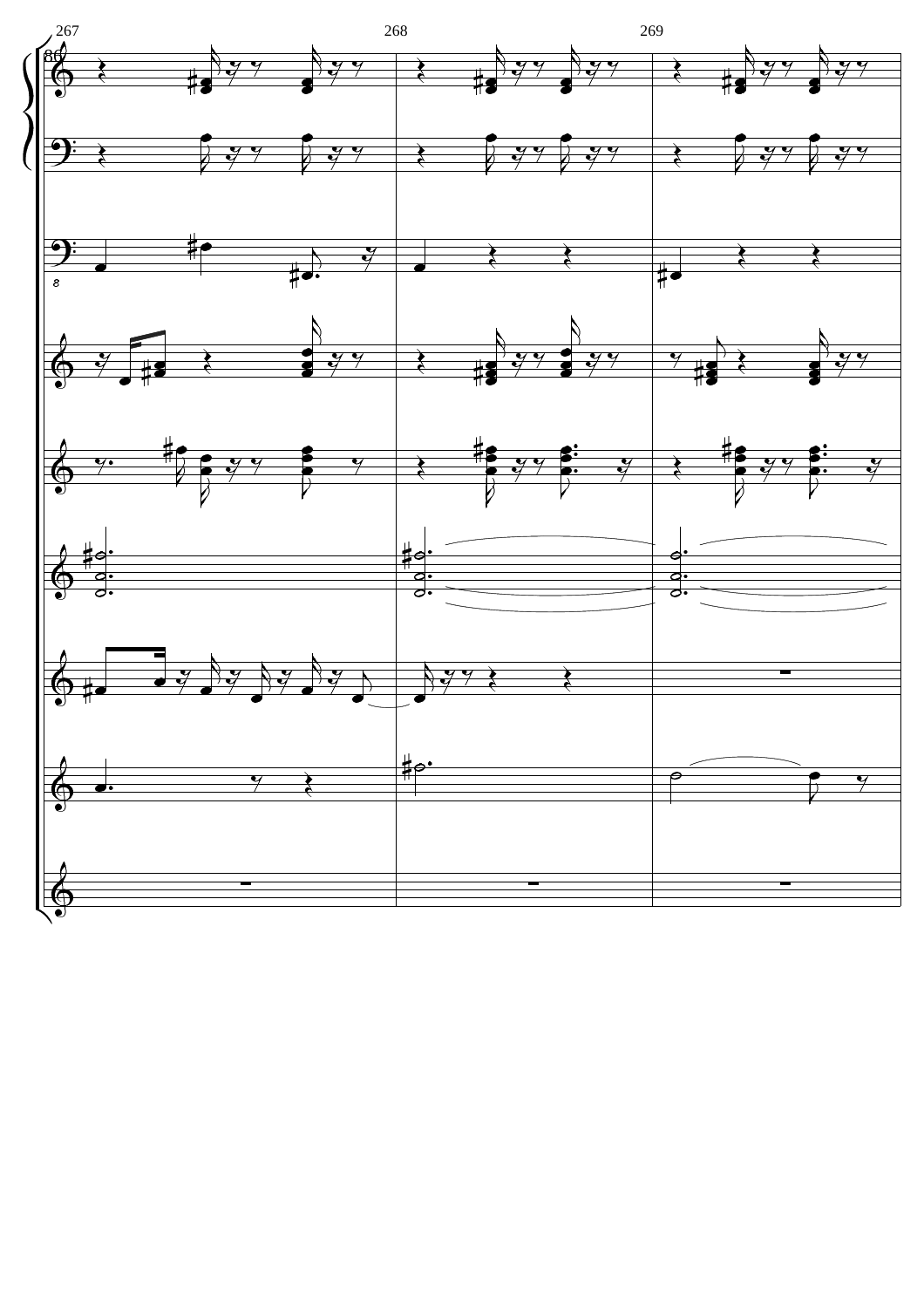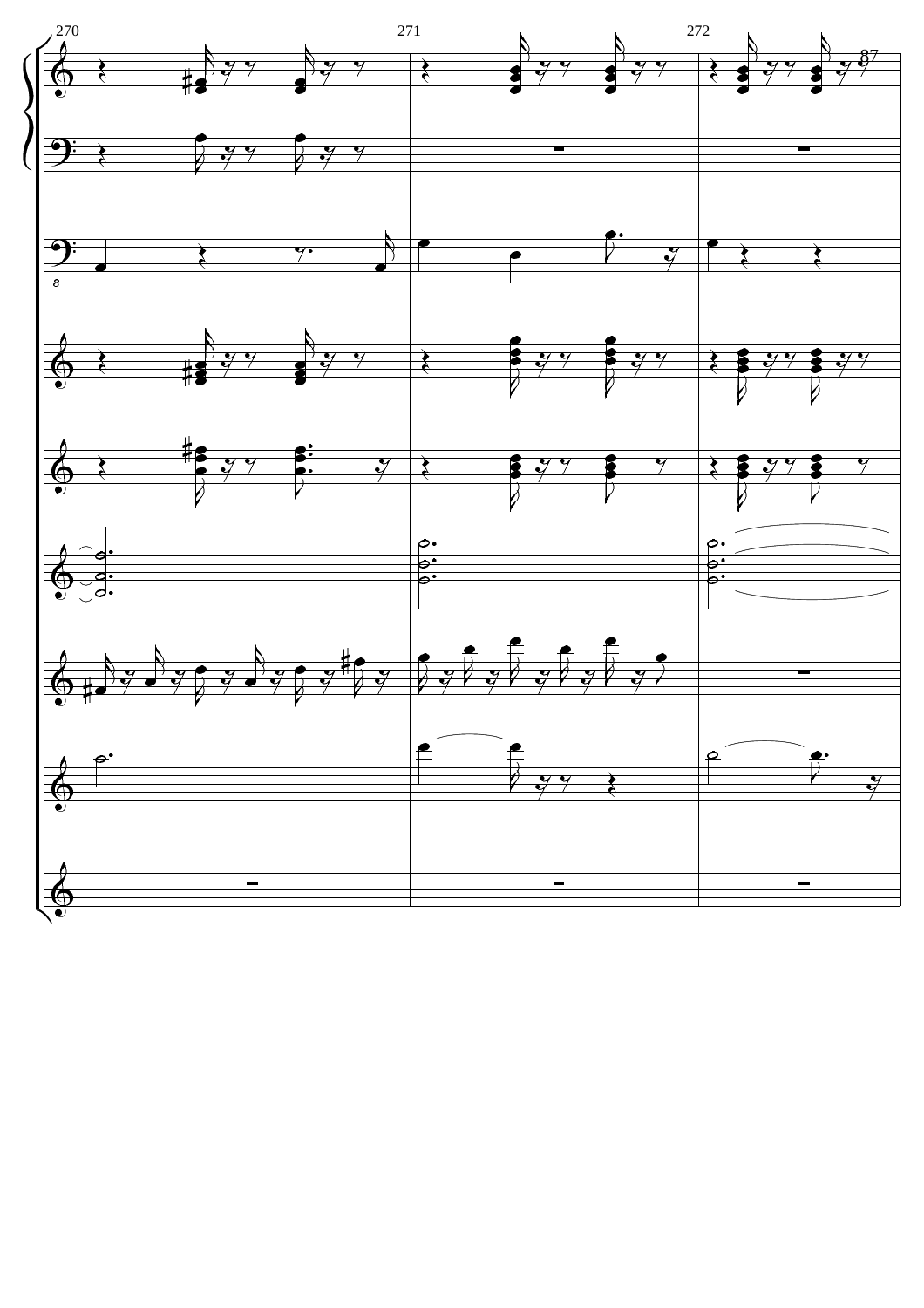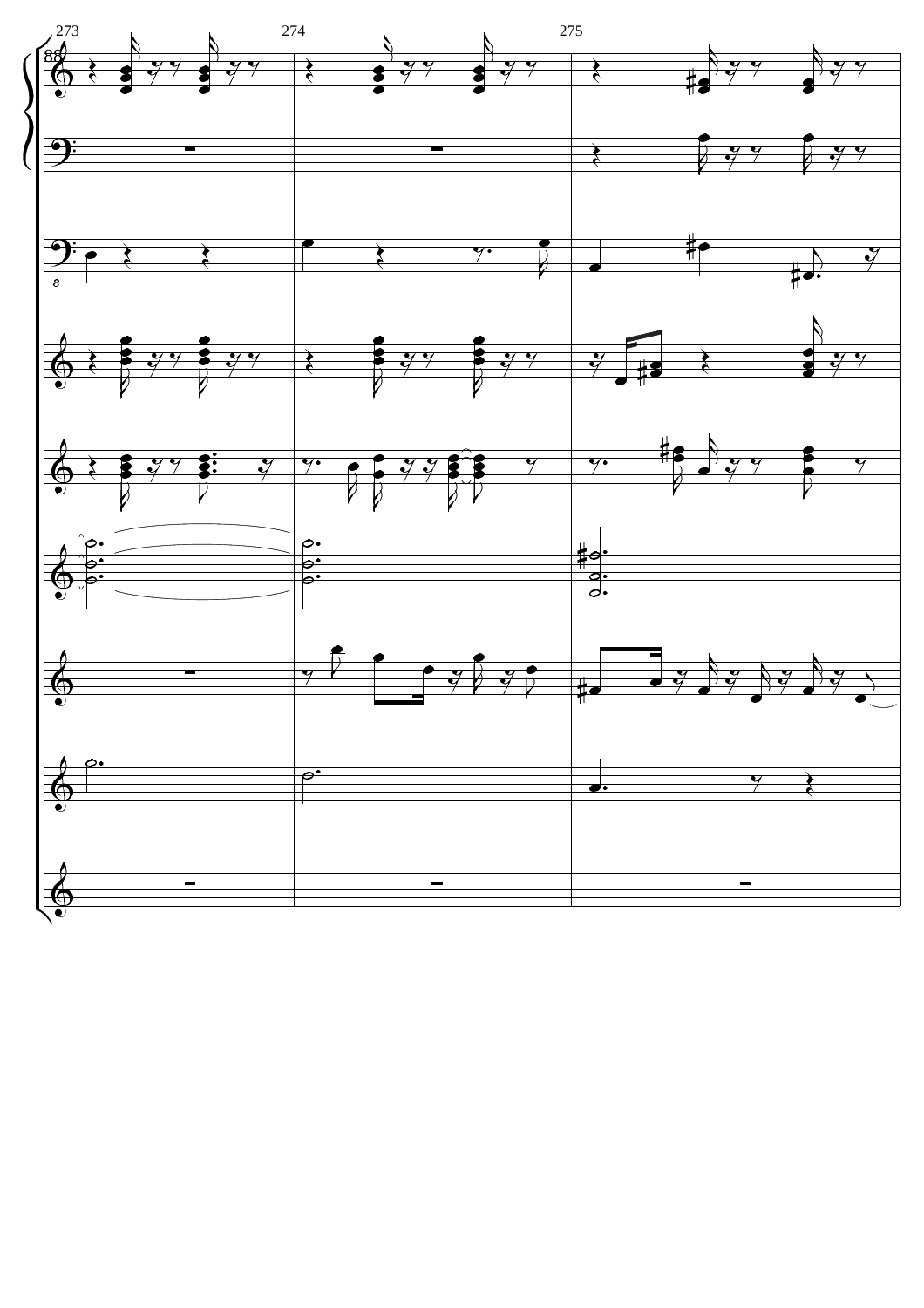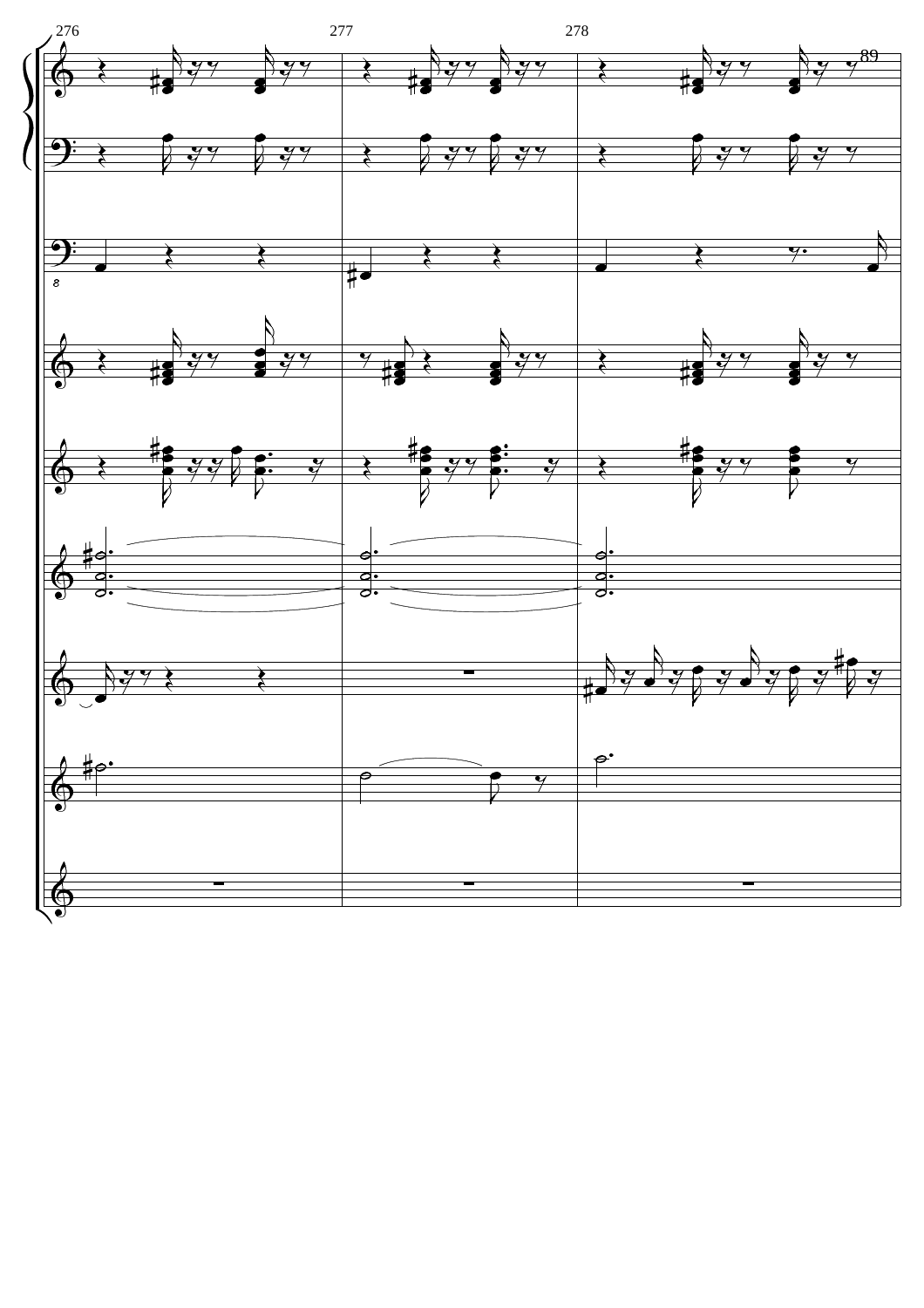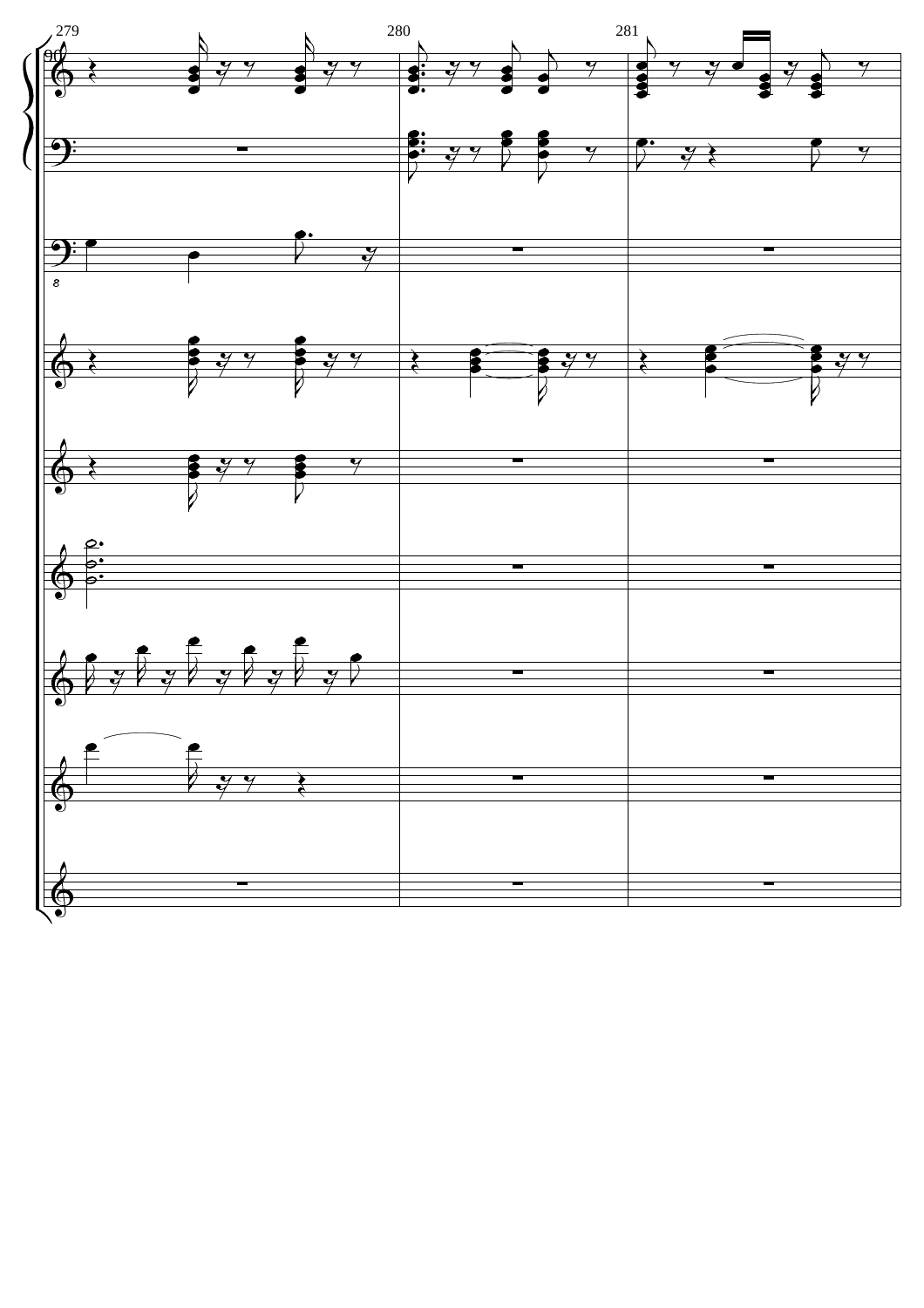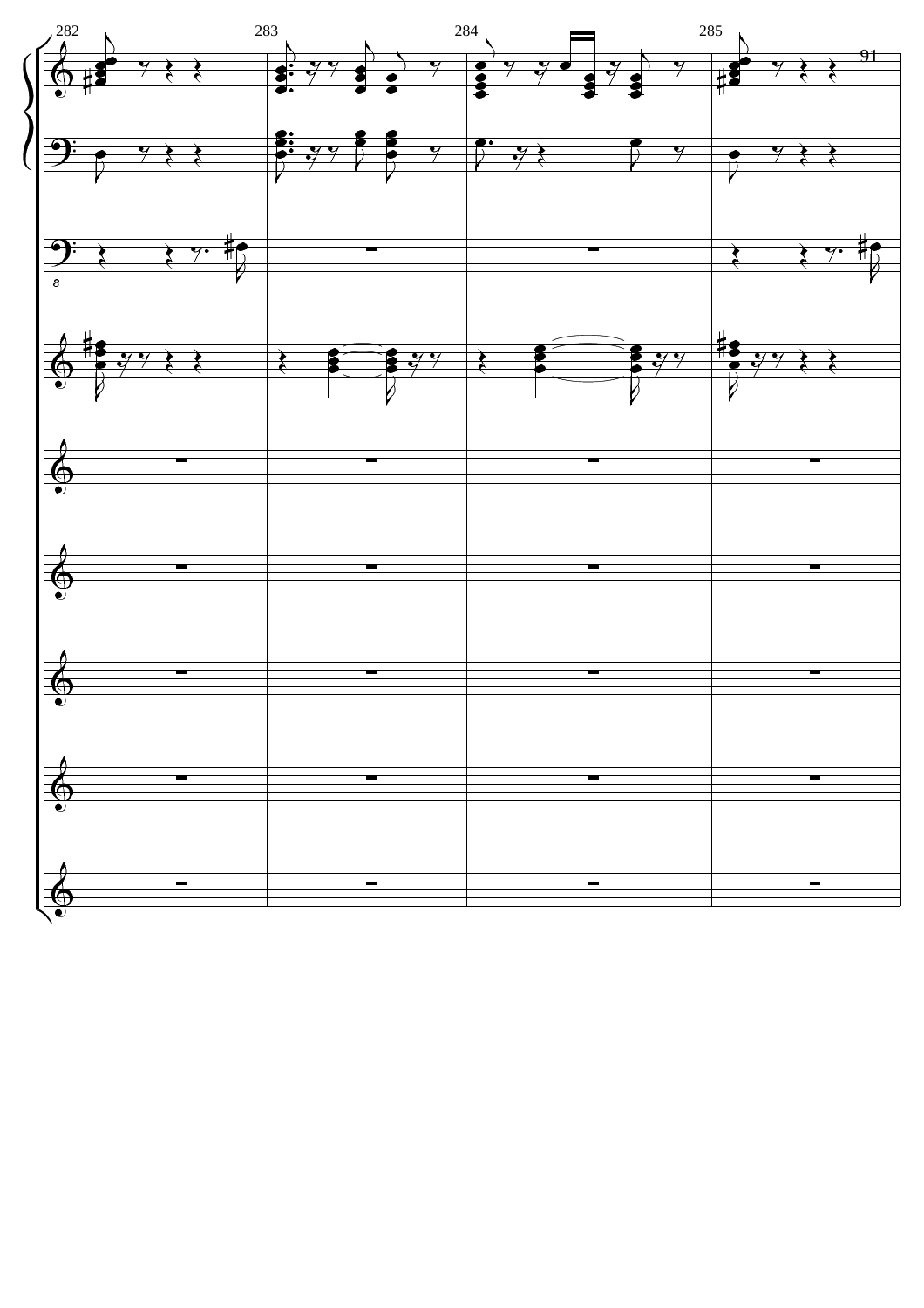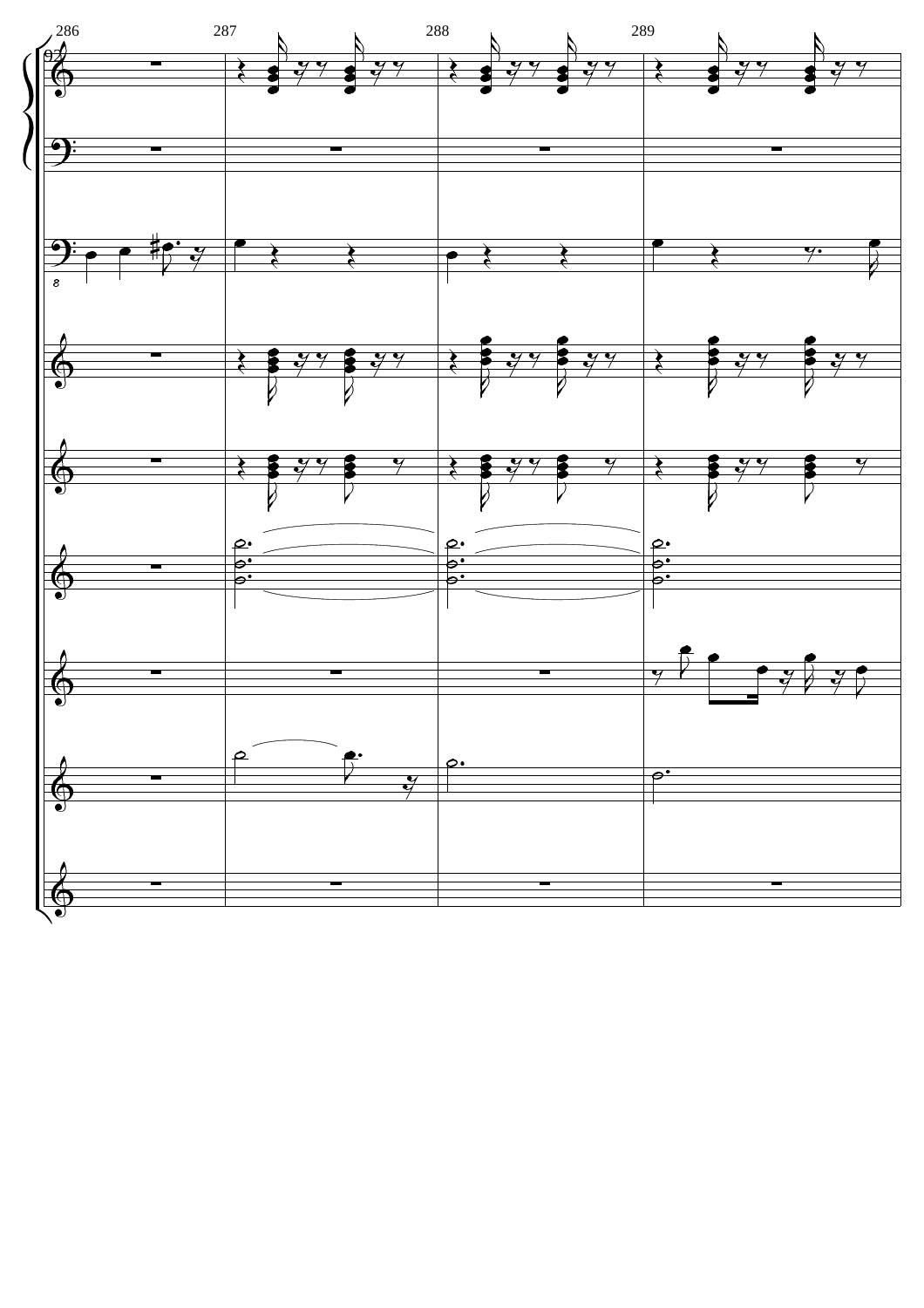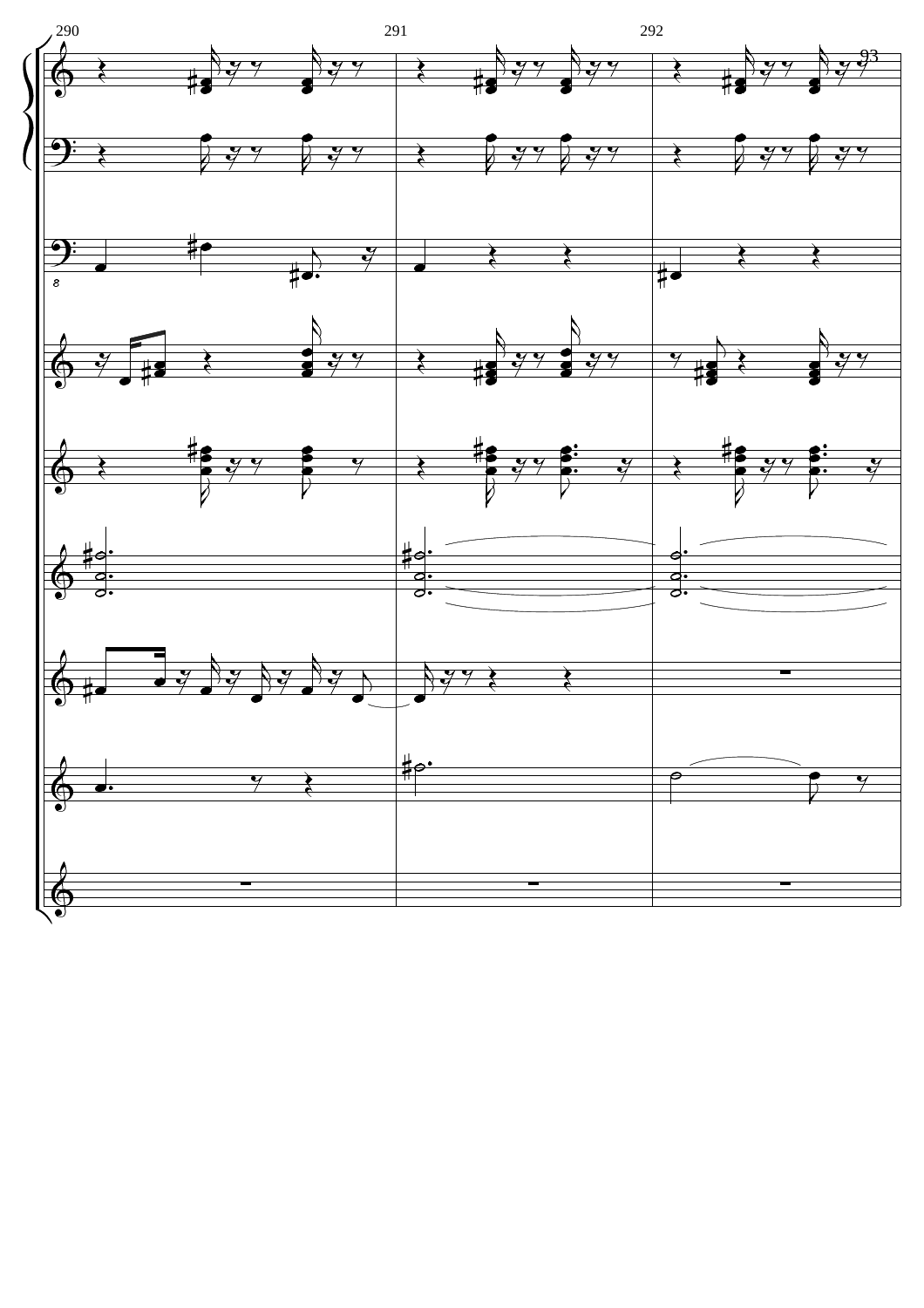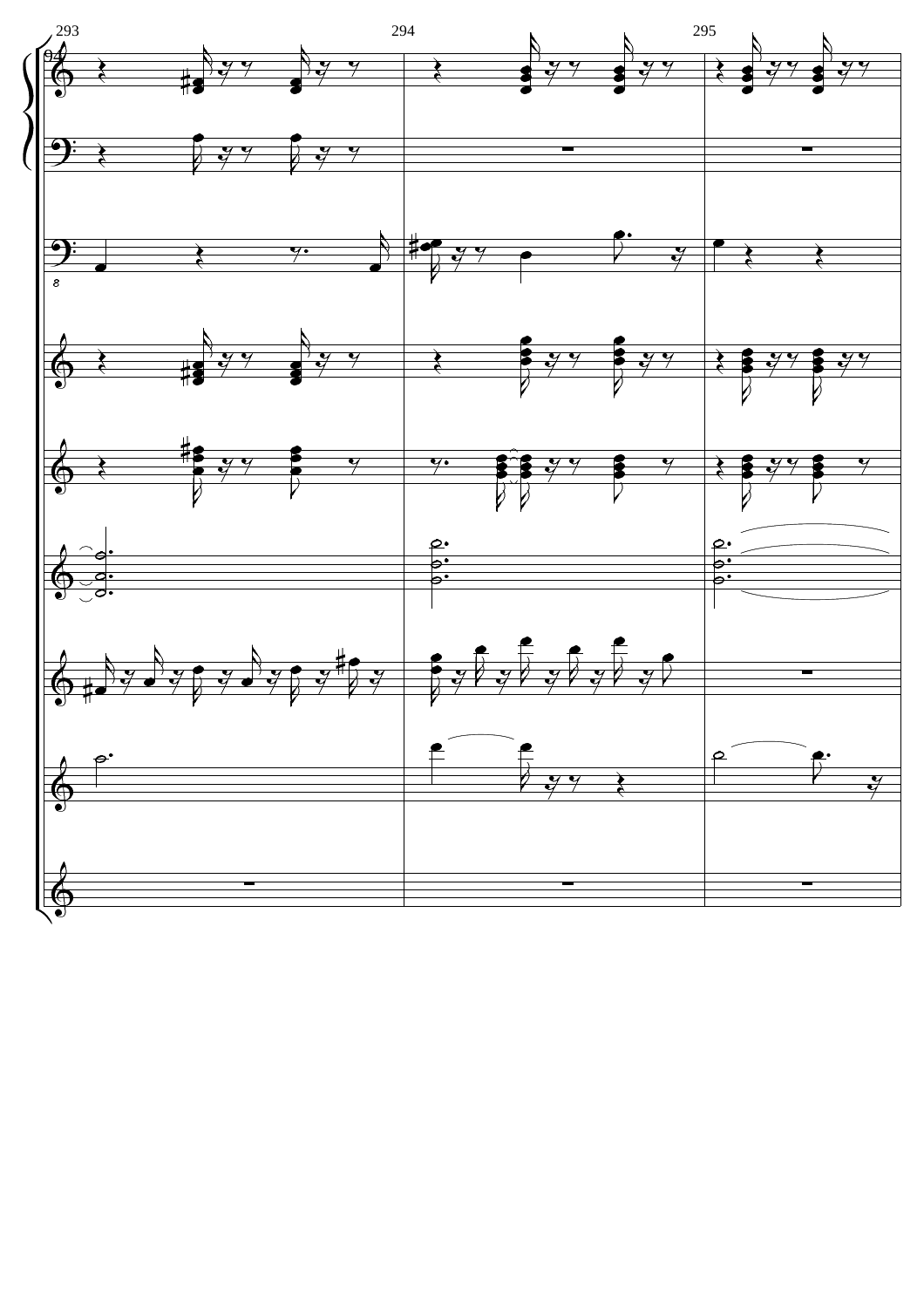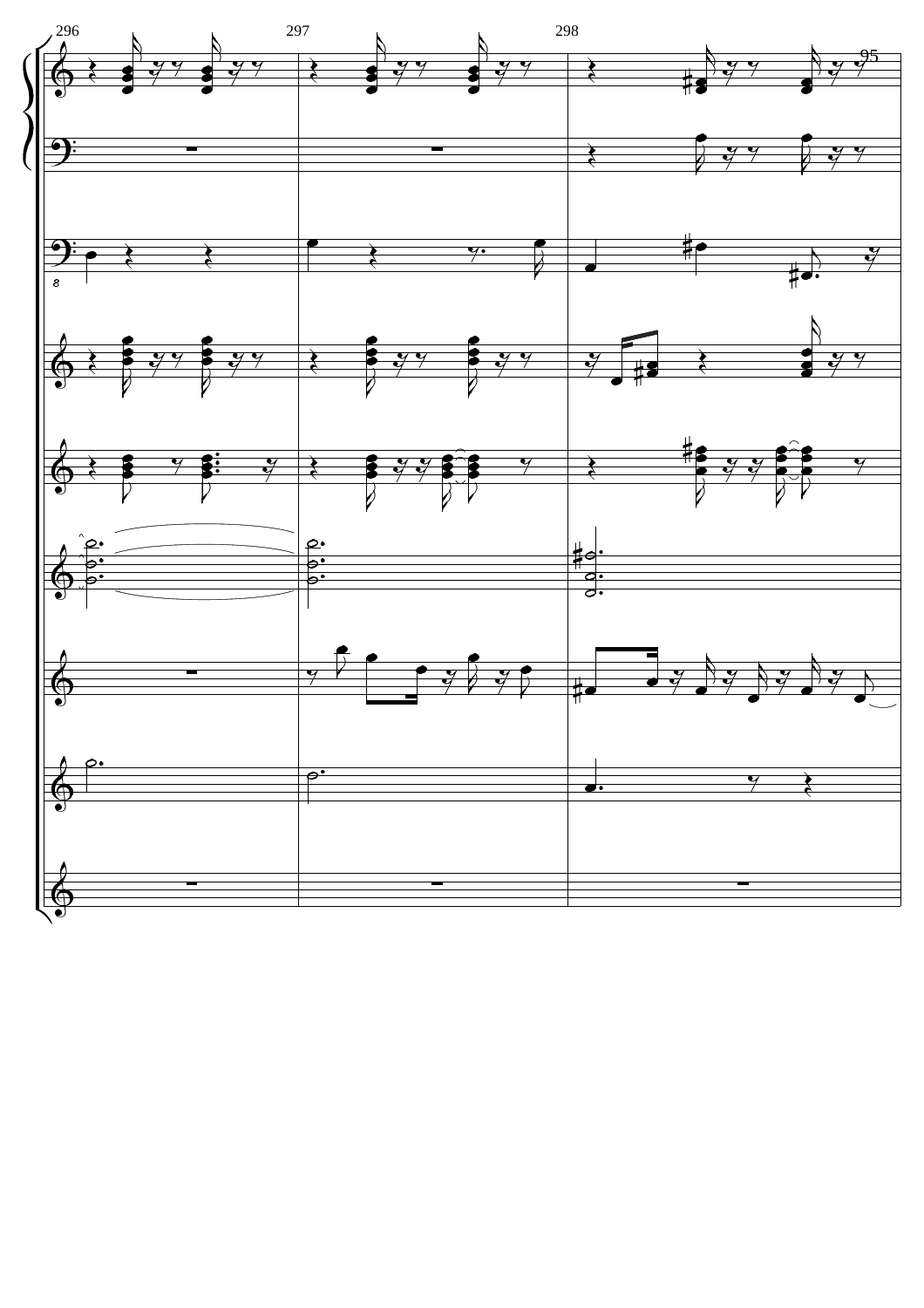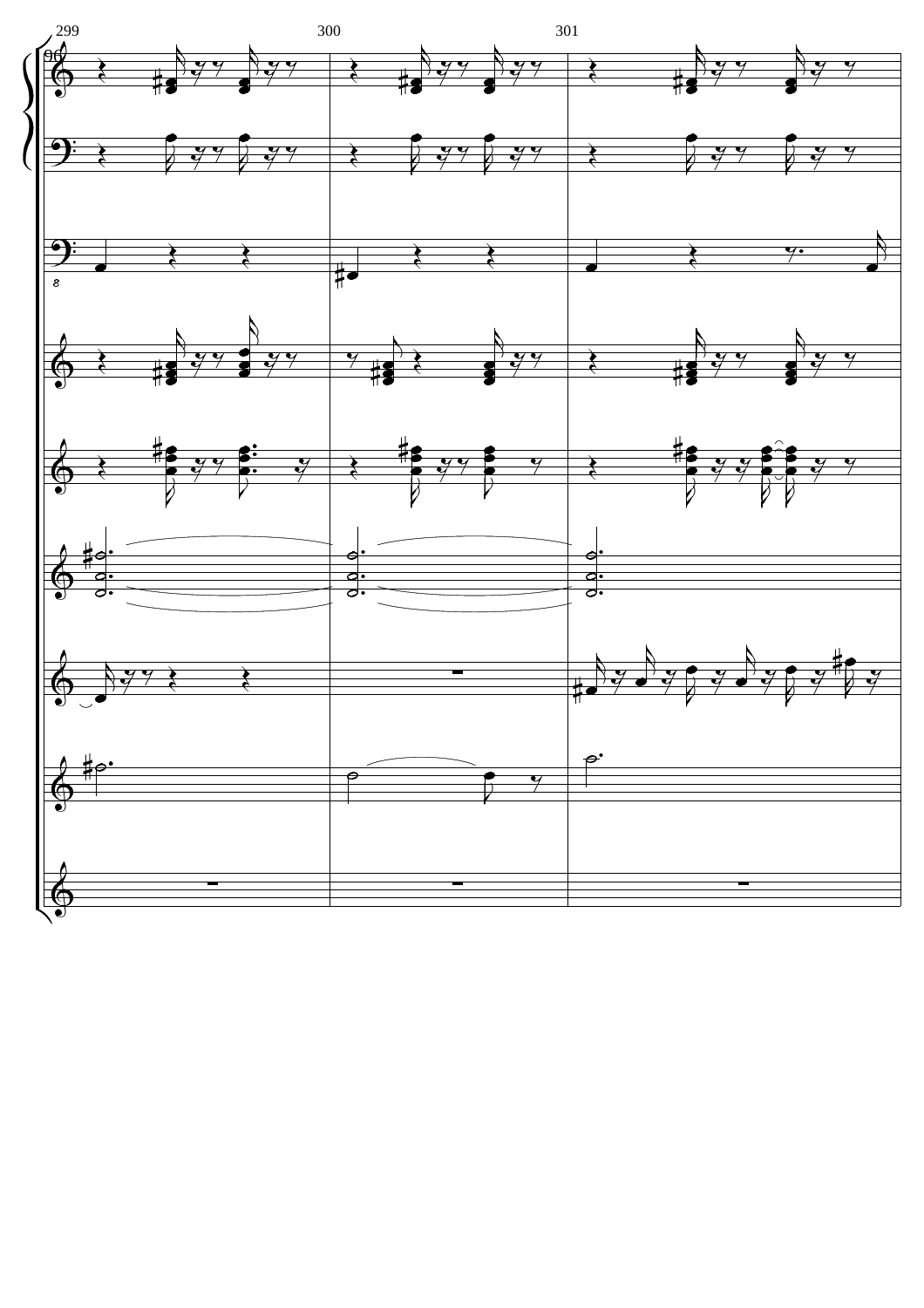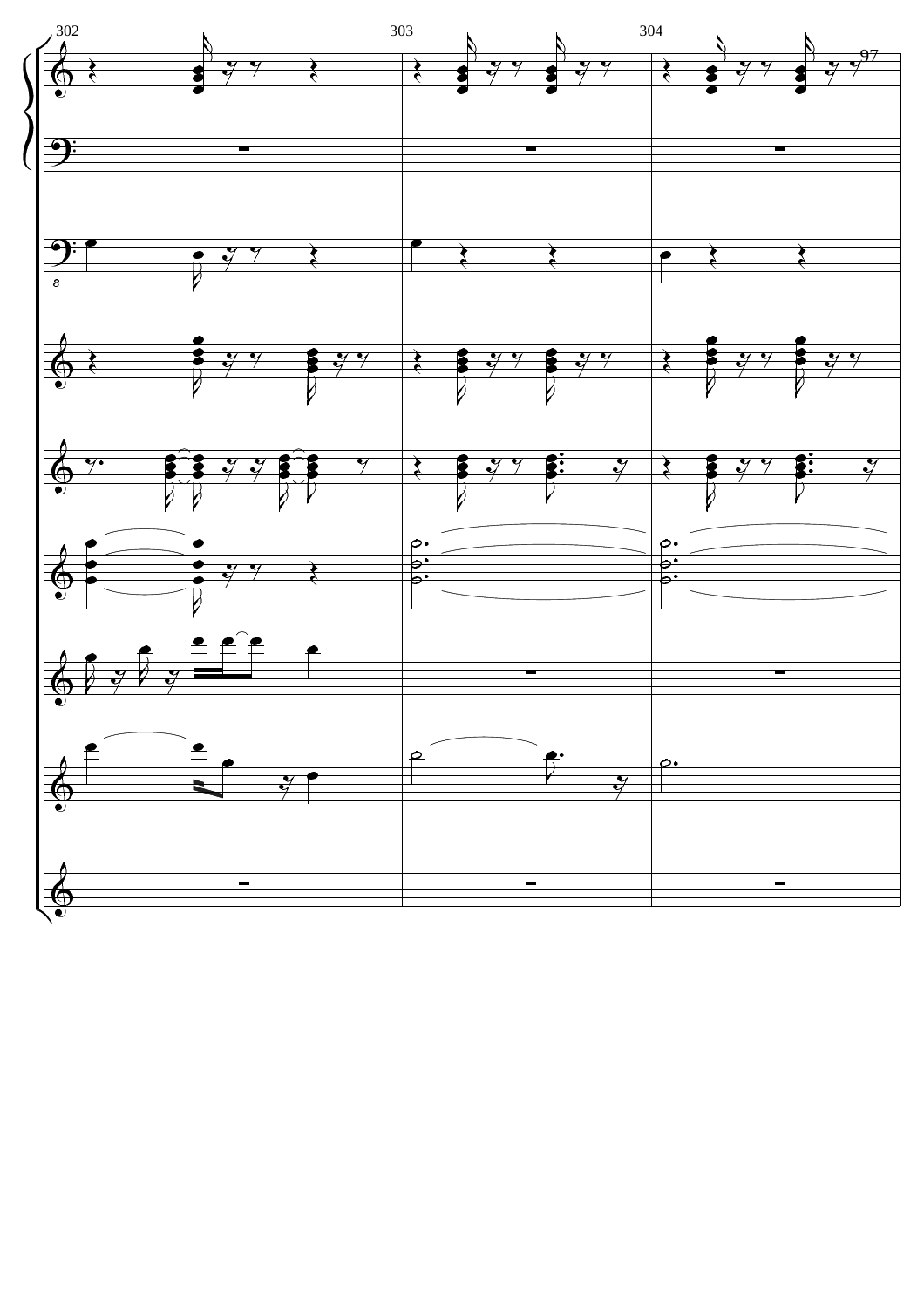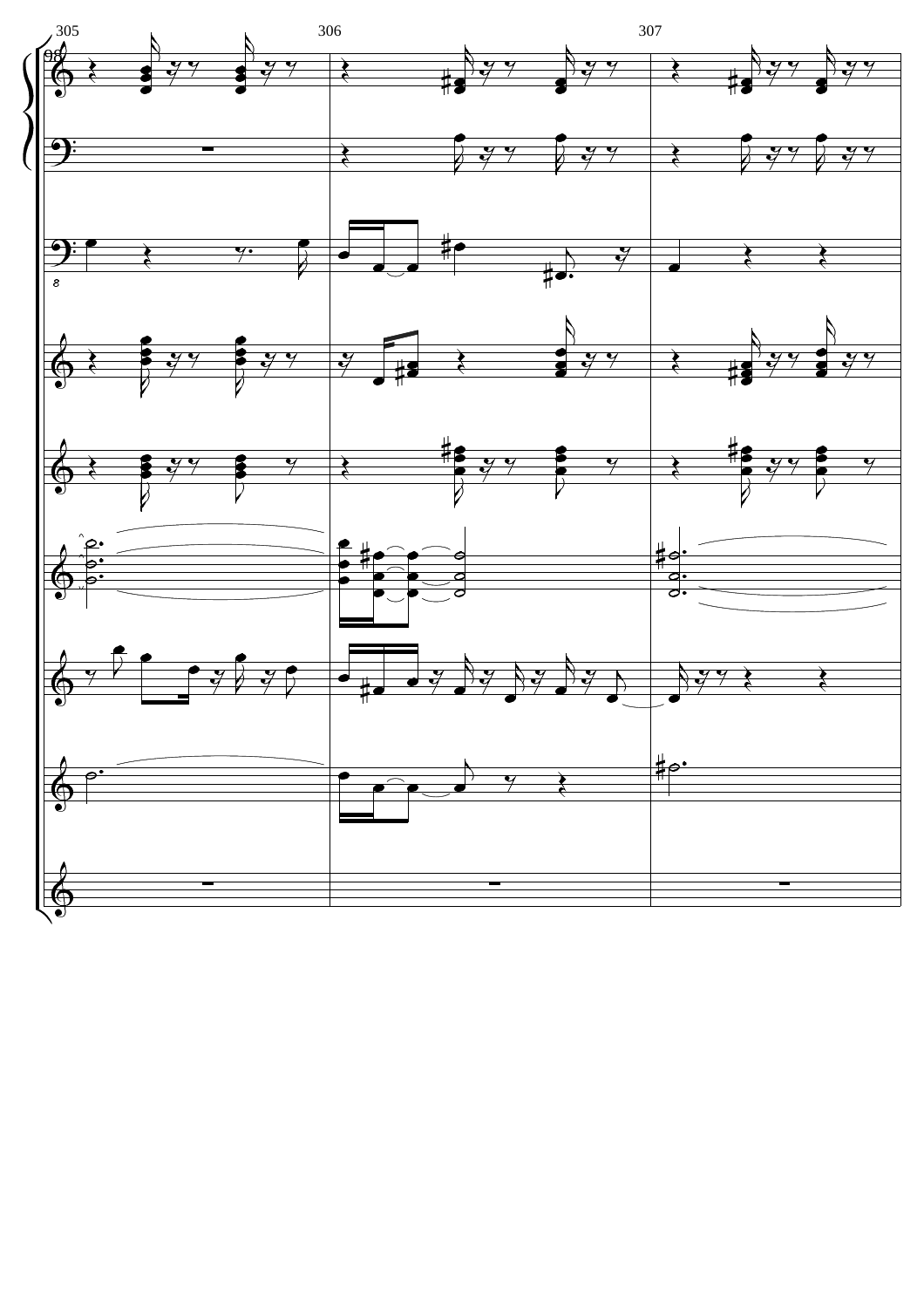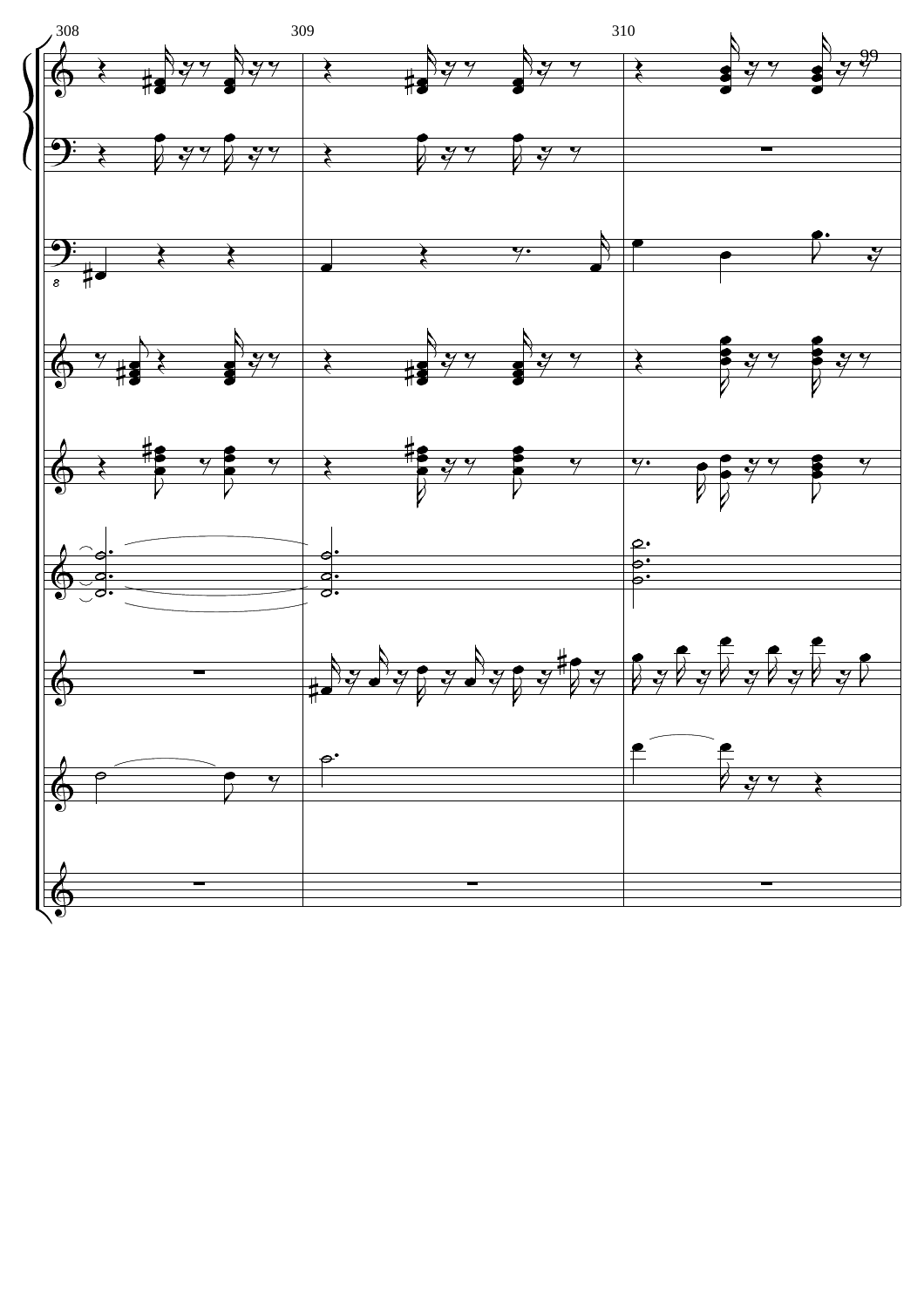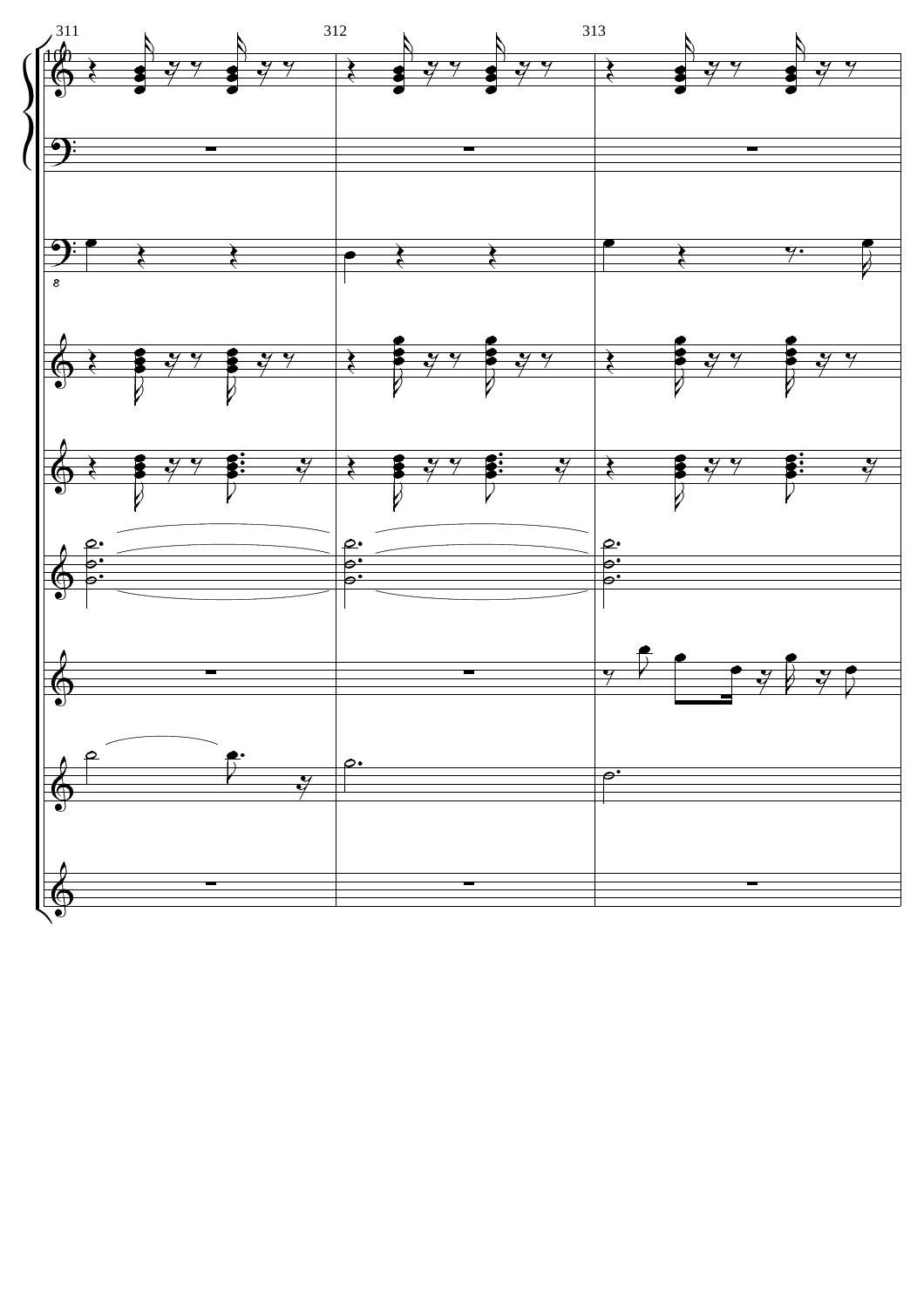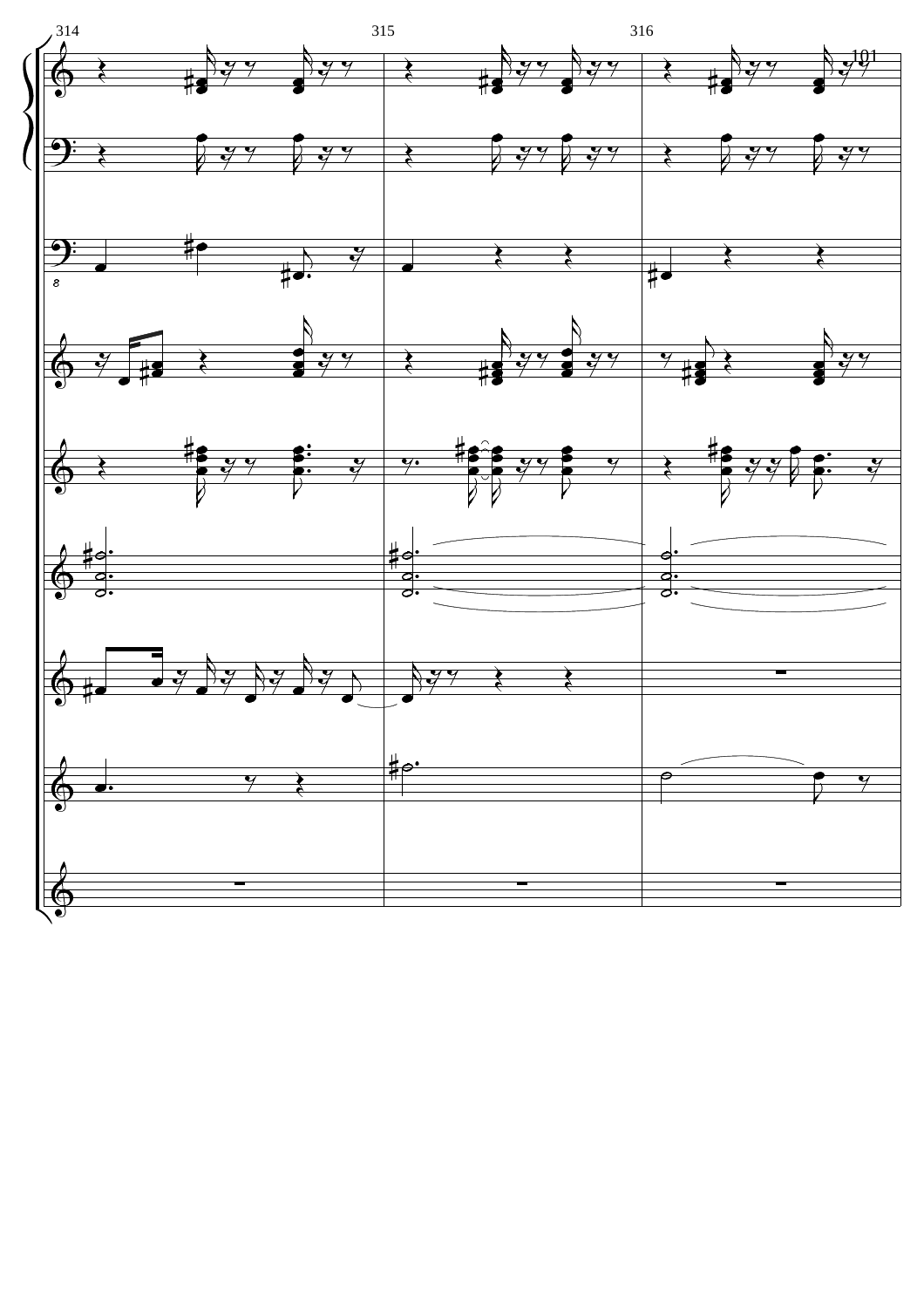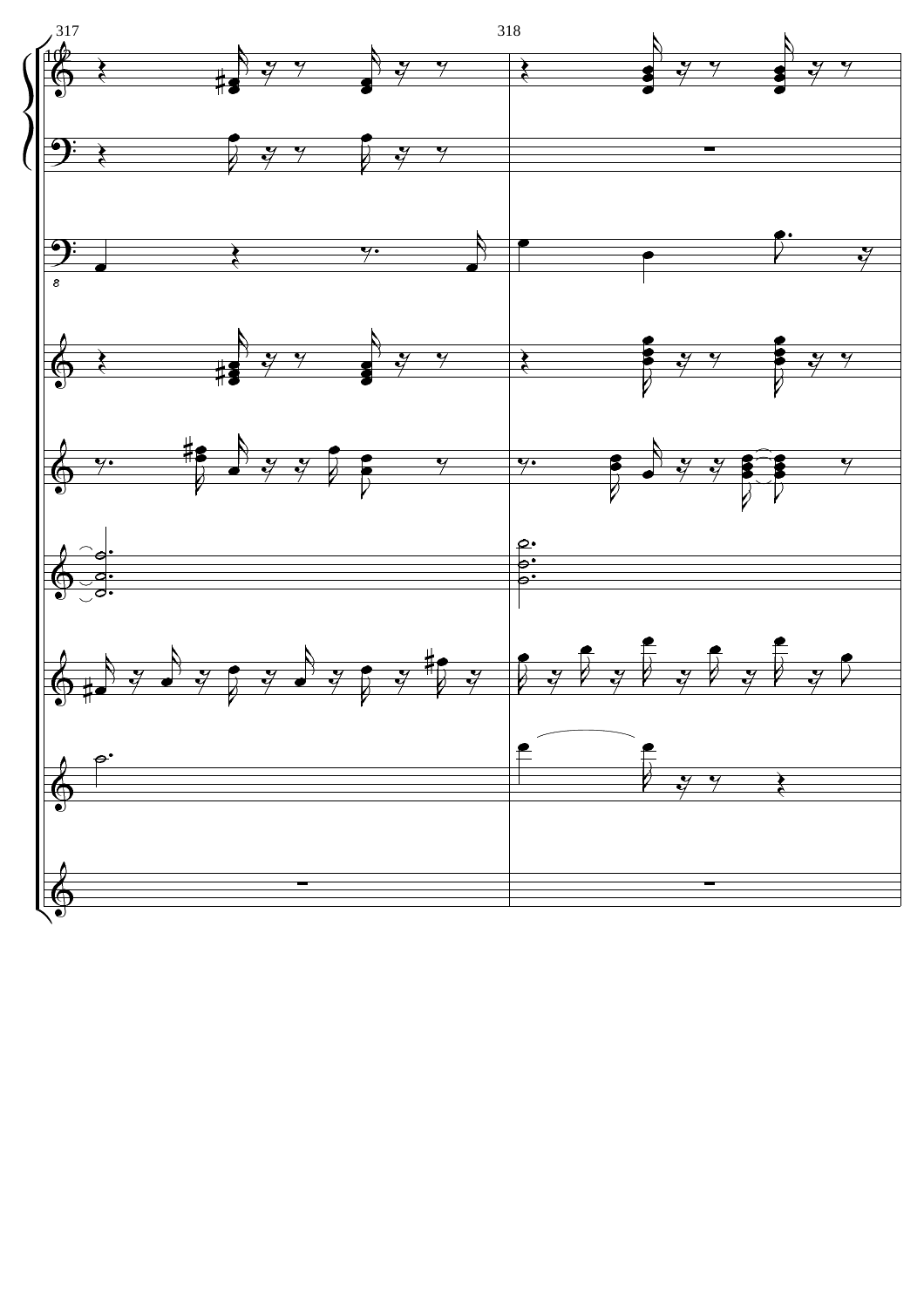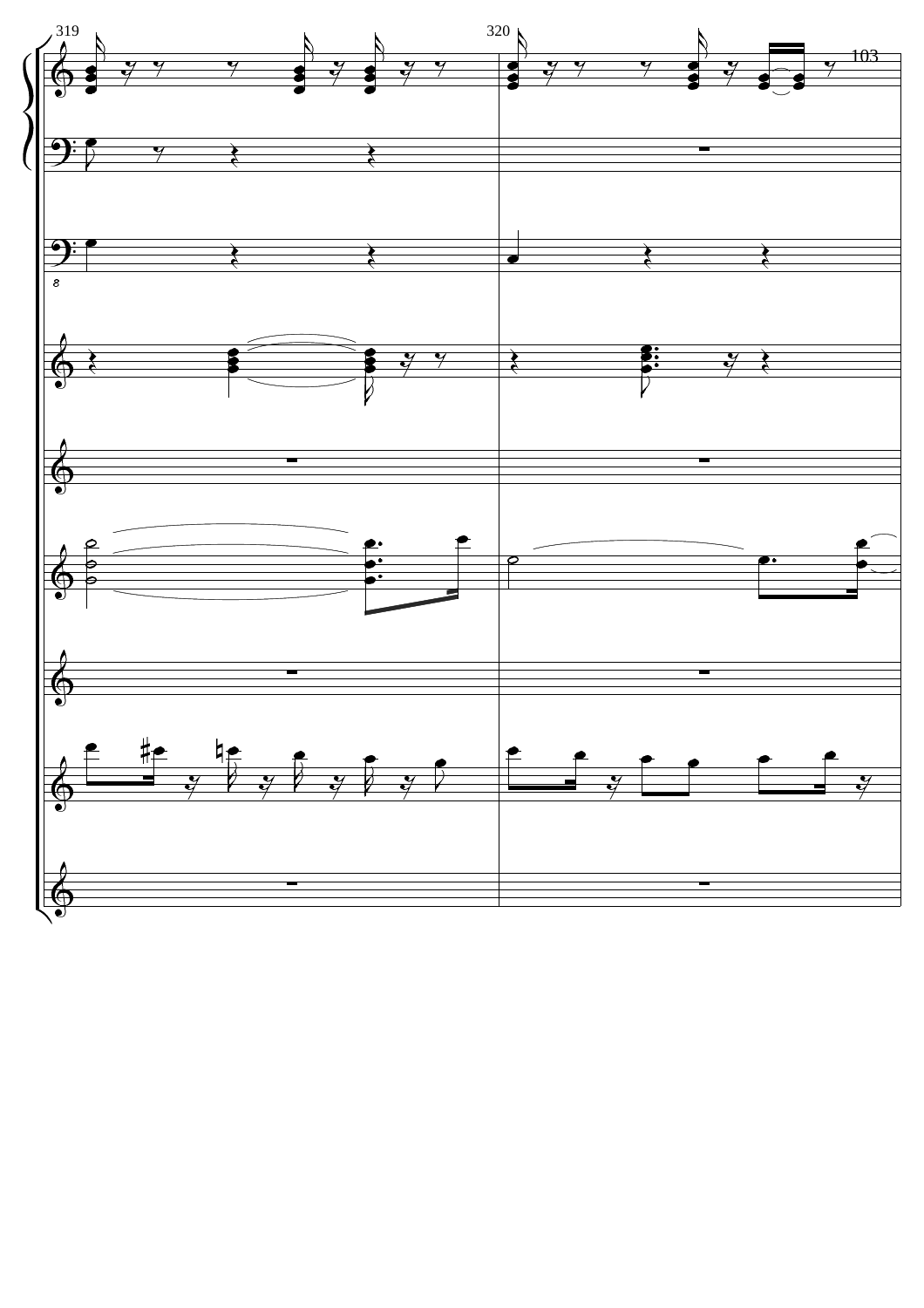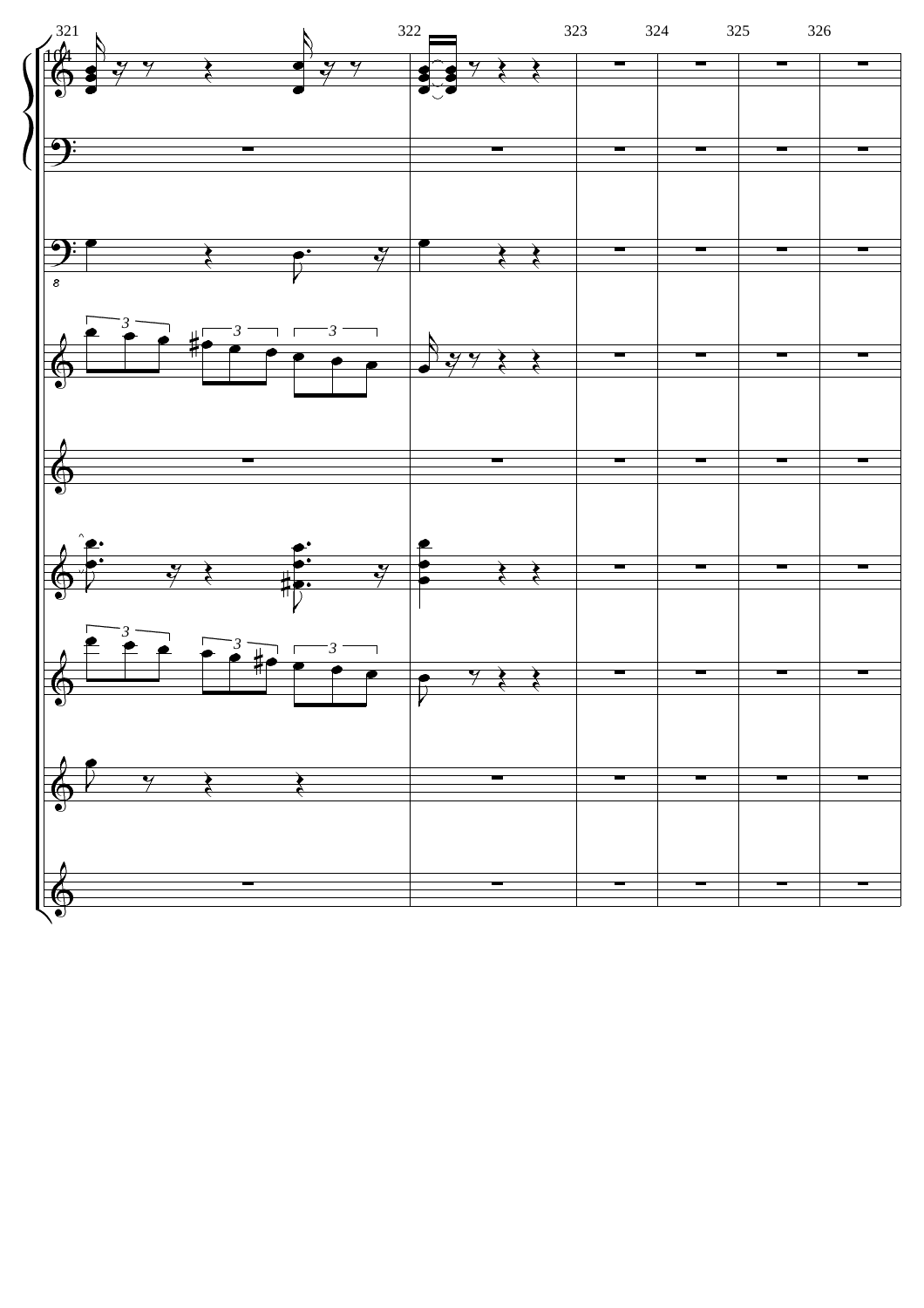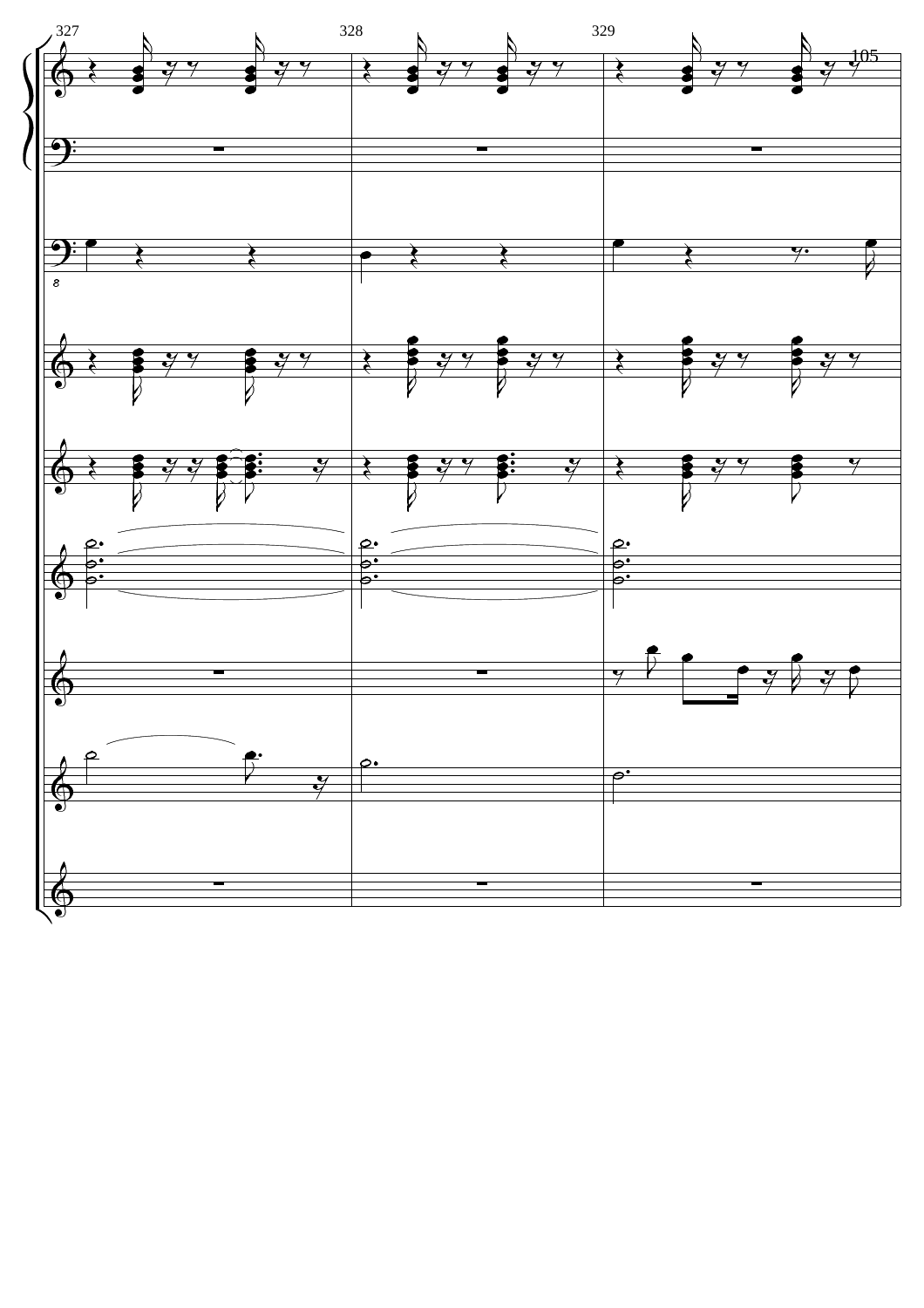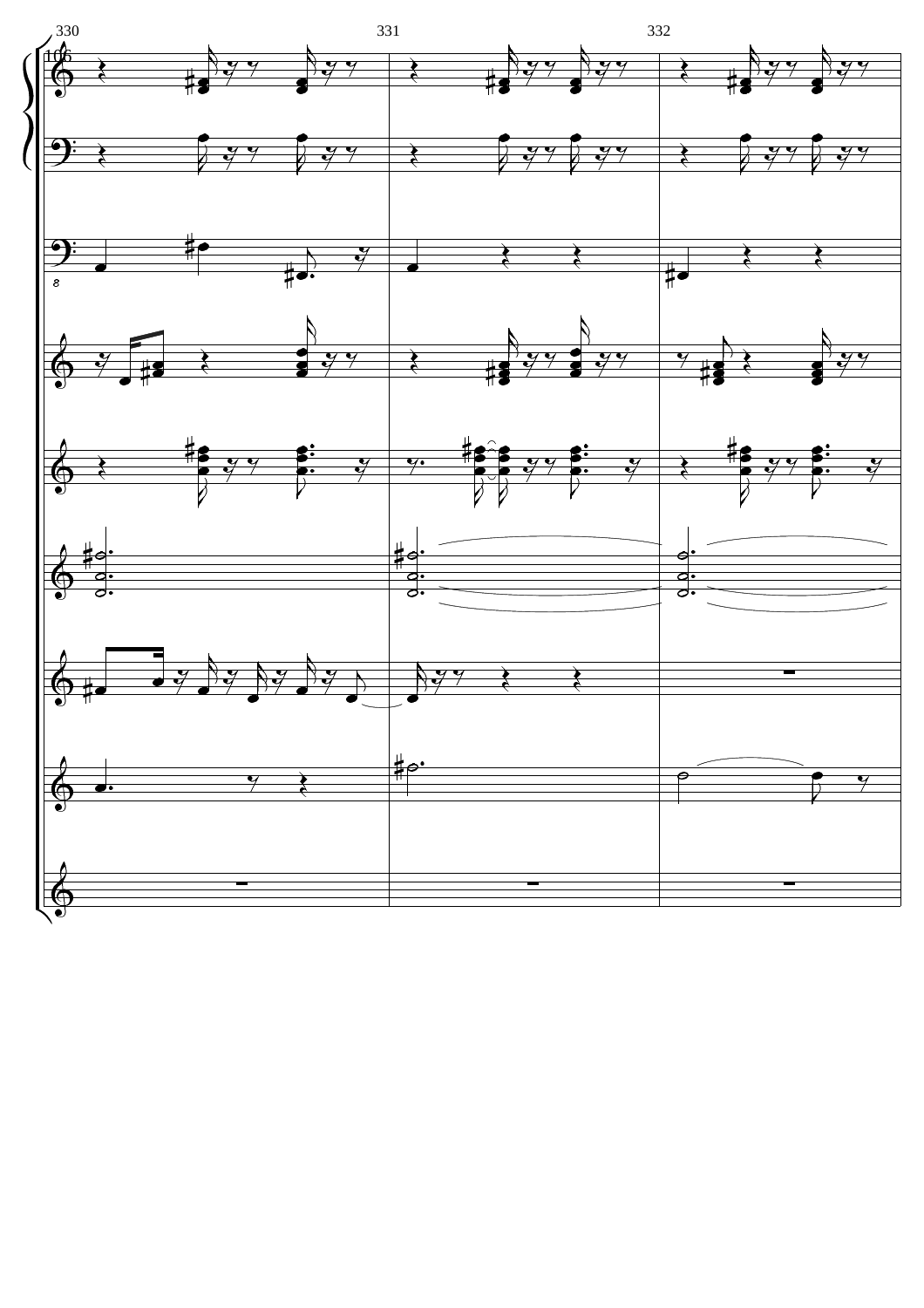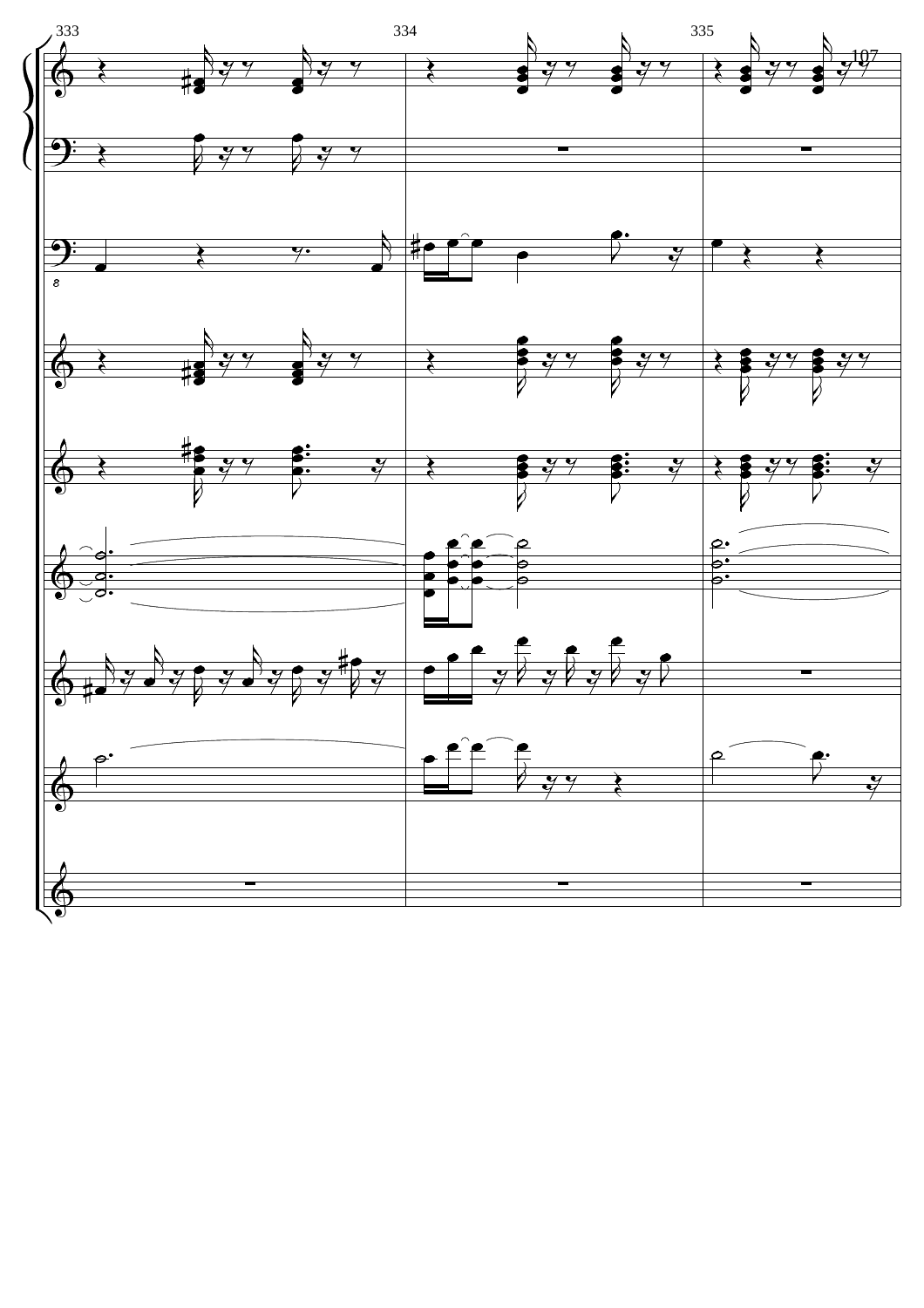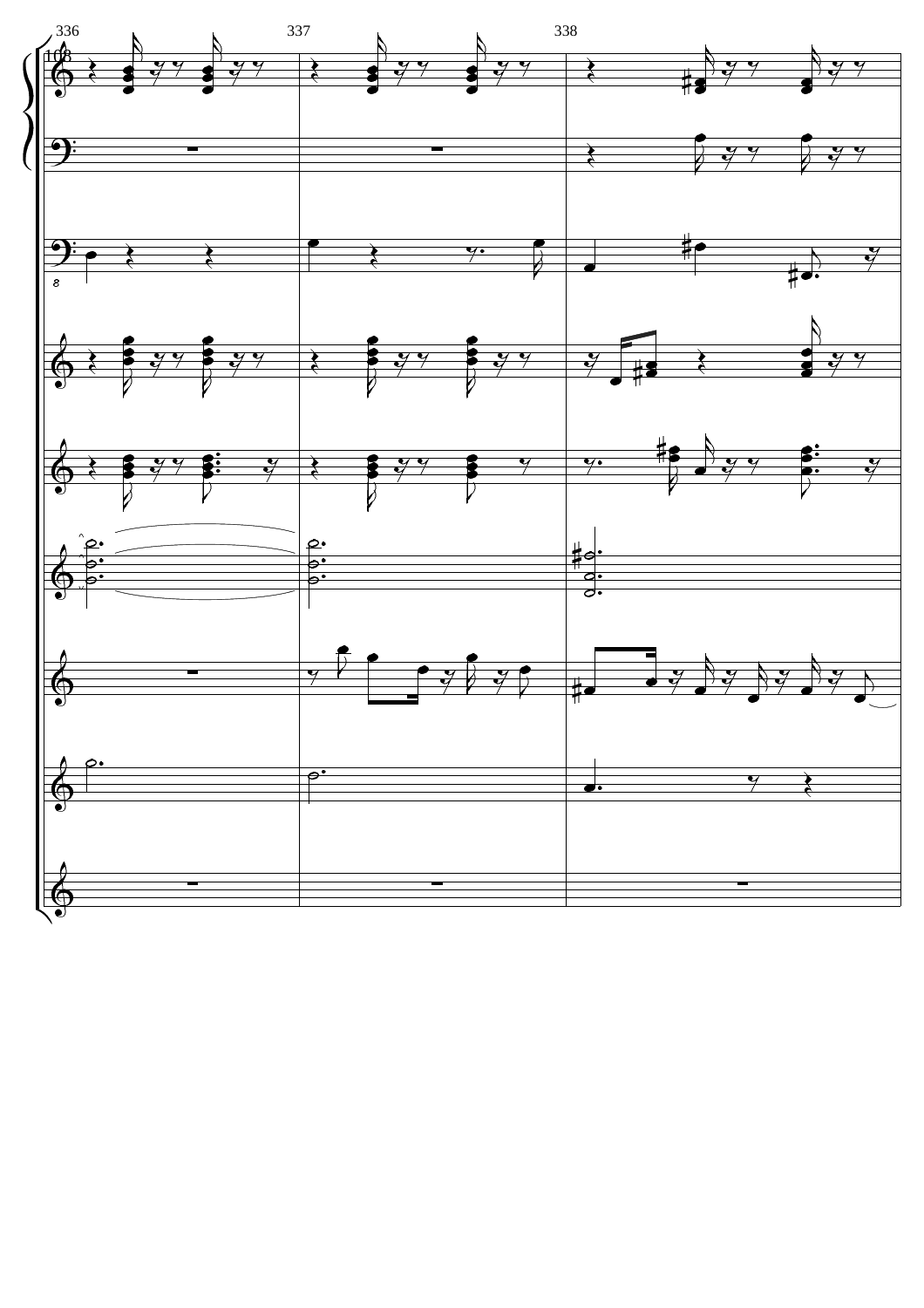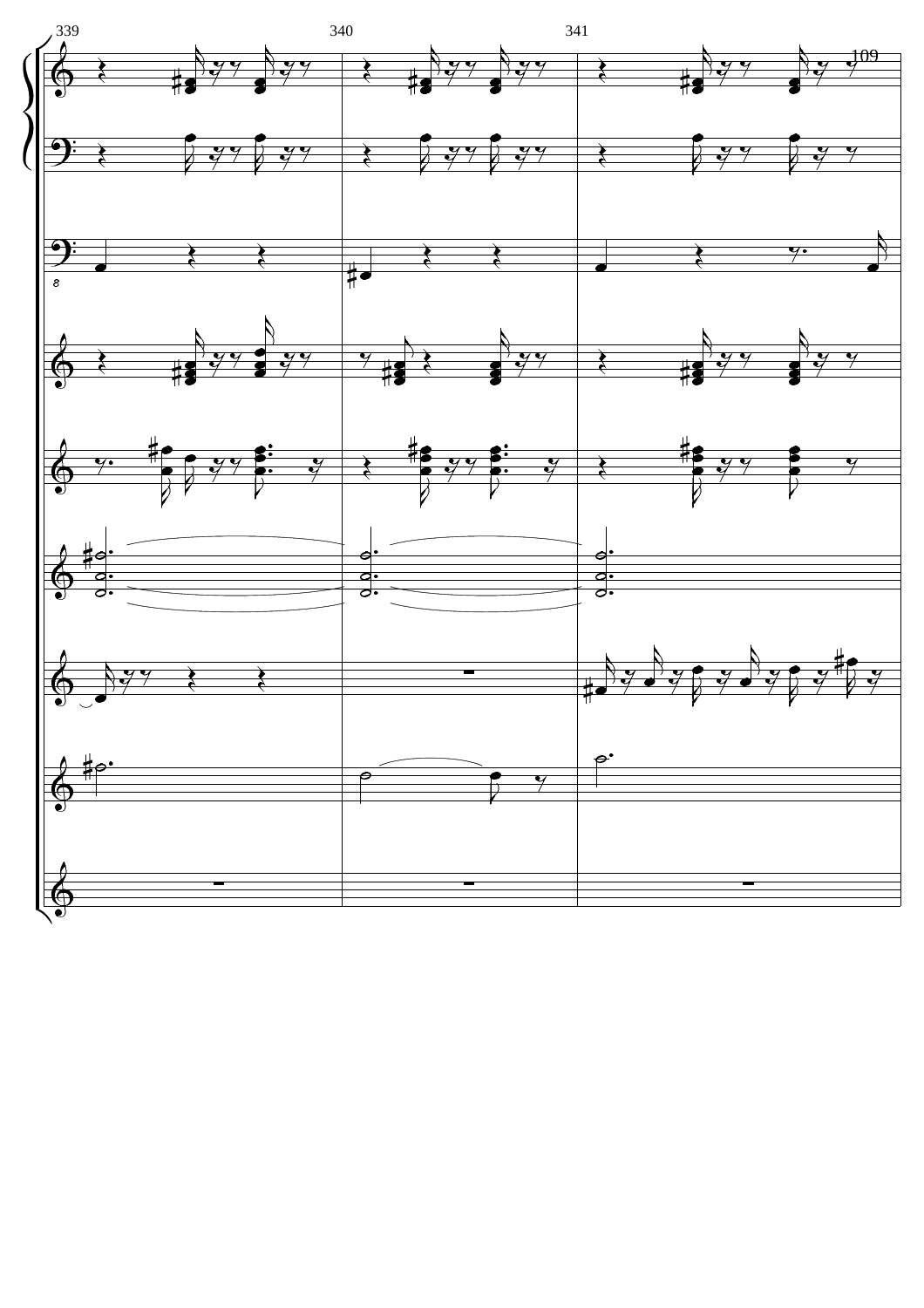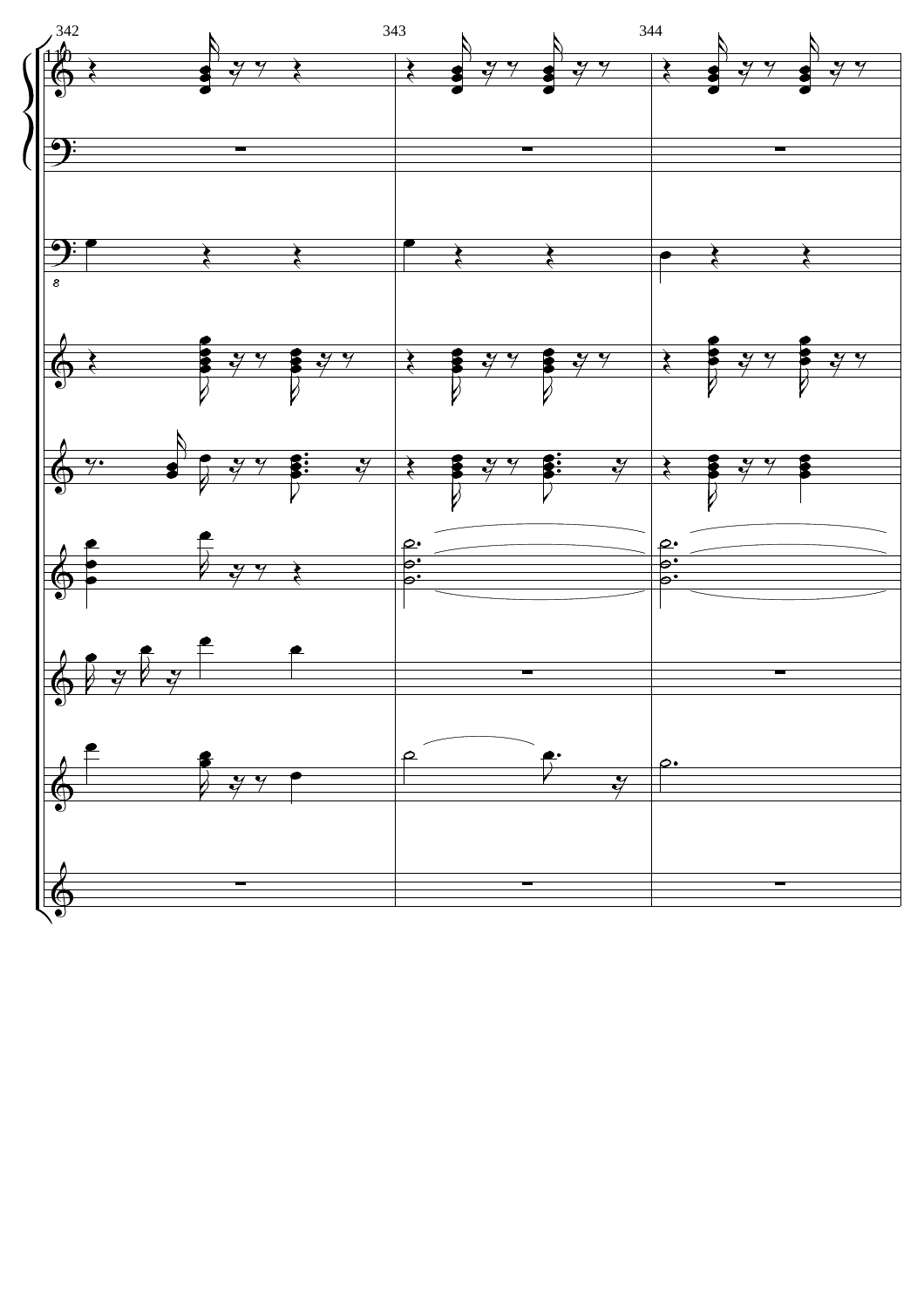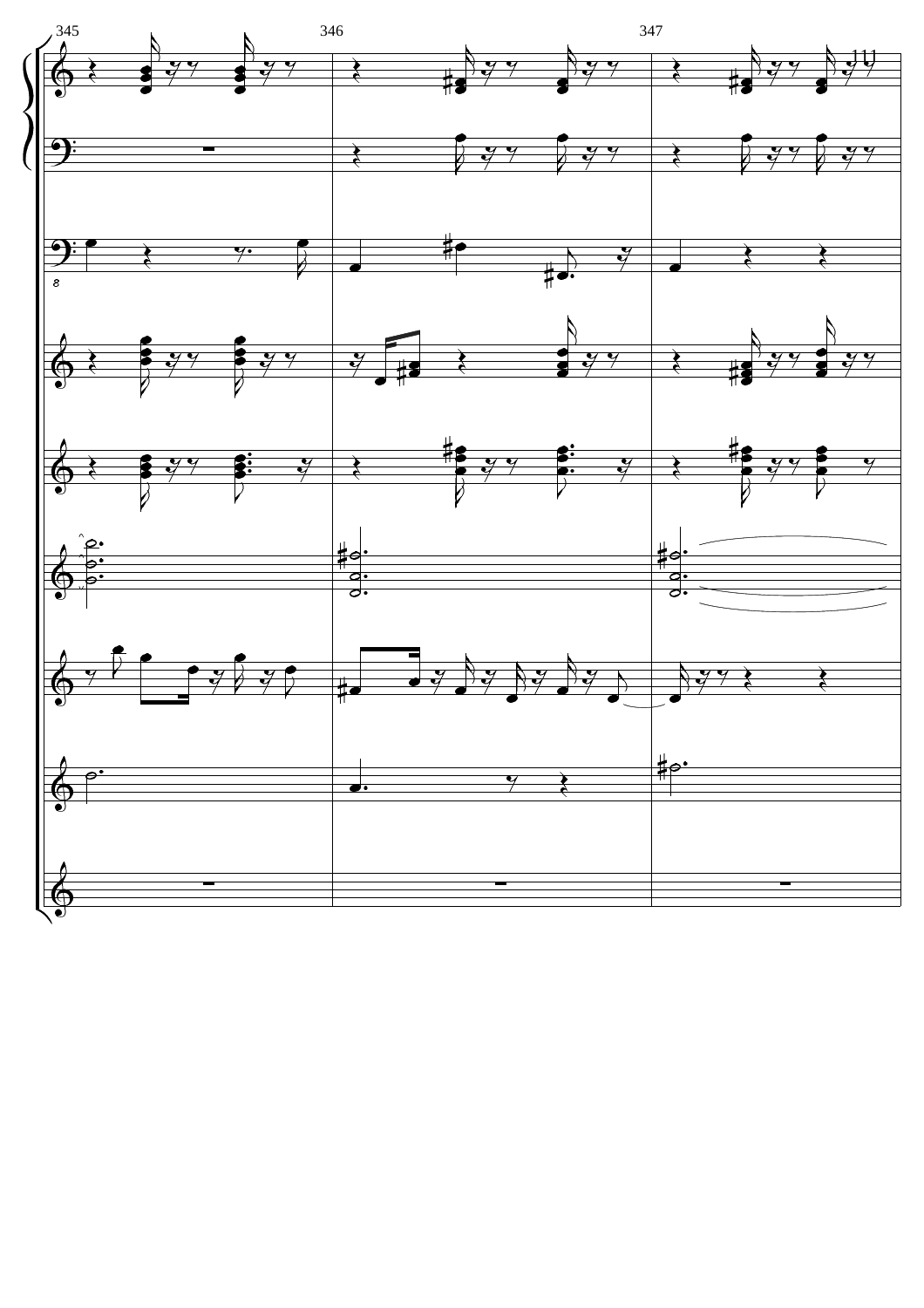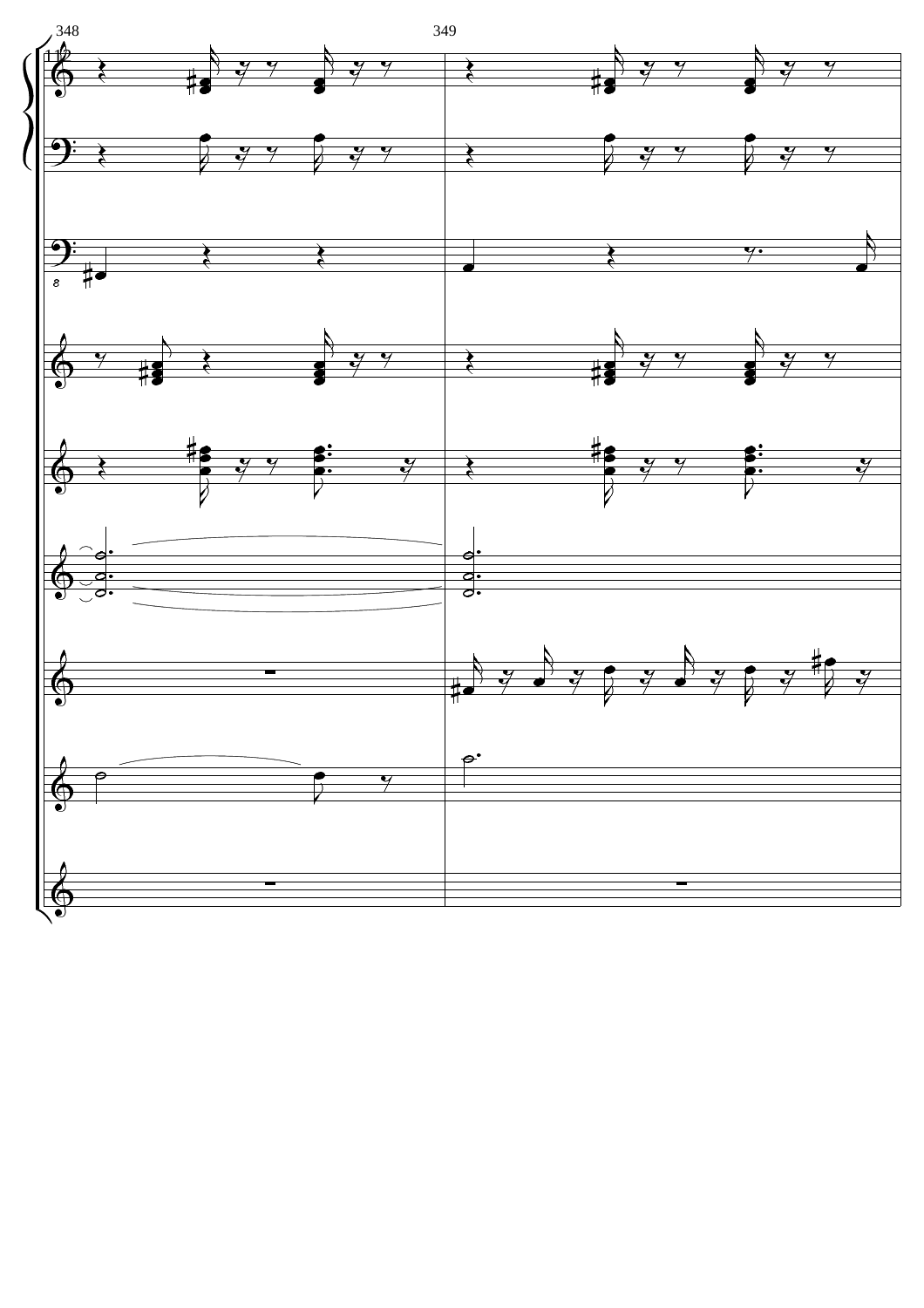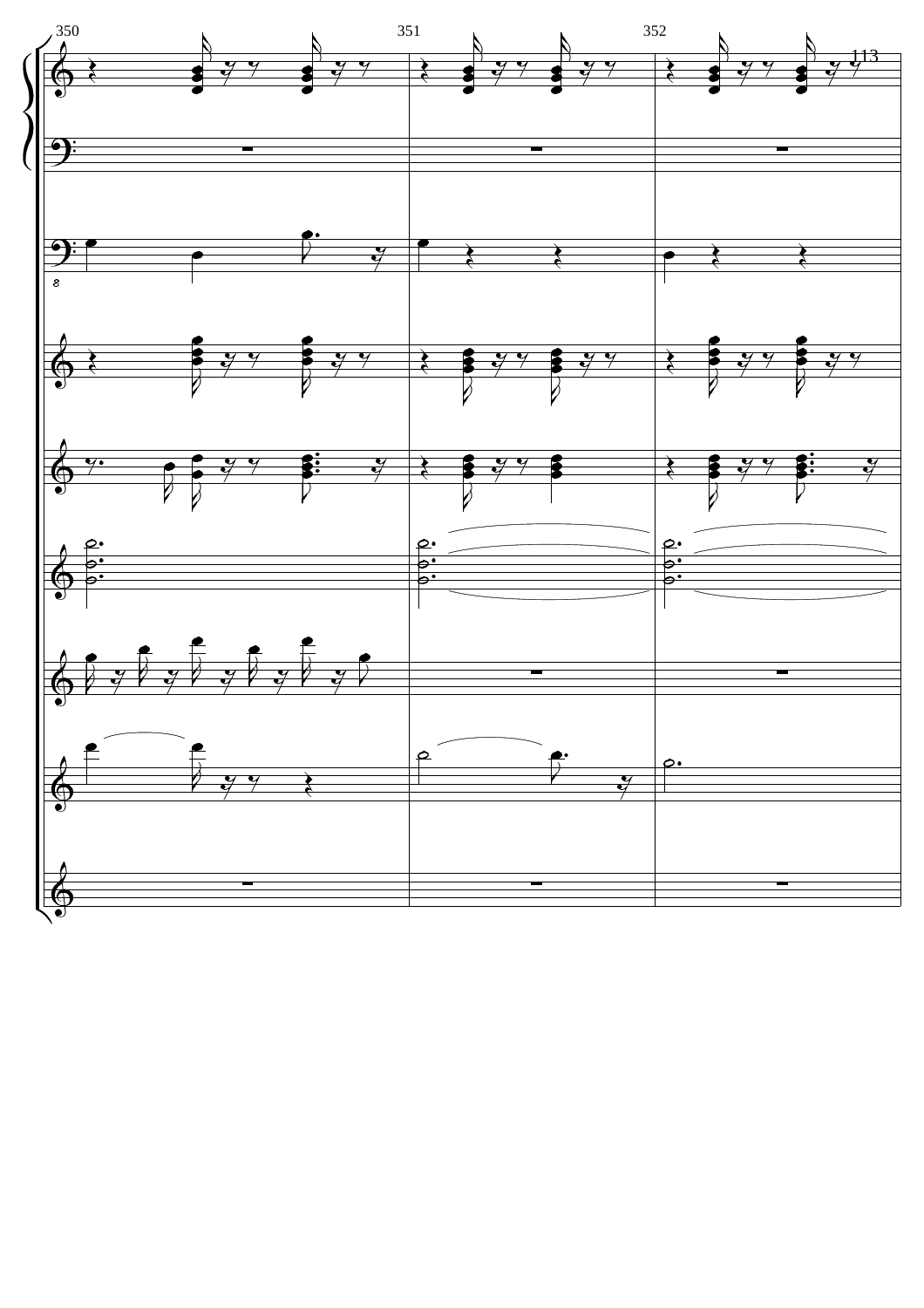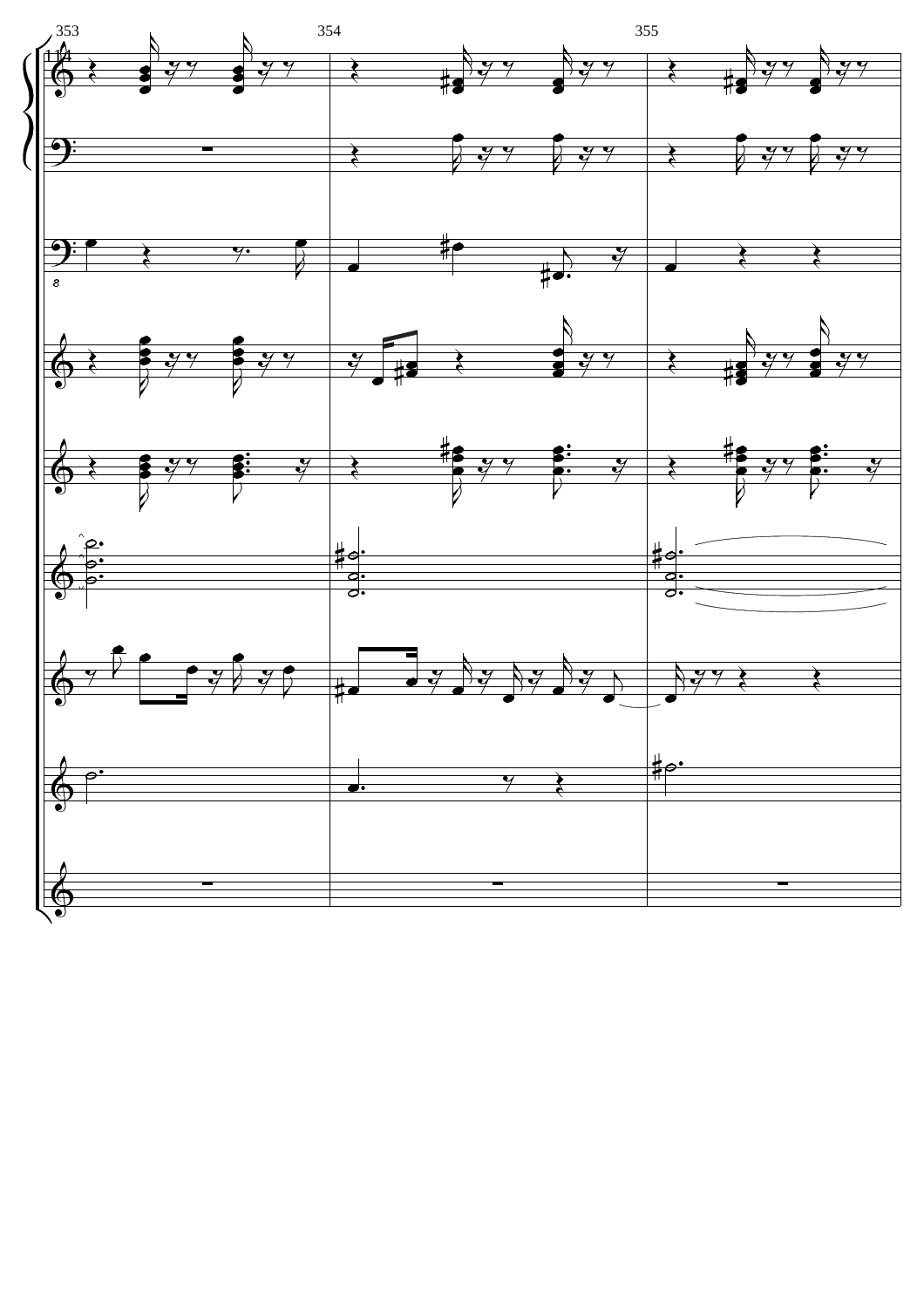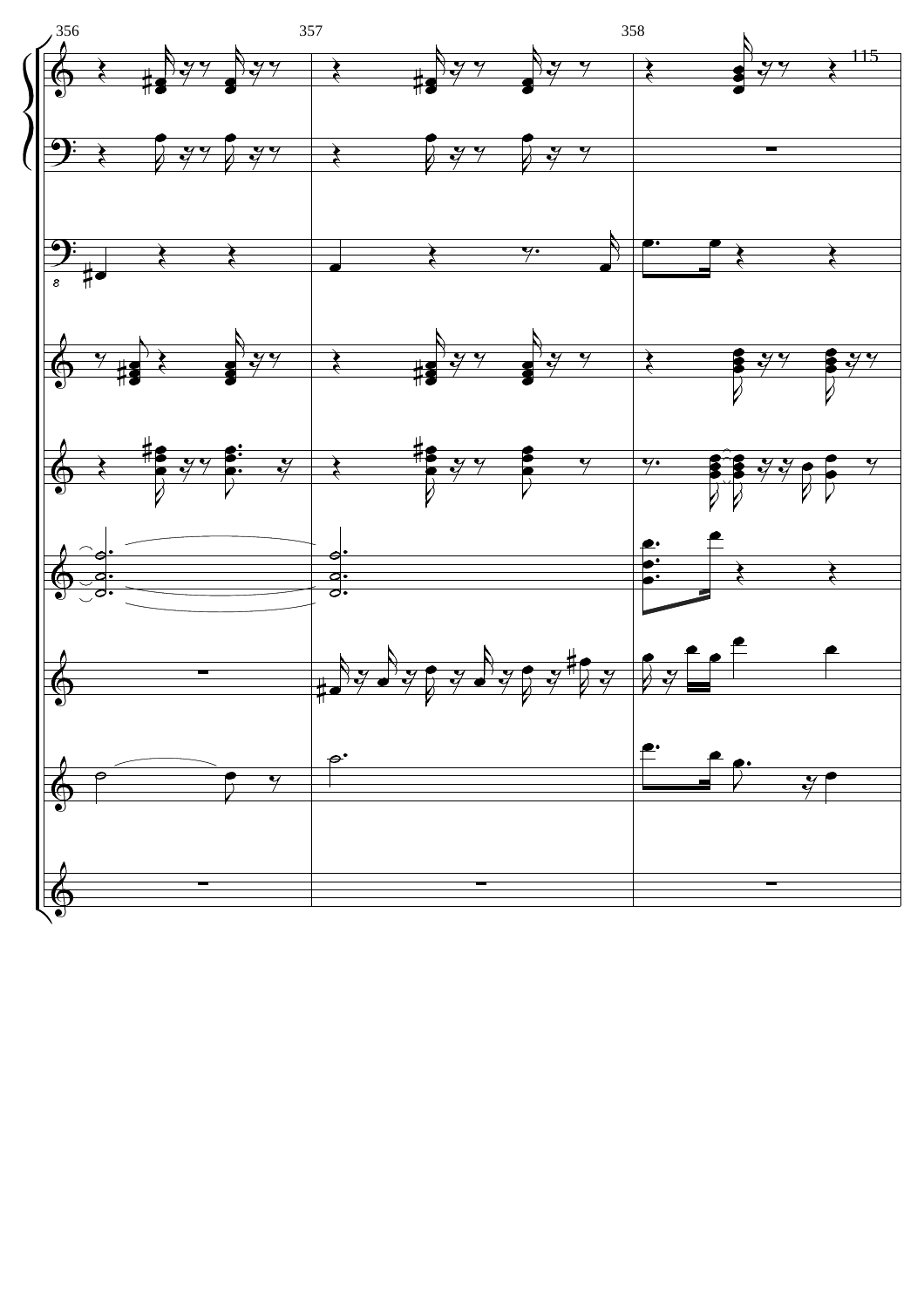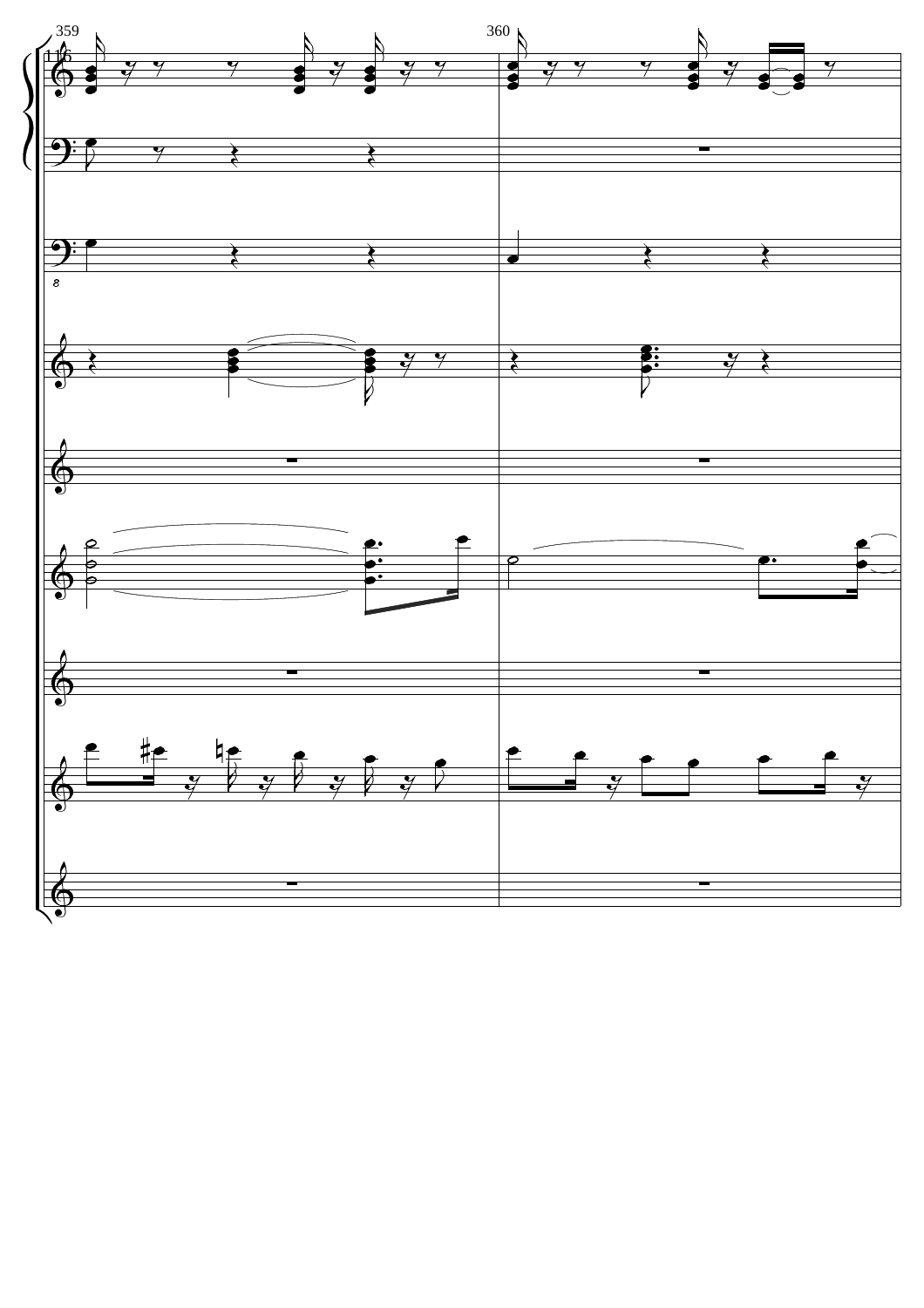